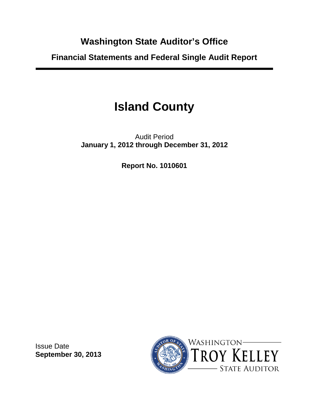# **Washington State Auditor's Office**

**Financial Statements and Federal Single Audit Report** 

# **Island County**

Audit Period **January 1, 2012 through December 31, 2012**

**Report No. 1010601**

Issue Date **September 30, 2013**

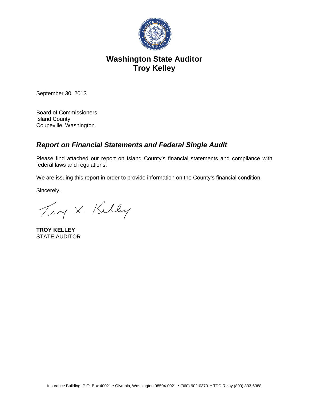

# **Washington State Auditor Troy Kelley**

September 30, 2013

Board of Commissioners Island County Coupeville, Washington

# *Report on Financial Statements and Federal Single Audit*

Please find attached our report on Island County's financial statements and compliance with federal laws and regulations.

We are issuing this report in order to provide information on the County's financial condition.

Sincerely,

Troy X. Kelley

**TROY KELLEY** STATE AUDITOR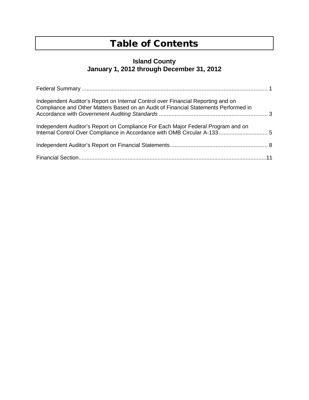# Table of Contents

# **Island County January 1, 2012 through December 31, 2012**

| Independent Auditor's Report on Internal Control over Financial Reporting and on<br>Compliance and Other Matters Based on an Audit of Financial Statements Performed in |  |
|-------------------------------------------------------------------------------------------------------------------------------------------------------------------------|--|
| Independent Auditor's Report on Compliance For Each Major Federal Program and on                                                                                        |  |
|                                                                                                                                                                         |  |
|                                                                                                                                                                         |  |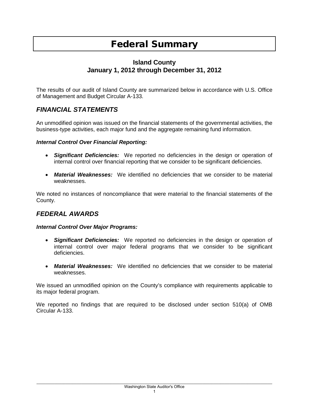# Federal Summary

# **Island County January 1, 2012 through December 31, 2012**

<span id="page-3-0"></span>The results of our audit of Island County are summarized below in accordance with U.S. Office of Management and Budget Circular A-133.

# *FINANCIAL STATEMENTS*

An unmodified opinion was issued on the financial statements of the governmental activities, the business-type activities, each major fund and the aggregate remaining fund information.

### *Internal Control Over Financial Reporting:*

- *Significant Deficiencies:* We reported no deficiencies in the design or operation of internal control over financial reporting that we consider to be significant deficiencies.
- *Material Weaknesses:* We identified no deficiencies that we consider to be material weaknesses.

We noted no instances of noncompliance that were material to the financial statements of the County.

# *FEDERAL AWARDS*

#### *Internal Control Over Major Programs:*

- *Significant Deficiencies:* We reported no deficiencies in the design or operation of internal control over major federal programs that we consider to be significant deficiencies.
- *Material Weaknesses:* We identified no deficiencies that we consider to be material weaknesses.

We issued an unmodified opinion on the County's compliance with requirements applicable to its major federal program.

We reported no findings that are required to be disclosed under section 510(a) of OMB Circular A-133.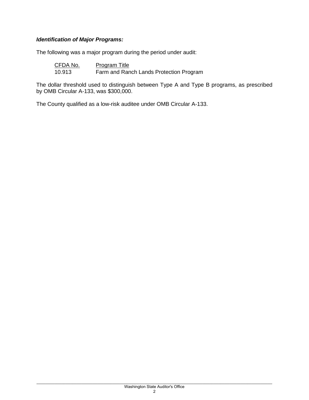# *Identification of Major Programs:*

The following was a major program during the period under audit:

| CFDA No. | Program Title                           |
|----------|-----------------------------------------|
| 10.913   | Farm and Ranch Lands Protection Program |

The dollar threshold used to distinguish between Type A and Type B programs, as prescribed by OMB Circular A-133, was \$300,000.

The County qualified as a low-risk auditee under OMB Circular A-133.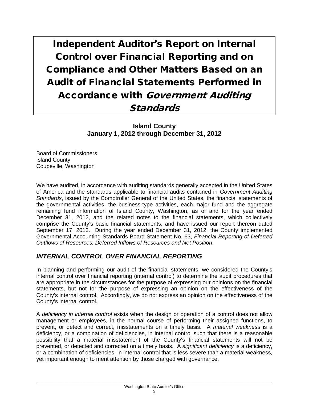<span id="page-5-0"></span>Independent Auditor's Report on Internal Control over Financial Reporting and on Compliance and Other Matters Based on an Audit of Financial Statements Performed in Accordance with Government Auditing **Standards** 

> **Island County January 1, 2012 through December 31, 2012**

Board of Commissioners Island County Coupeville, Washington

We have audited, in accordance with auditing standards generally accepted in the United States of America and the standards applicable to financial audits contained in *Government Auditing Standards*, issued by the Comptroller General of the United States, the financial statements of the governmental activities, the business-type activities, each major fund and the aggregate remaining fund information of Island County, Washington, as of and for the year ended December 31, 2012, and the related notes to the financial statements, which collectively comprise the County's basic financial statements, and have issued our report thereon dated September 17, 2013. During the year ended December 31, 2012, the County implemented Governmental Accounting Standards Board Statement No. 63, *Financial Reporting of Deferred Outflows of Resources, Deferred Inflows of Resources and Net Position*.

# *INTERNAL CONTROL OVER FINANCIAL REPORTING*

In planning and performing our audit of the financial statements, we considered the County's internal control over financial reporting (internal control) to determine the audit procedures that are appropriate in the circumstances for the purpose of expressing our opinions on the financial statements, but not for the purpose of expressing an opinion on the effectiveness of the County's internal control. Accordingly, we do not express an opinion on the effectiveness of the County's internal control.

A *deficiency in internal control* exists when the design or operation of a control does not allow management or employees, in the normal course of performing their assigned functions, to prevent, or detect and correct, misstatements on a timely basis. A *material weakness* is a deficiency, or a combination of deficiencies, in internal control such that there is a reasonable possibility that a material misstatement of the County's financial statements will not be prevented, or detected and corrected on a timely basis. A *significant deficiency* is a deficiency, or a combination of deficiencies, in internal control that is less severe than a material weakness, yet important enough to merit attention by those charged with governance.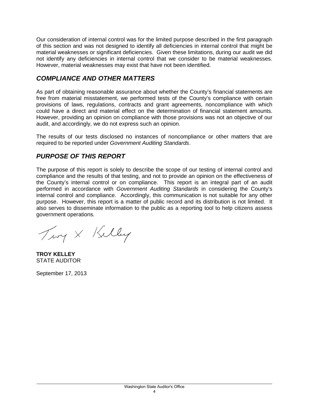Our consideration of internal control was for the limited purpose described in the first paragraph of this section and was not designed to identify all deficiencies in internal control that might be material weaknesses or significant deficiencies. Given these limitations, during our audit we did not identify any deficiencies in internal control that we consider to be material weaknesses. However, material weaknesses may exist that have not been identified.

# *COMPLIANCE AND OTHER MATTERS*

As part of obtaining reasonable assurance about whether the County's financial statements are free from material misstatement, we performed tests of the County's compliance with certain provisions of laws, regulations, contracts and grant agreements, noncompliance with which could have a direct and material effect on the determination of financial statement amounts. However, providing an opinion on compliance with those provisions was not an objective of our audit, and accordingly, we do not express such an opinion.

The results of our tests disclosed no instances of noncompliance or other matters that are required to be reported under *Government Auditing Standards*.

# *PURPOSE OF THIS REPORT*

The purpose of this report is solely to describe the scope of our testing of internal control and compliance and the results of that testing, and not to provide an opinion on the effectiveness of the County's internal control or on compliance. This report is an integral part of an audit performed in accordance with *Government Auditing Standards* in considering the County's internal control and compliance. Accordingly, this communication is not suitable for any other purpose. However, this report is a matter of public record and its distribution is not limited. It also serves to disseminate information to the public as a reporting tool to help citizens assess government operations.

Troy X. Kelley

**TROY KELLEY** STATE AUDITOR

September 17, 2013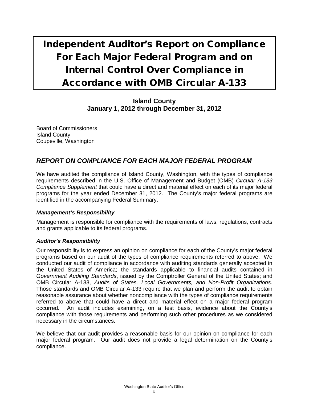# <span id="page-7-0"></span>Independent Auditor's Report on Compliance For Each Major Federal Program and on Internal Control Over Compliance in Accordance with OMB Circular A-133

**Island County January 1, 2012 through December 31, 2012**

Board of Commissioners Island County Coupeville, Washington

# *REPORT ON COMPLIANCE FOR EACH MAJOR FEDERAL PROGRAM*

We have audited the compliance of Island County, Washington, with the types of compliance requirements described in the U.S. Office of Management and Budget (OMB) *Circular A-133 Compliance Supplement* that could have a direct and material effect on each of its major federal programs for the year ended December 31, 2012. The County's major federal programs are identified in the accompanying Federal Summary.

### *Management's Responsibility*

Management is responsible for compliance with the requirements of laws, regulations, contracts and grants applicable to its federal programs.

### *Auditor's Responsibility*

Our responsibility is to express an opinion on compliance for each of the County's major federal programs based on our audit of the types of compliance requirements referred to above. We conducted our audit of compliance in accordance with auditing standards generally accepted in the United States of America; the standards applicable to financial audits contained in *Government Auditing Standards*, issued by the Comptroller General of the United States; and OMB Circular A-133, *Audits of States, Local Governments, and Non-Profit Organizations*. Those standards and OMB Circular A-133 require that we plan and perform the audit to obtain reasonable assurance about whether noncompliance with the types of compliance requirements referred to above that could have a direct and material effect on a major federal program occurred. An audit includes examining, on a test basis, evidence about the County's compliance with those requirements and performing such other procedures as we considered necessary in the circumstances.

We believe that our audit provides a reasonable basis for our opinion on compliance for each major federal program. Our audit does not provide a legal determination on the County's compliance.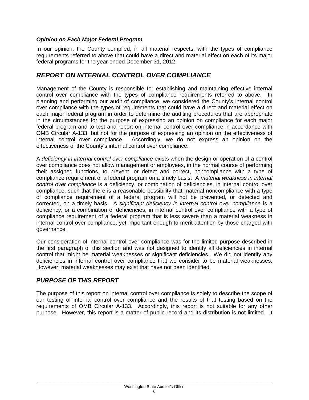## *Opinion on Each Major Federal Program*

In our opinion, the County complied, in all material respects, with the types of compliance requirements referred to above that could have a direct and material effect on each of its major federal programs for the year ended December 31, 2012.

# *REPORT ON INTERNAL CONTROL OVER COMPLIANCE*

Management of the County is responsible for establishing and maintaining effective internal control over compliance with the types of compliance requirements referred to above. In planning and performing our audit of compliance, we considered the County's internal control over compliance with the types of requirements that could have a direct and material effect on each major federal program in order to determine the auditing procedures that are appropriate in the circumstances for the purpose of expressing an opinion on compliance for each major federal program and to test and report on internal control over compliance in accordance with OMB Circular A-133, but not for the purpose of expressing an opinion on the effectiveness of internal control over compliance. Accordingly, we do not express an opinion on the effectiveness of the County's internal control over compliance.

A *deficiency in internal control over compliance* exists when the design or operation of a control over compliance does not allow management or employees, in the normal course of performing their assigned functions, to prevent, or detect and correct, noncompliance with a type of compliance requirement of a federal program on a timely basis. A *material weakness in internal control over compliance* is a deficiency, or combination of deficiencies, in internal control over compliance, such that there is a reasonable possibility that material noncompliance with a type of compliance requirement of a federal program will not be prevented, or detected and corrected, on a timely basis. A *significant deficiency in internal control over compliance* is a deficiency, or a combination of deficiencies, in internal control over compliance with a type of compliance requirement of a federal program that is less severe than a material weakness in internal control over compliance, yet important enough to merit attention by those charged with governance.

Our consideration of internal control over compliance was for the limited purpose described in the first paragraph of this section and was not designed to identify all deficiencies in internal control that might be material weaknesses or significant deficiencies. We did not identify any deficiencies in internal control over compliance that we consider to be material weaknesses. However, material weaknesses may exist that have not been identified.

# *PURPOSE OF THIS REPORT*

The purpose of this report on internal control over compliance is solely to describe the scope of our testing of internal control over compliance and the results of that testing based on the requirements of OMB Circular A-133. Accordingly, this report is not suitable for any other purpose. However, this report is a matter of public record and its distribution is not limited. It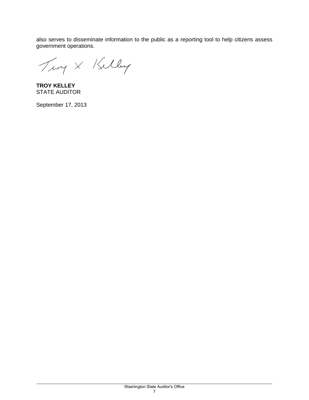also serves to disseminate information to the public as a reporting tool to help citizens assess government operations.

Twy X. Kelley

**TROY KELLEY** STATE AUDITOR

September 17, 2013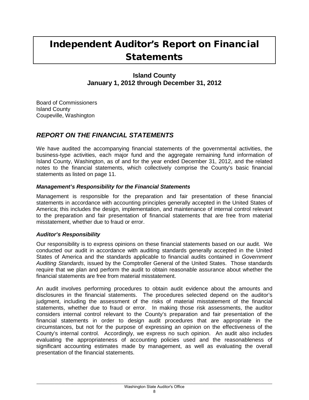# <span id="page-10-0"></span>Independent Auditor's Report on Financial **Statements**

# **Island County January 1, 2012 through December 31, 2012**

Board of Commissioners Island County Coupeville, Washington

# *REPORT ON THE FINANCIAL STATEMENTS*

We have audited the accompanying financial statements of the governmental activities, the business-type activities, each major fund and the aggregate remaining fund information of Island County, Washington, as of and for the year ended December 31, 2012, and the related notes to the financial statements, which collectively comprise the County's basic financial statements as listed on page 11.

## *Management's Responsibility for the Financial Statements*

Management is responsible for the preparation and fair presentation of these financial statements in accordance with accounting principles generally accepted in the United States of America; this includes the design, implementation, and maintenance of internal control relevant to the preparation and fair presentation of financial statements that are free from material misstatement, whether due to fraud or error.

### *Auditor's Responsibility*

Our responsibility is to express opinions on these financial statements based on our audit. We conducted our audit in accordance with auditing standards generally accepted in the United States of America and the standards applicable to financial audits contained in *Government Auditing Standards*, issued by the Comptroller General of the United States. Those standards require that we plan and perform the audit to obtain reasonable assurance about whether the financial statements are free from material misstatement.

An audit involves performing procedures to obtain audit evidence about the amounts and disclosures in the financial statements. The procedures selected depend on the auditor's judgment, including the assessment of the risks of material misstatement of the financial statements, whether due to fraud or error. In making those risk assessments, the auditor considers internal control relevant to the County's preparation and fair presentation of the financial statements in order to design audit procedures that are appropriate in the circumstances, but not for the purpose of expressing an opinion on the effectiveness of the County's internal control. Accordingly, we express no such opinion. An audit also includes evaluating the appropriateness of accounting policies used and the reasonableness of significant accounting estimates made by management, as well as evaluating the overall presentation of the financial statements.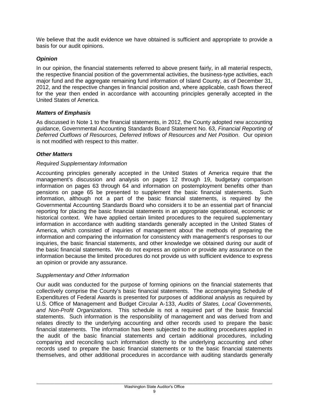We believe that the audit evidence we have obtained is sufficient and appropriate to provide a basis for our audit opinions.

# *Opinion*

In our opinion, the financial statements referred to above present fairly, in all material respects, the respective financial position of the governmental activities, the business-type activities, each major fund and the aggregate remaining fund information of Island County, as of December 31, 2012, and the respective changes in financial position and, where applicable, cash flows thereof for the year then ended in accordance with accounting principles generally accepted in the United States of America.

## *Matters of Emphasis*

As discussed in Note 1 to the financial statements, in 2012, the County adopted new accounting guidance, Governmental Accounting Standards Board Statement No. 63, *Financial Reporting of Deferred Outflows of Resources, Deferred Inflows of Resources and Net Position*. Our opinion is not modified with respect to this matter.

## *Other Matters*

## *Required Supplementary Information*

Accounting principles generally accepted in the United States of America require that the management's discussion and analysis on pages 12 through 19, budgetary comparison information on pages 63 through 64 and information on postemployment benefits other than pensions on page 65 be presented to supplement the basic financial statements. Such information, although not a part of the basic financial statements, is required by the Governmental Accounting Standards Board who considers it to be an essential part of financial reporting for placing the basic financial statements in an appropriate operational, economic or historical context. We have applied certain limited procedures to the required supplementary information in accordance with auditing standards generally accepted in the United States of America, which consisted of inquiries of management about the methods of preparing the information and comparing the information for consistency with management's responses to our inquiries, the basic financial statements, and other knowledge we obtained during our audit of the basic financial statements. We do not express an opinion or provide any assurance on the information because the limited procedures do not provide us with sufficient evidence to express an opinion or provide any assurance.

### *Supplementary and Other Information*

Our audit was conducted for the purpose of forming opinions on the financial statements that collectively comprise the County's basic financial statements. The accompanying Schedule of Expenditures of Federal Awards is presented for purposes of additional analysis as required by U.S. Office of Management and Budget Circular A-133, *Audits of States, Local Governments, and Non-Profit Organizations*. This schedule is not a required part of the basic financial statements. Such information is the responsibility of management and was derived from and relates directly to the underlying accounting and other records used to prepare the basic financial statements. The information has been subjected to the auditing procedures applied in the audit of the basic financial statements and certain additional procedures, including comparing and reconciling such information directly to the underlying accounting and other records used to prepare the basic financial statements or to the basic financial statements themselves, and other additional procedures in accordance with auditing standards generally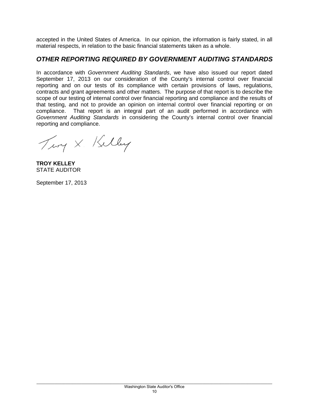accepted in the United States of America. In our opinion, the information is fairly stated, in all material respects, in relation to the basic financial statements taken as a whole.

# *OTHER REPORTING REQUIRED BY GOVERNMENT AUDITING STANDARDS*

In accordance with *Government Auditing Standards*, we have also issued our report dated September 17, 2013 on our consideration of the County's internal control over financial reporting and on our tests of its compliance with certain provisions of laws, regulations, contracts and grant agreements and other matters. The purpose of that report is to describe the scope of our testing of internal control over financial reporting and compliance and the results of that testing, and not to provide an opinion on internal control over financial reporting or on compliance. That report is an integral part of an audit performed in accordance with *Government Auditing Standards* in considering the County's internal control over financial reporting and compliance.

Twy X. Kelley

**TROY KELLEY** STATE AUDITOR

September 17, 2013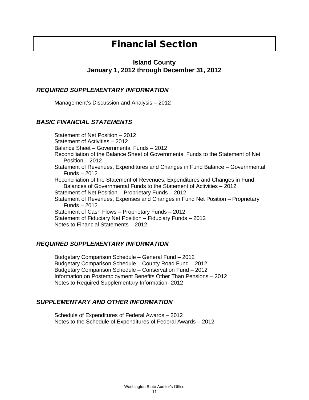# Financial Section

# **Island County January 1, 2012 through December 31, 2012**

# <span id="page-13-0"></span>*REQUIRED SUPPLEMENTARY INFORMATION*

Management's Discussion and Analysis – 2012

## *BASIC FINANCIAL STATEMENTS*

Statement of Net Position – 2012 Statement of Activities – 2012 Balance Sheet – Governmental Funds – 2012 Reconciliation of the Balance Sheet of Governmental Funds to the Statement of Net Position – 2012 Statement of Revenues, Expenditures and Changes in Fund Balance – Governmental Funds – 2012 Reconciliation of the Statement of Revenues, Expenditures and Changes in Fund Balances of Governmental Funds to the Statement of Activities – 2012 Statement of Net Position – Proprietary Funds – 2012 Statement of Revenues, Expenses and Changes in Fund Net Position – Proprietary Funds – 2012 Statement of Cash Flows – Proprietary Funds – 2012 Statement of Fiduciary Net Position – Fiduciary Funds – 2012 Notes to Financial Statements – 2012

## *REQUIRED SUPPLEMENTARY INFORMATION*

Budgetary Comparison Schedule – General Fund – 2012 Budgetary Comparison Schedule – County Road Fund – 2012 Budgetary Comparison Schedule – Conservation Fund – 2012 Information on Postemployment Benefits Other Than Pensions – 2012 Notes to Required Supplementary Information- 2012

# *SUPPLEMENTARY AND OTHER INFORMATION*

Schedule of Expenditures of Federal Awards – 2012 Notes to the Schedule of Expenditures of Federal Awards – 2012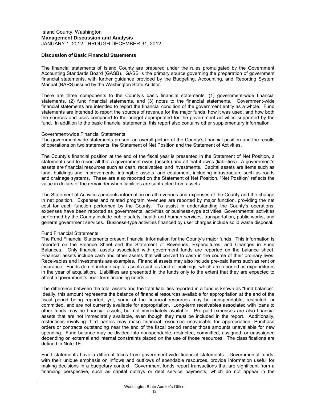#### Island County, Washington **Management Discussion and Analysis**  JANUARY 1, 2012 THROUGH DECEMBER 31, 2012

#### **Discussion of Basic Financial Statements**

The financial statements of Island County are prepared under the rules promulgated by the Government Accounting Standards Board (GASB). GASB is the primary source governing the preparation of government financial statements, with further guidance provided by the Budgeting, Accounting, and Reporting System Manual (BARS) issued by the Washington State Auditor.

There are three components to the County's basic financial statements: (1) government-wide financial statements, (2) fund financial statements, and (3) notes to the financial statements. Government-wide financial statements are intended to report the financial condition of the government entity as a whole. Fund statements are intended to report the sources of revenue for the major funds, how it was used, and how both the sources and uses compared to the budget appropriated for the government activities supported by the fund. In addition to the basic financial statements, this report also contains other supplementary information.

#### Government-wide Financial Statements

The government-wide statements present an overall picture of the County's financial position and the results of operations on two statements, the Statement of Net Position and the Statement of Activities.

The County's financial position at the end of the fiscal year is presented in the Statement of Net Position, a statement used to report all that a government owns (assets) and all that it owes (liabilities). A government's assets are financial resources such as cash, receivables, and investments. Capital assets are items such as land, buildings and improvements, intangible assets, and equipment, including infrastructure such as roads and drainage systems. These are also reported on the Statement of Net Position. "Net Position" reflects the value in dollars of the remainder when liabilities are subtracted from assets.

The Statement of Activities presents information on all revenues and expenses of the County and the change in net position. Expenses and related program revenues are reported by major function, providing the net cost for each function performed by the County. To assist in understanding the County's operations, expenses have been reported as governmental activities or business-type activities. Governmental activities performed by the County include public safety, health and human services, transportation, public works, and general government services. Business-type activities financed by user charges include solid waste disposal.

#### Fund Financial Statements

The Fund Financial Statements present financial information for the County's major funds. This information is reported on the Balance Sheet and the Statement of Revenues, Expenditures, and Changes in Fund Balances. Only financial assets associated with government funds are reported on the balance sheet. Financial assets include cash and other assets that will convert to cash in the course of their ordinary lives. Receivables and investments are examples. Financial assets may also include pre-paid items such as rent or insurance. Funds do not include capital assets such as land or buildings, which are reported as expenditures in the year of acquisition. Liabilities are presented in the funds only to the extent that they are expected to affect a government's near-term financing needs.

The difference between the total assets and the total liabilities reported in a fund is known as "fund balance". Ideally, this amount represents the balance of financial resources available for appropriation at the end of the fiscal period being reported, yet, some of the financial resources may be nonspendable, restricted, or committed, and are not currently available for appropriation. Long-term receivables associated with loans to other funds may be financial assets, but not immediately available. Pre-paid expenses are also financial assets that are not immediately available, even though they must be included in the report. Additionally, restrictions involving third parties may make financial resources unavailable for appropriation. Purchase orders or contracts outstanding near the end of the fiscal period render those amounts unavailable for new spending. Fund balance may be divided into nonspendable, restricted, committed, assigned, or unassigned depending on external and internal constraints placed on the use of those resources. The classifications are defined in Note 1E.

Fund statements have a different focus from government-wide financial statements. Governmental funds, with their unique emphasis on inflows and outflows of spendable resources, provide information useful for making decisions in a budgetary context. Government funds report transactions that are significant from a financing perspective, such as capital outlays or debt service payments, which do not appear in the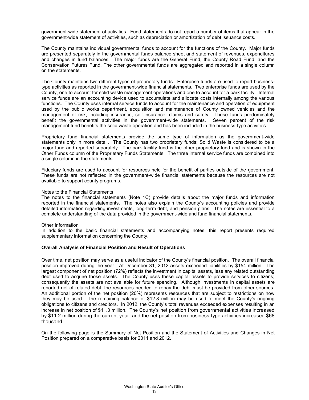government-wide statement of activities. Fund statements do not report a number of items that appear in the government-wide statement of activities, such as depreciation or amortization of debt issuance costs.

The County maintains individual governmental funds to account for the functions of the County. Major funds are presented separately in the governmental funds balance sheet and statement of revenues, expenditures and changes in fund balances. The major funds are the General Fund, the County Road Fund, and the Conservation Futures Fund. The other governmental funds are aggregated and reported in a single column on the statements.

The County maintains two different types of proprietary funds. Enterprise funds are used to report businesstype activities as reported in the government-wide financial statements. Two enterprise funds are used by the County, one to account for solid waste management operations and one to account for a park facility. Internal service funds are an accounting device used to accumulate and allocate costs internally among the various functions. The County uses internal service funds to account for the maintenance and operation of equipment used by the public works department, acquisition and maintenance of County owned vehicles and the management of risk, including insurance, self-insurance, claims and safety. These funds predominately benefit the governmental activities in the government-wide statements. Seven percent of the risk management fund benefits the solid waste operation and has been included in the business-type activities.

Proprietary fund financial statements provide the same type of information as the government-wide statements only in more detail. The County has two proprietary funds; Solid Waste is considered to be a major fund and reported separately. The park facility fund is the other proprietary fund and is shown in the Other Funds column of the Proprietary Funds Statements. The three internal service funds are combined into a single column in the statements.

Fiduciary funds are used to account for resources held for the benefit of parties outside of the government. These funds are not reflected in the government-wide financial statements because the resources are not available to support county programs.

#### Notes to the Financial Statements

The notes to the financial statements (Note 1C) provide details about the major funds and information reported in the financial statements. The notes also explain the County's accounting policies and provide detailed information regarding investments, long-term debt, and pension plans. The notes are essential to a complete understanding of the data provided in the government-wide and fund financial statements.

#### Other Information

In addition to the basic financial statements and accompanying notes, this report presents required supplementary information concerning the County.

#### **Overall Analysis of Financial Position and Result of Operations**

Over time, net position may serve as a useful indicator of the County's financial position. The overall financial position improved during the year. At December 31, 2012 assets exceeded liabilities by \$154 million. The largest component of net position (72%) reflects the investment in capital assets, less any related outstanding debt used to acquire those assets. The County uses these capital assets to provide services to citizens; consequently the assets are not available for future spending. Although investments in capital assets are reported net of related debt, the resources needed to repay the debt must be provided from other sources. An additional portion of the net position (20%) represents resources that are subject to restrictions on how they may be used. The remaining balance of \$12.8 million may be used to meet the County's ongoing obligations to citizens and creditors. In 2012, the County's total revenues exceeded expenses resulting in an increase in net position of \$11.3 million. The County's net position from governmental activities increased by \$11.2 million during the current year, and the net position from business-type activities increased \$68 thousand.

On the following page is the Summary of Net Position and the Statement of Activities and Changes in Net Position prepared on a comparative basis for 2011 and 2012.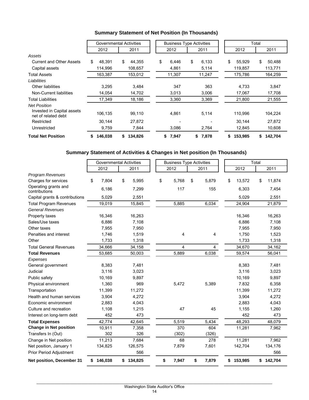|                                                   |              | Governmental Activities |             | <b>Business Type Activities</b> |              | Total |
|---------------------------------------------------|--------------|-------------------------|-------------|---------------------------------|--------------|-------|
|                                                   | 2012         | 2011                    | 2012        | 2011                            | 2012         |       |
| Assets                                            |              |                         |             |                                 |              |       |
| <b>Current and Other Assets</b>                   | \$<br>48.391 | \$<br>44.355            | \$<br>6,446 | \$<br>6,133                     | \$<br>55,929 | \$    |
| Capital assets                                    | 114,996      | 108.657                 | 4,861       | 5,114                           | 119,857      |       |
| Total Assets                                      | 163,387      | 153,012                 | 11,307      | 11,247                          | 175,786      |       |
| Liabilities                                       |              |                         |             |                                 |              |       |
| Other liabilities                                 | 3.295        | 3.484                   | 347         | 363                             | 4,733        |       |
| Non-Current liabilities                           | 14,054       | 14,702                  | 3,013       | 3,006                           | 17,067       |       |
| Total Liabilities                                 | 17,349       | 18,186                  | 3,360       | 3,369                           | 21,800       |       |
| <b>Net Position</b>                               |              |                         |             |                                 |              |       |
| Invested in Capital assets<br>net of related debt | 106,135      | 99,110                  | 4,861       | 5,114                           | 110,996      |       |
| Restricted                                        | 30,144       | 27,872                  |             |                                 | 30,144       |       |
| Unrestricted                                      | 9,759        | 7,844                   | 3,086       | 2,764                           | 12,845       |       |
| <b>Total Net Position</b>                         | 146,038<br>S | 134,826<br>S.           | \$<br>7,947 | 7,878<br>\$                     | 153,985<br>S | S     |

# **Summary Statement of Net Position (In Thousands)**

## **Summary Statement of Activities & Changes in Net position (In Thousands)**

|                                       |               | <b>Governmental Activities</b> | <b>Business Type Activities</b> |    | Total |               |    |         |
|---------------------------------------|---------------|--------------------------------|---------------------------------|----|-------|---------------|----|---------|
|                                       | 2012          | 2011                           | 2012                            |    | 2011  | 2012          |    | 2011    |
| <b>Program Revenues</b>               |               |                                |                                 |    |       |               |    |         |
| Charges for services                  | 7,804<br>\$   | 5,995<br>\$                    | \$<br>5,768                     | \$ | 5.879 | \$<br>13,572  | \$ | 11,874  |
| Operating grants and<br>contributions | 6.186         | 7,299                          | 117                             |    | 155   | 6.303         |    | 7,454   |
| Capital grants & contributions        | 5,029         | 2,551                          |                                 |    |       | 5.029         |    | 2,551   |
| <b>Total Program Revenues</b>         | 19,019        | 15,845                         | 5,885                           |    | 6,034 | 24,904        |    | 21,879  |
| <b>General Revenues</b>               |               |                                |                                 |    |       |               |    |         |
| Property taxes                        | 16,346        | 16,263                         |                                 |    |       | 16,346        |    | 16,263  |
| Sales/Use taxes                       | 6,886         | 7,108                          |                                 |    |       | 6,886         |    | 7,108   |
| Other taxes                           | 7,955         | 7,950                          |                                 |    |       | 7,955         |    | 7,950   |
| Penalties and interest                | 1,746         | 1,519                          | 4                               |    | 4     | 1,750         |    | 1,523   |
| Other                                 | 1,733         | 1,318                          |                                 |    |       | 1,733         |    | 1,318   |
| <b>Total General Revenues</b>         | 34,666        | 34,158                         | 4                               |    | 4     | 34,670        |    | 34,162  |
| <b>Total Revenues</b>                 | 53,685        | 50,003                         | 5,889                           |    | 6,038 | 59,574        |    | 56,041  |
| Expenses                              |               |                                |                                 |    |       |               |    |         |
| General government                    | 8,383         | 7,481                          |                                 |    |       | 8,383         |    | 7,481   |
| Judicial                              | 3,116         | 3,023                          |                                 |    |       | 3,116         |    | 3,023   |
| Public safety                         | 10,169        | 9,897                          |                                 |    |       | 10,169        |    | 9,897   |
| Physical environment                  | 1,360         | 969                            | 5,472                           |    | 5,389 | 7.832         |    | 6,358   |
| Transportation                        | 11,399        | 11,272                         |                                 |    |       | 11,399        |    | 11,272  |
| Health and human services             | 3,904         | 4,272                          |                                 |    |       | 3,904         |    | 4,272   |
| Economic environment                  | 2,883         | 4,043                          |                                 |    |       | 2,883         |    | 4,043   |
| Culture and recreation                | 1,108         | 1,215                          | 47                              |    | 45    | 1,155         |    | 1,260   |
| Interest on long-term debt            | 452           | 473                            |                                 |    |       | 452           |    | 473     |
| <b>Total Expenses</b>                 | 42,774        | 42,645                         | 5,519                           |    | 5,434 | 48,293        |    | 48,079  |
| <b>Change in Net position</b>         | 10,911        | 7,358                          | 370                             |    | 604   | 11,281        |    | 7,962   |
| Transfers In (Out)                    | 302           | 326                            | (302)                           |    | (326) |               |    |         |
| Change in Net position                | 11,213        | 7,684                          | 68                              |    | 278   | 11,281        |    | 7,962   |
| Net position, January 1               | 134,825       | 126,575                        | 7,879                           |    | 7,601 | 142,704       |    | 134,176 |
| Prior Period Adjustment               |               | 566                            |                                 |    |       |               |    | 566     |
| Net position, December 31             | 146,038<br>\$ | 134,825<br>\$                  | \$<br>7,947                     | \$ | 7,879 | \$<br>153,985 | \$ | 142,704 |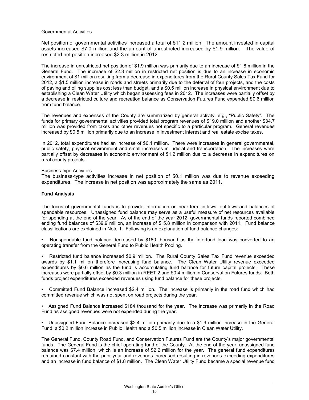#### Governmental Activities

Net position of governmental activities increased a total of \$11.2 million. The amount invested in capital assets increased \$7.0 million and the amount of unrestricted increased by \$1.9 million. The value of restricted net position increased \$2.3 million in 2012.

The increase in unrestricted net position of \$1.9 million was primarily due to an increase of \$1.8 million in the General Fund. The increase of \$2.3 million in restricted net position is due to an increase in economic environment of \$1 million resulting from a decrease in expenditures from the Rural County Sales Tax Fund for 2012, a \$1.5 million increase in roads and streets primarily due to the deferral of four projects, and the costs of paving and oiling supplies cost less than budget, and a \$0.5 million increase in physical environment due to establishing a Clean Water Utility which began assessing fees in 2012. The increases were partially offset by a decrease in restricted culture and recreation balance as Conservation Futures Fund expended \$0.6 million from fund balance.

The revenues and expenses of the County are summarized by general activity, e.g., "Public Safety". The funds for primary governmental activities provided total program revenues of \$19.0 million and another \$34.7 million was provided from taxes and other revenues not specific to a particular program. General revenues increased by \$0.5 million primarily due to an increase in investment interest and real estate excise taxes.

In 2012, total expenditures had an increase of \$0.1 million. There were increases in general governmental, public safety, physical environment and small increases in judicial and transportation. The increases were partially offset by decreases in economic environment of \$1.2 million due to a decrease in expenditures on rural county projects.

#### Business-type Activities

The business-type activities increase in net position of \$0.1 million was due to revenue exceeding expenditures. The increase in net position was approximately the same as 2011.

#### **Fund Analysis**

The focus of governmental funds is to provide information on near-term inflows, outflows and balances of spendable resources. Unassigned fund balance may serve as a useful measure of net resources available for spending at the end of the year. As of the end of the year 2012, governmental funds reported combined ending fund balances of \$39.9 million, an increase of \$ 5.8 million in comparison with 2011. Fund balance classifications are explained in Note 1. Following is an explanation of fund balance changes:

• Nonspendable fund balance decreased by \$180 thousand as the interfund loan was converted to an operating transfer from the General Fund to Public Health Pooling.

• Restricted fund balance increased \$0.9 million. The Rural County Sales Tax Fund revenue exceeded awards by \$1.1 million therefore increasing fund balance. The Clean Water Utility revenue exceeded expenditures by \$0.6 million as the fund is accumulating fund balance for future capital projects. These increases were partially offset by \$0.3 million in REET 2 and \$0.4 million in Conservation Futures funds. Both funds project expenditures exceeded revenues using fund balance for these projects.

• Committed Fund Balance increased \$2.4 million. The increase is primarily in the road fund which had committed revenue which was not spent on road projects during the year.

• Assigned Fund Balance increased \$184 thousand for the year. The increase was primarily in the Road Fund as assigned revenues were not expended during the year.

• Unassigned Fund Balance increased \$2.4 million primarily due to a \$1.9 million increase in the General Fund, a \$0.2 million increase in Public Health and a \$0.5 million increase in Clean Water Utility.

The General Fund, County Road Fund, and Conservation Futures Fund are the County's major governmental funds. The General Fund is the chief operating fund of the County. At the end of the year, unassigned fund balance was \$7.4 million, which is an increase of \$2.2 million for the year. The general fund expenditures remained constant with the prior year and revenues increased resulting in revenues exceeding expenditures and an increase in fund balance of \$1.8 million. The Clean Water Utility Fund became a special revenue fund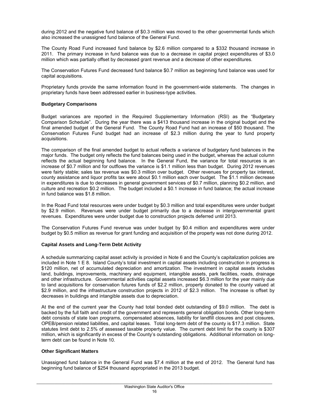during 2012 and the negative fund balance of \$0.3 million was moved to the other governmental funds which also increased the unassigned fund balance of the General Fund.

The County Road Fund increased fund balance by \$2.6 million compared to a \$332 thousand increase in 2011. The primary increase in fund balance was due to a decrease in capital project expenditures of \$3.0 million which was partially offset by decreased grant revenue and a decrease of other expenditures.

The Conservation Futures Fund decreased fund balance \$0.7 million as beginning fund balance was used for capital acquisitions.

Proprietary funds provide the same information found in the government-wide statements. The changes in proprietary funds have been addressed earlier in business-type activities.

#### **Budgetary Comparisons**

Budget variances are reported in the Required Supplementary Information (RSI) as the "Budgetary Comparison Schedule". During the year there was a \$413 thousand increase in the original budget and the final amended budget of the General Fund. The County Road Fund had an increase of \$50 thousand. The Conservation Futures Fund budget had an increase of \$2.3 million during the year to fund property acquisitions.

The comparison of the final amended budget to actual reflects a variance of budgetary fund balances in the major funds. The budget only reflects the fund balances being used in the budget, whereas the actual column reflects the actual beginning fund balance. In the General Fund, the variance for total resources is an increase of \$0.7 million and for outflows the variance is \$1.1 million less than budget. During 2012 revenues were fairly stable; sales tax revenue was \$0.3 million over budget. Other revenues for property tax interest, county assistance and liquor profits tax were about \$0.1 million each over budget. The \$1.1 million decrease in expenditures is due to decreases in general government services of \$0.7 million, planning \$0.2 million, and culture and recreation \$0.2 million. The budget included a \$0.1 increase in fund balance; the actual increase in fund balance was \$1.8 million.

In the Road Fund total resources were under budget by \$0.3 million and total expenditures were under budget by \$2.9 million. Revenues were under budget primarily due to a decrease in intergovernmental grant revenues. Expenditures were under budget due to construction projects deferred until 2013.

The Conservation Futures Fund revenue was under budget by \$0.4 million and expenditures were under budget by \$0.5 million as revenue for grant funding and acquisition of the property was not done during 2012.

#### **Capital Assets and Long-Term Debt Activity**

A schedule summarizing capital asset activity is provided in Note 6 and the County's capitalization policies are included in Note 1 E 8. Island County's total investment in capital assets including construction in progress is \$120 million, net of accumulated depreciation and amortization. The investment in capital assets includes land, buildings, improvements, machinery and equipment, intangible assets, park facilities, roads, drainage and other infrastructure. Governmental activities capital assets increased \$6.3 million for the year mainly due to land acquisitions for conservation futures funds of \$2.2 million, property donated to the county valued at \$2.9 million, and the infrastructure construction projects in 2012 of \$2.3 million. The increase is offset by decreases in buildings and intangible assets due to depreciation.

At the end of the current year the County had total bonded debt outstanding of \$9.0 million. The debt is backed by the full faith and credit of the government and represents general obligation bonds. Other long-term debt consists of state loan programs, compensated absences, liability for landfill closures and post closures, OPEB/pension related liabilities, and capital leases. Total long-term debt of the county is \$17.3 million. State statutes limit debt to 2.5% of assessed taxable property value. The current debt limit for the county is \$307 million, which is significantly in excess of the County's outstanding obligations. Additional information on longterm debt can be found in Note 10.

#### **Other Significant Matters**

Unassigned fund balance in the General Fund was \$7.4 million at the end of 2012. The General fund has beginning fund balance of \$254 thousand appropriated in the 2013 budget.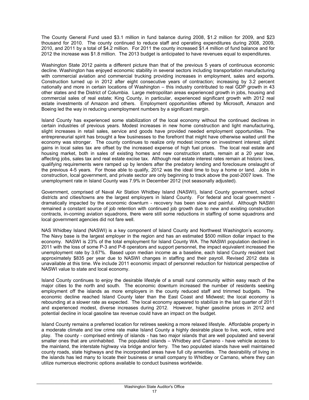The County General Fund used \$3.1 million in fund balance during 2008, \$1.2 million for 2009, and \$23 thousand for 2010. The county continued to reduce staff and operating expenditures during 2008, 2009, 2010, and 2011 by a total of \$4.2 million. For 2011 the county increased \$1.4 million of fund balance and for 2012 the increase was \$1.8 million. The 2013 budget is anticipated to have revenues equal to expenditures.

Washington State 2012 paints a different picture than that of the previous 5 years of continuous economic decline. Washington has enjoyed economic stability in several sectors including transportation manufacturing with commercial aviation and commercial trucking providing increases in employment, sales and exports. Construction turned up in 2012 after eight consecutive years of contraction; increasing by 3.2 percent nationally and more in certain locations of Washington – this industry contributed to real GDP growth in 43 other states and the District of Columbia. Large metropolitan areas experienced growth in jobs, housing and commercial sales of real estate; King County, in particular, experienced significant growth with 2012 real estate investments of Amazon and others. Employment opportunities offered by Microsoft, Amazon and Boeing led the way in reducing unemployment numbers by a significant margin.

Island County has experienced some stabilization of the local economy without the continued declines in certain industries of previous years. Modest increases in new home construction and light manufacturing, slight increases in retail sales, service and goods have provided needed employment opportunities. The entrepreneurial spirit has brought a few businesses to the forefront that might have otherwise waited until the economy was stronger. The county continues to realize only modest income on investment interest; slight gains in local sales tax are offset by the increased expense of high fuel prices. The local real estate and housing market, both in sales of existing homes and new construction starts, remain at a 20 year low, affecting jobs, sales tax and real estate excise tax. Although real estate interest rates remain at historic lows, qualifying requirements were ramped up by lenders after the predatory lending and foreclosure onslaught of the previous 4-5 years. For those able to qualify, 2012 was the ideal time to buy a home or land. Jobs in construction, local government, and private sector are only beginning to track above the post-2007 lows. The unemployment rate in Island County was 7.9% in December 2012 (not seasonally adjusted).

Government, comprised of Naval Air Station Whidbey Island (NASWI), Island County government, school districts and cities/towns are the largest employers in Island County. For federal and local government dramatically impacted by the economic downturn - recovery has been slow and painful. Although NASWI remained a constant source of job retention with continued job growth due to new and existing construction contracts, in-coming aviation squadrons, there were still some reductions in staffing of some squadrons and local government agencies did not fare well.

NAS Whidbey Island (NASWI) is a key component of Island County and Northwest Washington's economy. The Navy base is the largest employer in the region and has an estimated \$500 million dollar impact to the economy. NASWI is 23% of the total employment for Island County WA. The NASWI population declined in 2011 with the loss of some P-3 and P-8 operators and support personnel, the impact equivalent increased the unemployment rate by 3.67%. Based upon median income as a baseline, each Island County resident lost approximately \$835 per year due to NASWI changes in staffing and their payroll. Revised 2012 data is unavailable at this time. We include 2011 economic impact of personnel reduction for historical perspective of NASWI value to state and local economy.

Island County continues to enjoy the desirable lifestyle of a small rural community within easy reach of the major cities to the north and south. The economic downturn increased the number of residents seeking employment off the islands as more employers in the county reduced staff and trimmed budgets. The economic decline reached Island County later than the East Coast and Midwest; the local economy is rebounding at a slower rate as expected. The local economy appeared to stabilize in the last quarter of 2011 and experienced modest, diverse increases during 2012. However, higher gasoline prices in 2012 and potential decline in local gasoline tax revenue could have an impact on the budget.

Island County remains a preferred location for retirees seeking a more relaxed lifestyle. Affordable property in a moderate climate and low crime rate make Island County a highly desirable place to live, work, retire and play. The county - comprised entirely of islands - has two major islands that are well populated and several smaller ones that are uninhabited. The populated islands – Whidbey and Camano - have vehicle access to the mainland, the interstate highway via bridge and/or ferry. The two populated islands have well maintained county roads, state highways and the incorporated areas have full city amenities. The desirability of living in the islands has led many to locate their business or small company to Whidbey or Camano, where they can utilize numerous electronic options available to conduct business worldwide.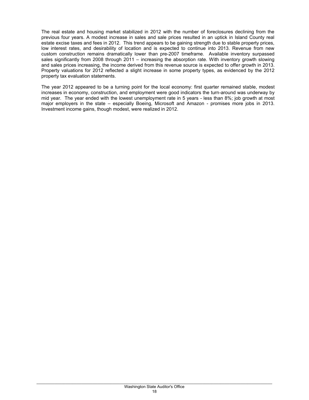The real estate and housing market stabilized in 2012 with the number of foreclosures declining from the previous four years. A modest increase in sales and sale prices resulted in an uptick in Island County real estate excise taxes and fees in 2012. This trend appears to be gaining strength due to stable property prices, low interest rates, and desirability of location and is expected to continue into 2013. Revenue from new custom construction remains dramatically lower than pre-2007 timeframe. Available inventory surpassed sales significantly from 2008 through 2011 – increasing the absorption rate. With inventory growth slowing and sales prices increasing, the income derived from this revenue source is expected to offer growth in 2013. Property valuations for 2012 reflected a slight increase in some property types, as evidenced by the 2012 property tax evaluation statements.

The year 2012 appeared to be a turning point for the local economy: first quarter remained stable, modest increases in economy, construction, and employment were good indicators the turn-around was underway by mid year. The year ended with the lowest unemployment rate in 5 years - less than 8%; job growth at most major employers in the state – especially Boeing, Microsoft and Amazon - promises more jobs in 2013. Investment income gains, though modest, were realized in 2012.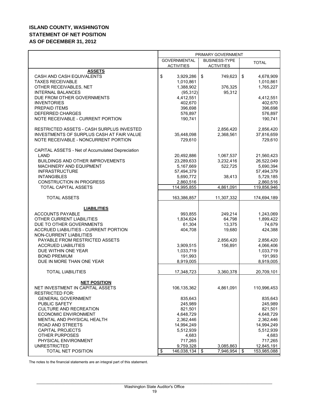# **ISLAND COUNTY, WASHINGTON STATEMENT OF NET POSITION AS OF DECEMBER 31, 2012**

|                                                          | PRIMARY GOVERNMENT  |                      |                          |  |  |  |  |  |
|----------------------------------------------------------|---------------------|----------------------|--------------------------|--|--|--|--|--|
|                                                          | <b>GOVERNMENTAL</b> | <b>BUSINESS-TYPE</b> | <b>TOTAL</b>             |  |  |  |  |  |
|                                                          | <b>ACTIVITIES</b>   | <b>ACTIVITIES</b>    |                          |  |  |  |  |  |
| <b>ASSETS</b>                                            |                     |                      |                          |  |  |  |  |  |
| CASH AND CASH EQUIVALENTS                                | \$<br>3,929,286     | \$<br>749,623        | \$<br>4,678,909          |  |  |  |  |  |
| <b>TAXES RECEIVABLE</b>                                  | 1,010,861           |                      | 1,010,861                |  |  |  |  |  |
| OTHER RECEIVABLES, NET                                   | 1,388,902           | 376,325              | 1,765,227                |  |  |  |  |  |
| <b>INTERNAL BALANCES</b>                                 | (95, 312)           | 95,312               |                          |  |  |  |  |  |
| DUE FROM OTHER GOVERNMENTS                               | 4,412,551           |                      | 4,412,551                |  |  |  |  |  |
| <b>INVENTORIES</b>                                       | 402,670             |                      | 402,670                  |  |  |  |  |  |
| PREPAID ITEMS<br>DEFERRED CHARGES                        | 396,698<br>576,897  |                      | 396,698<br>576,897       |  |  |  |  |  |
| NOTE RECEIVABLE - CURRENT PORTION                        | 190,741             |                      | 190,741                  |  |  |  |  |  |
|                                                          |                     |                      |                          |  |  |  |  |  |
| RESTRICTED ASSETS - CASH SURPLUS INVESTED                |                     | 2,856,420            | 2,856,420                |  |  |  |  |  |
| INVESTMENTS OF SURPLUS CASH AT FAIR VALUE                | 35,448,098          | 2,368,561            | 37,816,659               |  |  |  |  |  |
| NOTE RECEIVABLE - NONCURRENT PORTION                     | 729,610             |                      | 729,610                  |  |  |  |  |  |
|                                                          |                     |                      |                          |  |  |  |  |  |
| CAPITAL ASSETS - Net of Accumulated Depreciation<br>LAND | 20,492,886          | 1,067,537            |                          |  |  |  |  |  |
| BUILDINGS AND OTHER IMPROVEMENTS                         | 23,289,633          | 3,232,416            | 21,560,423<br>26,522,049 |  |  |  |  |  |
| MACHINERY AND EQUIPMENT                                  | 5,167,669           | 522,725              | 5,690,394                |  |  |  |  |  |
| <b>INFRASTRUCTURE</b>                                    | 57,494,379          |                      | 57,494,379               |  |  |  |  |  |
| <b>INTANGIBLES</b>                                       | 5,690,772           | 38,413               | 5,729,185                |  |  |  |  |  |
| <b>CONSTRUCTION IN PROGRESS</b>                          | 2,860,516           |                      | 2,860,516                |  |  |  |  |  |
| TOTAL CAPITAL ASSETS                                     | 114,995,855         | 4,861,091            | 119,856,946              |  |  |  |  |  |
|                                                          |                     |                      |                          |  |  |  |  |  |
| <b>TOTAL ASSETS</b>                                      | 163,386,857         | 11,307,332           | 174,694,189              |  |  |  |  |  |
| <b>LIABILITIES</b>                                       |                     |                      |                          |  |  |  |  |  |
| <b>ACCOUNTS PAYABLE</b>                                  | 993,855             | 249,214              | 1,243,069                |  |  |  |  |  |
| <b>OTHER CURRENT LIABILITIES</b>                         | 1,834,624           | 64,798               | 1,899,422                |  |  |  |  |  |
| DUE TO OTHER GOVERNMENTS                                 | 61,304              | 13,375               | 74,679                   |  |  |  |  |  |
| <b>ACCRUED LIABILITIES - CURRENT PORTION</b>             | 404,708             | 19,680               | 424,388                  |  |  |  |  |  |
| NON-CURRENT LIABILITIES                                  |                     |                      |                          |  |  |  |  |  |
| PAYABLE FROM RESTRICTED ASSETS                           |                     | 2,856,420            | 2,856,420                |  |  |  |  |  |
| <b>ACCRUED LIABILITIES</b>                               | 3,909,515           | 156,891              | 4,066,406                |  |  |  |  |  |
| DUE WITHIN ONE YEAR                                      | 1,033,719           |                      | 1,033,719                |  |  |  |  |  |
| <b>BOND PREMIUM</b>                                      | 191,993             |                      | 191,993                  |  |  |  |  |  |
| DUE IN MORE THAN ONE YEAR                                | 8,919,005           |                      | 8,919,005                |  |  |  |  |  |
|                                                          |                     |                      |                          |  |  |  |  |  |
| <b>TOTAL LIABILITIES</b>                                 | 17,348,723          | 3,360,378            | 20,709,101               |  |  |  |  |  |
| <b>NET POSITION</b>                                      |                     |                      |                          |  |  |  |  |  |
| NET INVESTMENT IN CAPITAL ASSETS                         | 106,135,362         | 4,861,091            | 110,996,453              |  |  |  |  |  |
| <b>RESTRICTED FOR:</b>                                   |                     |                      |                          |  |  |  |  |  |
| <b>GENERAL GOVERNMENT</b>                                | 835,643             |                      | 835,643                  |  |  |  |  |  |
| <b>PUBLIC SAFETY</b>                                     | 245,989             |                      | 245,989                  |  |  |  |  |  |
| <b>CULTURE AND RECREATION</b>                            | 821,501             |                      | 821,501                  |  |  |  |  |  |
| <b>ECONOMIC ENVIRONMENT</b>                              | 4,648,729           |                      | 4,648,729                |  |  |  |  |  |
| MENTAL AND PHYSICAL HEALTH                               | 2,362,446           |                      | 2,362,446                |  |  |  |  |  |
| <b>ROAD AND STREETS</b>                                  | 14,994,249          |                      | 14,994,249               |  |  |  |  |  |
| <b>CAPITAL PROJECTS</b>                                  | 5,512,939           |                      | 5,512,939                |  |  |  |  |  |
| <b>OTHER PURPOSES</b>                                    | 4,683               |                      | 4,683                    |  |  |  |  |  |
| PHYSICAL ENVIRONMENT                                     | 717,265             |                      | 717,265                  |  |  |  |  |  |
| <b>UNRESTRICTED</b>                                      | 9,759,328           | 3,085,863            | 12,845,191               |  |  |  |  |  |
| <b>TOTAL NET POSITION</b>                                | 146,038,134<br>\$   | \$<br>7,946,954      | \$<br>153,985,088        |  |  |  |  |  |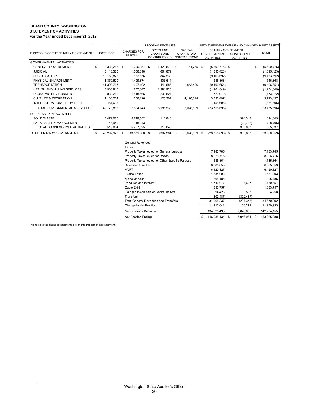#### **ISLAND COUNTY, WASHINGTON STATEMENT OF ACTIVITIES For the Year Ended December 31, 2012**

|                                     |                      | PROGRAM REVENUES |                                       |          |                                                  |    |                              |    | NET (EXPENSE) REVENUE AND CHANGES IN NET ASSETS |  |                      |    |                |
|-------------------------------------|----------------------|------------------|---------------------------------------|----------|--------------------------------------------------|----|------------------------------|----|-------------------------------------------------|--|----------------------|----|----------------|
| FUNCTIONS OF THE PRIMARY GOVERNMENT | <b>EXPENSES</b>      |                  | <b>CHARGES FOR</b><br><b>SERVICES</b> |          | <b>OPERATING</b><br><b>GRANTS AND</b>            |    | CAPITAL<br><b>GRANTS AND</b> |    | PRIMARY GOVERNMENT<br><b>GOVERNMENTAL</b>       |  | <b>BUSINESS-TYPE</b> |    | <b>TOTAL</b>   |
|                                     |                      |                  |                                       |          | <b>CONTRIBUTIONS</b>                             |    | <b>CONTRIBUTIONS</b>         |    | <b>ACTIVITIES</b>                               |  | <b>ACTIVITIES</b>    |    |                |
| <b>GOVERNMENTAL ACTIVITIES</b>      |                      |                  |                                       |          |                                                  |    |                              |    |                                                 |  |                      |    |                |
| <b>GENERAL GOVERNMENT</b>           | \$<br>$8,383,263$ \$ |                  | 1,206,854                             | l \$     | 1,421,879                                        | \$ | 54,755 \$                    |    | $(5,699,775)$ \$                                |  |                      | \$ | (5,699,775)    |
| <b>JUDICIAL</b>                     | 3,116,320            |                  | 1,056,018                             |          | 664,879                                          |    |                              |    | (1,395,423)                                     |  |                      |    | (1,395,423)    |
| <b>PUBLIC SAFETY</b>                | 10,168,878           |                  | 162,656                               |          | 842,530                                          |    |                              |    | (9, 163, 692)                                   |  |                      |    | (9, 163, 692)  |
| PHYSICAL ENVIRONMENT                | 1,359,620            |                  | 1,499,874                             |          | 406,614                                          |    |                              |    | 546,868                                         |  |                      |    | 546,868        |
| <b>TRANSPORTATION</b>               | 11,398,767           |                  | 697,102                               |          | 441,585                                          |    | 853,426                      |    | (9,406,654)                                     |  |                      |    | (9,406,654)    |
| <b>HEALTH AND HUMAN SERVICES</b>    | 3,903,816            |                  | 707,047                               |          | 1,991,920                                        |    |                              |    | (1,204,849)                                     |  |                      |    | (1,204,849)    |
| <b>ECONOMIC ENVIRONMENT</b>         | 2,883,262            |                  | 1,818,466                             |          | 290,824                                          |    |                              |    | (773, 972)                                      |  |                      |    | (773, 972)     |
| <b>CULTURE &amp; RECREATION</b>     | 1,108,264            |                  | 656,126                               |          | 125,307                                          |    | 4,120,328                    |    | 3,793,497                                       |  |                      |    | 3,793,497      |
| <b>INTEREST ON LONG-TERM DEBT</b>   | 451,696              |                  |                                       |          |                                                  |    |                              |    | (451, 696)                                      |  |                      |    | (451, 696)     |
| TOTAL GOVERNMENTAL ACTIVITIES       | 42,773,886           |                  | 7,804,143                             |          | 6,185,538                                        |    | 5,028,509                    |    | (23,755,696)                                    |  |                      |    | (23,755,696)   |
| <b>BUSINESS-TYPE ACTIVITIES</b>     |                      |                  |                                       |          |                                                  |    |                              |    |                                                 |  |                      |    |                |
| <b>SOLID WASTE</b>                  | 5,472,085            |                  | 5,749,582                             |          | 116,846                                          |    |                              |    |                                                 |  | 394,343              |    | 394,343        |
| PARK FACILITY MANAGEMENT            | 46,949               |                  | 18.243                                |          |                                                  |    |                              |    |                                                 |  | (28, 706)            |    | (28, 706)      |
| TOTAL BUSINESS-TYPE ACTIVITIES      | 5,519,034            |                  | 5,767,825                             |          | 116,846                                          |    |                              |    |                                                 |  | 365,637              |    | 365,637        |
| TOTAL PRIMARY GOVERNMENT            | \$<br>48,292,920     | \$               | 13,571,968                            | <b>S</b> | 6,302,384                                        | \$ | 5,028,509                    | \$ | $(23,755,696)$ \$                               |  | 365,637              | \$ | (23, 390, 059) |
|                                     |                      |                  |                                       |          |                                                  |    |                              |    |                                                 |  |                      |    |                |
|                                     |                      |                  | <b>General Revenues</b>               |          |                                                  |    |                              |    |                                                 |  |                      |    |                |
|                                     |                      |                  | Taxes                                 |          |                                                  |    |                              |    |                                                 |  |                      |    |                |
|                                     |                      |                  |                                       |          | Property Taxes levied for General purpose        |    |                              |    | 7.183.785                                       |  |                      |    | 7,183,785      |
|                                     |                      |                  | Property Taxes levied for Roads       |          |                                                  |    |                              |    | 8,026,716                                       |  |                      |    | 8,026,716      |
|                                     |                      |                  |                                       |          | Property Taxes levied for Other Specific Purpose |    |                              |    | 1,135,864                                       |  |                      |    | 1,135,864      |
|                                     |                      |                  | Sales and Use Tax                     |          |                                                  |    |                              |    | 6,885,653                                       |  |                      |    | 6,885,653      |
|                                     |                      |                  | <b>MVFT</b>                           |          |                                                  |    |                              |    | 6,420,327                                       |  |                      |    | 6,420,327      |
|                                     |                      |                  | <b>Excise Taxes</b>                   |          |                                                  |    |                              |    | 1,534,093                                       |  |                      |    | 1,534,093      |
|                                     |                      |                  | Miscellaneous                         |          |                                                  |    |                              |    | 305,185                                         |  |                      |    | 305,185        |
|                                     |                      |                  | Penalties and Interest                |          |                                                  |    |                              |    | 1,746,047                                       |  | 4,607                |    | 1,750,654      |
|                                     |                      |                  | Cable.E-911                           |          |                                                  |    |                              |    | 1.333.757                                       |  |                      |    | 1,333,757      |

Change in Net Position

Cable,E-911 1,333,757 1,333,757 3 ain (Loss) on sale of Capital Assets 3 and 23 and 23 and 24,423 20 and 258 and 258 and 258 and 258 and 258 and 258 and 258 and 258 and 258 and 258 and 258 and 258 and 258 and 258 and 258 a

Total General Revenues and Transfers <br>
297,345) 34,670,992<br>
297,345 (297,345) 34,670,992<br>
298,292 11,280,933

Net Position - Beginning 134,825,493 7,878,662 142,704,155 Net Position Ending 2012 2020 11:00:00 12:00 13:00:00 13:00:00 146,038,134 \$ 7,946,954 \$ 153,985,088

Gain (Loss) on sale of Capital Assets 8 194,423 535 Transfers 302,487 (302,487)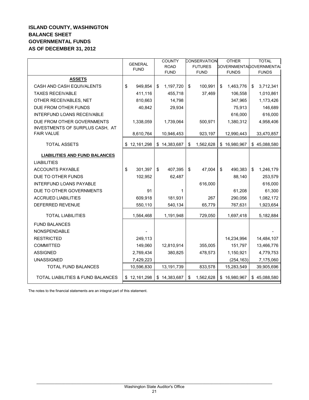## **ISLAND COUNTY, WASHINGTON BALANCE SHEET GOVERNMENTAL FUNDS AS OF DECEMBER 31, 2012**

|                                      | <b>GENERAL</b> |        | <b>COUNTY</b>   | CONSERVATION    | <b>OTHER</b> |              | <b>TOTAL</b> |                                 |
|--------------------------------------|----------------|--------|-----------------|-----------------|--------------|--------------|--------------|---------------------------------|
|                                      | <b>FUND</b>    |        | <b>ROAD</b>     | <b>FUTURES</b>  |              |              |              | <b>GOVERNMENTAIGOVERNMENTAL</b> |
|                                      |                |        | <b>FUND</b>     | <b>FUND</b>     |              | <b>FUNDS</b> |              | <b>FUNDS</b>                    |
| <b>ASSETS</b>                        |                |        |                 |                 |              |              |              |                                 |
| CASH AND CASH EQUIVALENTS            | \$<br>949,854  |        | \$<br>1,197,720 | \$<br>100,991   | \$           | 1,463,776    | \$           | 3,712,341                       |
| <b>TAXES RECEIVABLE</b>              | 411,116        |        | 455,718         | 37,469          |              | 106,558      |              | 1,010,861                       |
| OTHER RECEIVABLES, NET               | 810,663        |        | 14,798          |                 |              | 347,965      |              | 1,173,426                       |
| DUE FROM OTHER FUNDS                 |                | 40,842 | 29,934          |                 |              | 75,913       |              | 146,689                         |
| <b>INTERFUND LOANS RECEIVABLE</b>    |                |        |                 |                 |              | 616,000      |              | 616,000                         |
| DUE FROM OTHER GOVERNMENTS           | 1,338,059      |        | 1,739,064       | 500,971         |              | 1,380,312    |              | 4,958,406                       |
| INVESTMENTS OF SURPLUS CASH, AT      |                |        |                 |                 |              |              |              |                                 |
| <b>FAIR VALUE</b>                    | 8,610,764      |        | 10,946,453      | 923,197         |              | 12,990,443   |              | 33,470,857                      |
| <b>TOTAL ASSETS</b>                  | \$12,161,298   |        | \$14,383,687    | \$<br>1,562,628 |              | \$16,980,967 |              | \$45,088,580                    |
| <b>LIABILITIES AND FUND BALANCES</b> |                |        |                 |                 |              |              |              |                                 |
| <b>LIABILITIES</b>                   |                |        |                 |                 |              |              |              |                                 |
|                                      |                |        |                 |                 |              |              |              |                                 |
| <b>ACCOUNTS PAYABLE</b>              | \$<br>301,397  |        | \$<br>407,395   | \$<br>47,004    | \$           | 490,383      | \$           | 1,246,179                       |
| DUE TO OTHER FUNDS                   | 102,952        |        | 62,487          |                 |              | 88,140       |              | 253,579                         |
| <b>INTERFUND LOANS PAYABLE</b>       |                |        |                 | 616,000         |              |              |              | 616,000                         |
| DUE TO OTHER GOVERNMENTS             |                | 91     |                 |                 |              | 61,208       |              | 61,300                          |
| <b>ACCRUED LIABILITIES</b>           | 609,918        |        | 181,931         | 267             |              | 290.056      |              | 1,082,172                       |
| DEFERRED REVENUE                     | 550,110        |        | 540,134         | 65,779          |              | 767,631      |              | 1,923,654                       |
| <b>TOTAL LIABILITIES</b>             | 1,564,468      |        | 1,191,948       | 729,050         |              | 1,697,418    |              | 5,182,884                       |
| <b>FUND BALANCES</b>                 |                |        |                 |                 |              |              |              |                                 |
| NONSPENDABLE                         |                |        |                 |                 |              |              |              |                                 |
| <b>RESTRICTED</b>                    | 249,113        |        |                 |                 |              | 14,234,994   |              | 14,484,107                      |
| <b>COMMITTED</b>                     | 149,060        |        | 12,810,914      | 355,005         |              | 151,797      |              | 13,466,776                      |
| <b>ASSIGNED</b>                      | 2,769,434      |        | 380,825         | 478,573         |              | 1,150,921    |              | 4,779,753                       |
| <b>UNASSIGNED</b>                    | 7,429,223      |        |                 |                 |              | (254, 163)   |              | 7,175,060                       |
| TOTAL FUND BALANCES                  | 10,596,830     |        | 13,191,739      | 833,578         |              | 15,283,549   |              | 39,905,696                      |
| TOTAL LIABILITIES & FUND BALANCES    | \$12,161,298   |        | \$14,383,687    | \$<br>1,562,628 |              | \$16,980,967 |              | \$45,088,580                    |
|                                      |                |        |                 |                 |              |              |              |                                 |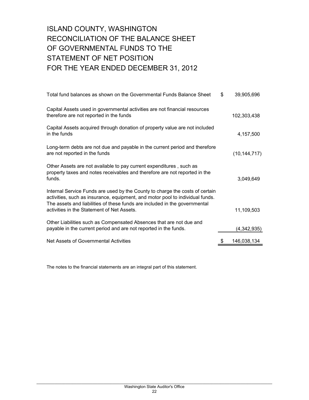# ISLAND COUNTY, WASHINGTON RECONCILIATION OF THE BALANCE SHEET OF GOVERNMENTAL FUNDS TO THE STATEMENT OF NET POSITION FOR THE YEAR ENDED DECEMBER 31, 2012

| Total fund balances as shown on the Governmental Funds Balance Sheet                                                                                                                                                                                                                      | \$<br>39,905,696 |
|-------------------------------------------------------------------------------------------------------------------------------------------------------------------------------------------------------------------------------------------------------------------------------------------|------------------|
| Capital Assets used in governmental activities are not financial resources<br>therefore are not reported in the funds                                                                                                                                                                     | 102,303,438      |
| Capital Assets acquired through donation of property value are not included<br>in the funds                                                                                                                                                                                               | 4,157,500        |
| Long-term debts are not due and payable in the current period and therefore<br>are not reported in the funds                                                                                                                                                                              | (10, 144, 717)   |
| Other Assets are not available to pay current expenditures, such as<br>property taxes and notes receivables and therefore are not reported in the<br>funds.                                                                                                                               | 3,049,649        |
| Internal Service Funds are used by the County to charge the costs of certain<br>activities, such as insurance, equipment, and motor pool to individual funds.<br>The assets and liabilities of these funds are included in the governmental<br>activities in the Statement of Net Assets. | 11,109,503       |
| Other Liabilities such as Compensated Absences that are not due and<br>payable in the current period and are not reported in the funds.                                                                                                                                                   | (4,342,935)      |
| Net Assets of Governmental Activities                                                                                                                                                                                                                                                     | 146,038,134      |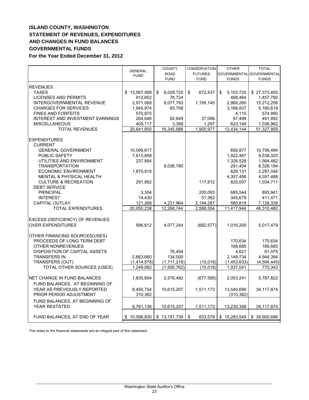## **ISLAND COUNTY, WASHINGTON STATEMENT OF REVENUES, EXPENDITURES AND CHANGES IN FUND BALANCES GOVERNMENTAL FUNDS For the Year Ended December 31, 2012**

|                                                             | <b>GENERAL</b>        | <b>COUNTY</b>           | <b>CONSERVATION</b>    | <b>OTHER</b>            | <b>TOTAL</b>              |
|-------------------------------------------------------------|-----------------------|-------------------------|------------------------|-------------------------|---------------------------|
|                                                             | <b>FUND</b>           | <b>ROAD</b>             | <b>FUTURES</b>         |                         | GOVERNMENTAL GOVERNMENTAL |
|                                                             |                       | <b>FUND</b>             | <b>FUND</b>            | <b>FUNDS</b>            | <b>FUNDS</b>              |
| <b>REVENUES</b>                                             |                       |                         |                        |                         |                           |
| <b>TAXES</b>                                                | \$13,567,568          | \$<br>8,029,725         | \$<br>672,437          | \$<br>5,103,720         | \$27,373,450              |
| <b>LICENSES AND PERMITS</b>                                 | 912,602               | 76,724                  |                        | 468,464                 | 1,457,790                 |
| INTERGOVERNMENTAL REVENUE                                   | 2,971,068             | 8,077,783               | 1,195,145              | 2,968,260               | 15,212,256                |
| <b>CHARGES FOR SERVICES</b>                                 | 1,945,974             | 65,708                  |                        | 3,168,937               | 5,180,619                 |
| <b>FINES AND FORFEITS</b>                                   | 570,875               |                         |                        | 4,115                   | 574,990                   |
| INTEREST AND INVESTMENT EARNINGS                            |                       | 92.649                  | 37.098                 | 97,499                  | 491,892                   |
| <b>MISCELLANEOUS</b>                                        | 264,646<br>409,117    | 3,399                   | 1,297                  | 623,149                 | 1,036,962                 |
| <b>TOTAL REVENUES</b>                                       | 20,641,850            | 16,345,988              | 1,905,977              | 12,434,144              | 51,327,959                |
|                                                             |                       |                         |                        |                         |                           |
| <b>EXPENDITURES</b>                                         |                       |                         |                        |                         |                           |
| <b>CURRENT</b>                                              |                       |                         |                        |                         |                           |
| <b>GENERAL GOVERNMENT</b>                                   | 10,099,617            |                         |                        | 656,877                 | 10,756,494                |
| PUBLIC SAFETY                                               | 7,615,858             |                         |                        | 1,922,467               | 9,538,325                 |
| UTILITIES AND ENVIRONMENT                                   | 237,954               |                         |                        | 1,326,528               | 1,564,482                 |
| <b>TRANSPORTATION</b>                                       |                       | 8,036,780               |                        | 291.404                 | 8,328,184                 |
| <b>ECONOMIC ENVIRONMENT</b>                                 | 1,670,915             |                         |                        | 626,131                 | 2,297,046                 |
| <b>MENTAL &amp; PHYSICAL HEALTH</b>                         |                       |                         |                        | 4,357,488               | 4,357,488                 |
| <b>CULTURE &amp; RECREATION</b>                             | 291,892               |                         | 117,812                | 625,007                 | 1,034,711                 |
| <b>DEBT SERVICE</b>                                         |                       |                         |                        |                         |                           |
|                                                             |                       |                         |                        |                         |                           |
| <b>PRINCIPAL</b>                                            | 3,304                 |                         | 205,093                | 685,544                 | 893,941                   |
| <b>INTEREST</b><br>CAPITAL OUTLAY                           | 14,430                |                         | 51,362                 | 345,679                 | 411,471                   |
| <b>TOTAL EXPENDITURES</b>                                   | 121,268<br>20,055,238 | 4,231,964<br>12.268.744 | 2,194,287<br>2,568,554 | 580,819<br>11.417.944   | 7,128,338<br>46,310,480   |
|                                                             |                       |                         |                        |                         |                           |
|                                                             |                       |                         |                        |                         |                           |
| EXCESS (DEFICIENCY) OF REVENUES<br><b>OVER EXPENDITURES</b> |                       |                         |                        |                         |                           |
|                                                             | 586,612               | 4,077,244               | (662, 577)             | 1,016,200               | 5,017,479                 |
|                                                             |                       |                         |                        |                         |                           |
| OTHER FINANCING SOURCES(USES)                               |                       |                         |                        |                         |                           |
| PROCEEDS OF LONG TERM DEBT                                  |                       |                         |                        | 170,634                 | 170,634                   |
| OTHER NONREVENUES                                           |                       |                         |                        | 168,685                 | 168,685                   |
| <b>DISPOSITION OF CAPITAL ASSETS</b>                        |                       | 76,454                  |                        | 4,621                   | 81,075                    |
| <b>TRANSFERS IN</b>                                         | 2,663,660             | 134,000                 |                        | 2,146,734               | 4,944,394                 |
| <b>TRANSFERS (OUT)</b>                                      | (1,414,578)           | (1,711,216)             | (15,018)               | (1,453,633)             | (4,594,445)               |
| TOTAL OTHER SOURCES (USES)                                  | 1,249,082             | (1,500,762)             | (15.018)               | 1,037,041               | 770.343                   |
| <b>NET CHANGE IN FUND BALANCES</b>                          | 1,835,694             | 2,576,482               | (677, 595)             | 2,053,241               | 5,787,822                 |
|                                                             |                       |                         |                        |                         |                           |
| FUND BALANCES, AT BEGINNING OF                              |                       |                         |                        |                         |                           |
| YEAR AS PREVIOUSLY REPORTED                                 | 8,450,754             | 10,615,257              | 1,511,173              | 13,540,690              | 34,117,874                |
| PRIOR PERIOD ADJUSTMENT                                     | 310,382               |                         |                        | (310, 382)              |                           |
| FUND BALANCES, AT BEGINNING OF                              |                       |                         |                        |                         |                           |
| <b>YEAR RESTATED</b>                                        | 8,761,136             | 10,615,257              | 1,511,173              | 13,230,308              | 34,117,874                |
|                                                             |                       |                         |                        |                         |                           |
| FUND BALANCES, AT END OF YEAR                               | \$10,596,830          | \$13,191,739            | \$                     | 833,578   \$ 15,283,549 | \$39,905,696              |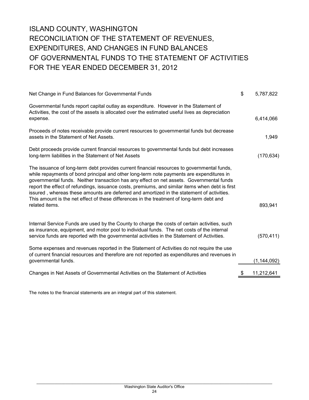# ISLAND COUNTY, WASHINGTON RECONCILIATION OF THE STATEMENT OF REVENUES, EXPENDITURES, AND CHANGES IN FUND BALANCES OF GOVERNMENTAL FUNDS TO THE STATEMENT OF ACTIVITIES FOR THE YEAR ENDED DECEMBER 31, 2012

| Net Change in Fund Balances for Governmental Funds                                                                                                                                                                                                                                                                                                                                                                                                                                                                                                                                                | \$<br>5,787,822 |
|---------------------------------------------------------------------------------------------------------------------------------------------------------------------------------------------------------------------------------------------------------------------------------------------------------------------------------------------------------------------------------------------------------------------------------------------------------------------------------------------------------------------------------------------------------------------------------------------------|-----------------|
| Governmental funds report capital outlay as expenditure. However in the Statement of<br>Activities, the cost of the assets is allocated over the estimated useful lives as depreciation<br>expense.                                                                                                                                                                                                                                                                                                                                                                                               | 6,414,066       |
| Proceeds of notes receivable provide current resources to governmental funds but decrease<br>assets in the Statement of Net Assets.                                                                                                                                                                                                                                                                                                                                                                                                                                                               | 1,949           |
| Debt proceeds provide current financial resources to governmental funds but debt increases<br>long-term liabilities in the Statement of Net Assets                                                                                                                                                                                                                                                                                                                                                                                                                                                | (170, 634)      |
| The issuance of long-term debt provides current financial resources to governmental funds,<br>while repayments of bond principal and other long-term note payments are expenditures in<br>governmental funds. Neither transaction has any effect on net assets. Governmental funds<br>report the effect of refundings, issuance costs, premiums, and similar items when debt is first<br>issured, whereas these amounts are deferred and amortized in the statement of activities.<br>This amount is the net effect of these differences in the treatment of long-term debt and<br>related items. | 893,941         |
| Internal Service Funds are used by the County to charge the costs of certain activities, such<br>as insurance, equipment, and motor pool to individual funds. The net costs of the internal<br>service funds are reported with the governmental activities in the Statement of Activities.                                                                                                                                                                                                                                                                                                        | (570, 411)      |
| Some expenses and revenues reported in the Statement of Activities do not require the use<br>of current financial resources and therefore are not reported as expenditures and revenues in<br>governmental funds.                                                                                                                                                                                                                                                                                                                                                                                 | (1, 144, 092)   |
| Changes in Net Assets of Governmental Activities on the Statement of Activities                                                                                                                                                                                                                                                                                                                                                                                                                                                                                                                   | 11,212,641      |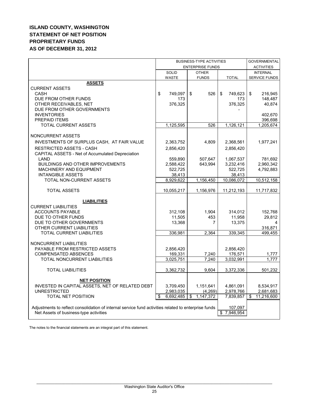# **ISLAND COUNTY, WASHINGTON STATEMENT OF NET POSITION PROPRIETARY FUNDS AS OF DECEMBER 31, 2012**

|                                                                                                      | <b>BUSINESS-TYPE ACTIVITIES</b> | <b>GOVERNMENTAL</b>     |               |    |                   |
|------------------------------------------------------------------------------------------------------|---------------------------------|-------------------------|---------------|----|-------------------|
|                                                                                                      |                                 | <b>ENTERPRISE FUNDS</b> |               |    | <b>ACTIVITIES</b> |
|                                                                                                      | SOLID                           | <b>OTHER</b>            |               |    | <b>INTERNAL</b>   |
|                                                                                                      | <b>WASTE</b>                    | <b>FUNDS</b>            | <b>TOTAL</b>  |    | SERVICE FUNDS     |
| <b>ASSETS</b>                                                                                        |                                 |                         |               |    |                   |
| <b>CURRENT ASSETS</b>                                                                                |                                 |                         |               |    |                   |
| <b>CASH</b>                                                                                          | \$<br>749,097                   | \$<br>526               | \$<br>749,623 | \$ | 216,945           |
| DUE FROM OTHER FUNDS                                                                                 | 173                             |                         | 173           |    | 148,487           |
| OTHER RECEIVABLES, NET                                                                               | 376,325                         |                         | 376,325       |    | 40,874            |
| DUE FROM OTHER GOVERNMENTS                                                                           |                                 |                         |               |    |                   |
| <b>INVENTORIES</b>                                                                                   |                                 |                         |               |    | 402,670           |
| PREPAID ITEMS                                                                                        |                                 |                         |               |    | 396,698           |
| TOTAL CURRENT ASSETS                                                                                 | 1,125,595                       | 526                     | 1,126,121     |    | 1,205,674         |
|                                                                                                      |                                 |                         |               |    |                   |
| NONCURRENT ASSETS                                                                                    |                                 |                         |               |    |                   |
| INVESTMENTS OF SURPLUS CASH, AT FAIR VALUE                                                           | 2,363,752                       | 4,809                   | 2,368,561     |    | 1,977,241         |
| RESTRICTED ASSETS - CASH                                                                             | 2,856,420                       |                         | 2,856,420     |    |                   |
| CAPITAL ASSETS - Net of Accumulated Depreciation                                                     |                                 |                         |               |    |                   |
| LAND                                                                                                 | 559,890                         | 507,647                 | 1,067,537     |    | 781,692           |
| <b>BUILDINGS AND OTHER IMPROVEMENTS</b>                                                              | 2,588,422                       | 643,994                 | 3,232,416     |    | 2,960,342         |
| MACHINERY AND EQUIPMENT                                                                              | 522,725                         |                         | 522,725       |    | 4,792,883         |
| <b>INTANGIBLE ASSETS</b>                                                                             | 38,413                          |                         | 38,413        |    |                   |
| TOTAL NON-CURRENT ASSETS                                                                             | 8,929,622                       | 1,156,450               | 10,086,072    |    | 10,512,158        |
|                                                                                                      |                                 |                         |               |    |                   |
| <b>TOTAL ASSETS</b>                                                                                  | 10,055,217                      | 1,156,976               | 11,212,193    |    | 11,717,832        |
|                                                                                                      |                                 |                         |               |    |                   |
| <b>LIABILITIES</b>                                                                                   |                                 |                         |               |    |                   |
| <b>CURRENT LIABILITIES</b>                                                                           |                                 |                         |               |    |                   |
| <b>ACCOUNTS PAYABLE</b>                                                                              | 312,108                         | 1,904                   | 314,012       |    | 152,768           |
| DUE TO OTHER FUNDS                                                                                   | 11,505                          | 453                     | 11,958        |    | 29,812            |
| DUE TO OTHER GOVERNMENTS                                                                             | 13,368                          | 7                       | 13,375        |    | 4                 |
| OTHER CURRENT LIABILITIES                                                                            |                                 |                         |               |    | 316,871           |
| TOTAL CURRENT LIABILITIES                                                                            | 336,981                         | 2,364                   | 339,345       |    | 499.455           |
|                                                                                                      |                                 |                         |               |    |                   |
| NONCURRENT LIABILITIES                                                                               |                                 |                         |               |    |                   |
| <b>PAYABLE FROM RESTRICTED ASSETS</b>                                                                | 2,856,420                       |                         | 2,856,420     |    |                   |
| <b>COMPENSATED ABSENCES</b>                                                                          | 169,331                         | 7,240                   | 176,571       |    | 1,777             |
| <b>TOTAL NONCURRENT LIABILITIES</b>                                                                  | 3,025,751                       | 7.240                   | 3,032,991     |    | 1.777             |
|                                                                                                      |                                 |                         |               |    |                   |
| <b>TOTAL LIABILITIES</b>                                                                             | 3,362,732                       | 9,604                   | 3,372,336     |    | 501,232           |
|                                                                                                      |                                 |                         |               |    |                   |
| <b>NET POSITION</b>                                                                                  |                                 |                         |               |    |                   |
| INVESTED IN CAPITAL ASSETS, NET OF RELATED DEBT                                                      | 3,709,450                       | 1,151,641               | 4,861,091     |    | 8,534,917         |
| <b>UNRESTRICTED</b>                                                                                  | 2,983,035                       | (4,269)                 | 2,978,766     |    | 2,681,683         |
| <b>TOTAL NET POSITIION</b>                                                                           | \$<br>6,692,485                 | \$<br>1,147,372         | 7,839,857     | \$ | 11,216,600        |
|                                                                                                      |                                 |                         |               |    |                   |
| Adjustments to reflect consolidation of internal service fund activities related to enterprise funds |                                 |                         | 107,097       |    |                   |
| Net Assets of business-type activities                                                               |                                 |                         | \$7,946,954   |    |                   |
|                                                                                                      |                                 |                         |               |    |                   |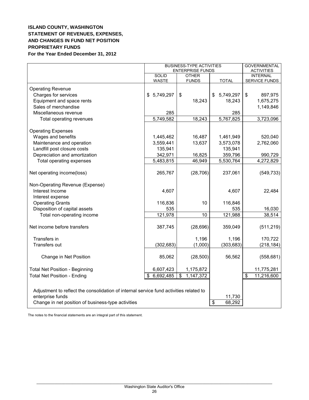### **ISLAND COUNTY, WASHINGTON STATEMENT OF REVENUES, EXPENSES, AND CHANGES IN FUND NET POSITION PROPRIETARY FUNDS For the Year Ended December 31, 2012**

|                                                                                        |                              | <b>BUSINESS-TYPE ACTIVITIES</b>      |                 | <b>GOVERNMENTAL</b>              |  |  |  |
|----------------------------------------------------------------------------------------|------------------------------|--------------------------------------|-----------------|----------------------------------|--|--|--|
|                                                                                        |                              | <b>ENTERPRISE FUNDS</b>              |                 | <b>ACTIVITIES</b>                |  |  |  |
|                                                                                        | <b>SOLID</b><br><b>WASTE</b> | <b>OTHER</b><br><b>FUNDS</b>         | <b>TOTAL</b>    | <b>INTERNAL</b><br>SERVICE FUNDS |  |  |  |
|                                                                                        |                              |                                      |                 |                                  |  |  |  |
| <b>Operating Revenue</b>                                                               |                              |                                      |                 |                                  |  |  |  |
| Charges for services                                                                   | 5,749,297<br>S               | $\$\$                                | 5,749,297<br>\$ | \$<br>897,975                    |  |  |  |
| Equipment and space rents                                                              |                              | 18,243                               | 18,243          | 1,675,275                        |  |  |  |
| Sales of merchandise                                                                   |                              |                                      |                 | 1,149,846                        |  |  |  |
| Miscellaneous revenue                                                                  | 285                          |                                      | 285             |                                  |  |  |  |
| Total operating revenues                                                               | 5,749,582                    | 18,243                               | 5,767,825       | 3,723,096                        |  |  |  |
|                                                                                        |                              |                                      |                 |                                  |  |  |  |
| <b>Operating Expenses</b>                                                              |                              |                                      |                 |                                  |  |  |  |
| Wages and benefits                                                                     | 1,445,462                    | 16,487                               | 1,461,949       | 520,040                          |  |  |  |
| Maintenance and operation                                                              | 3,559,441                    | 13,637                               | 3,573,078       | 2,762,060                        |  |  |  |
| Landfill post closure costs                                                            | 135,941                      |                                      | 135,941         |                                  |  |  |  |
| Depreciation and amortization                                                          | 342,971                      | 16,825                               | 359,796         | 990,729                          |  |  |  |
| Total operating expenses                                                               | 5,483,815                    | 46,949                               | 5,530,764       | 4,272,829                        |  |  |  |
|                                                                                        |                              |                                      |                 |                                  |  |  |  |
| Net operating income(loss)                                                             | 265,767                      | (28, 706)                            | 237,061         | (549, 733)                       |  |  |  |
| Non-Operating Revenue (Expense)                                                        |                              |                                      |                 |                                  |  |  |  |
| Interest Income                                                                        | 4,607                        |                                      | 4,607           | 22,484                           |  |  |  |
| Interest expense                                                                       |                              |                                      |                 |                                  |  |  |  |
| <b>Operating Grants</b>                                                                | 116,836                      | 10                                   | 116,846         |                                  |  |  |  |
| Disposition of capital assets                                                          | 535                          |                                      | 535             |                                  |  |  |  |
|                                                                                        |                              |                                      |                 | 16,030                           |  |  |  |
| Total non-operating income                                                             | 121,978                      | 10                                   | 121,988         | 38,514                           |  |  |  |
| Net income before transfers                                                            | 387,745                      | (28, 696)                            | 359,049         | (511, 219)                       |  |  |  |
|                                                                                        |                              |                                      |                 |                                  |  |  |  |
| Transfers in                                                                           |                              | 1,196                                | 1,196           | 170,722                          |  |  |  |
| Transfers out                                                                          | (302, 683)                   | (1,000)                              | (303, 683)      | (218, 184)                       |  |  |  |
| Change in Net Position                                                                 | 85,062                       | (28, 500)                            | 56,562          | (558, 681)                       |  |  |  |
|                                                                                        |                              |                                      |                 |                                  |  |  |  |
| <b>Total Net Position - Beginning</b>                                                  | 6,607,423                    | 1,175,872                            |                 | 11,775,281                       |  |  |  |
| <b>Total Net Position - Ending</b>                                                     | 6,692,485<br>\$              | $\sqrt[6]{\frac{1}{2}}$<br>1,147,372 |                 | \$<br>11,216,600                 |  |  |  |
|                                                                                        |                              |                                      |                 |                                  |  |  |  |
| Adjustment to reflect the consolidation of internal service fund activities related to |                              |                                      |                 |                                  |  |  |  |
| enterprise funds                                                                       |                              | 11,730                               |                 |                                  |  |  |  |
| Change in net position of business-type activities                                     |                              | \$<br>68,292                         |                 |                                  |  |  |  |
|                                                                                        |                              |                                      |                 |                                  |  |  |  |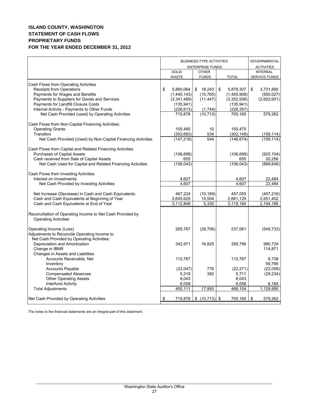### **ISLAND COUNTY, WASHINGTON STATEMENT OF CASH FLOWS PROPRIETARY FUNDS FOR THE YEAR ENDED DECEMBER 31, 2012**

|                                                                                           | <b>BUSINESS-TYPE ACTIVITIES</b> |                                |    |              |                 | <b>GOVERNMENTAL</b> |  |
|-------------------------------------------------------------------------------------------|---------------------------------|--------------------------------|----|--------------|-----------------|---------------------|--|
|                                                                                           | <b>ENTERPRISE FUNDS</b>         |                                |    |              |                 | <b>ACTIVITIES</b>   |  |
|                                                                                           | <b>SOLID</b>                    | <b>OTHER</b>                   |    |              | <b>INTERNAL</b> |                     |  |
|                                                                                           | <b>WASTE</b>                    | <b>FUNDS</b>                   |    | <b>TOTAL</b> |                 | SERVICE FUNDS       |  |
| Cash Flows from Operating Activities                                                      |                                 |                                |    |              |                 |                     |  |
| <b>Receipts from Operations</b>                                                           | \$<br>5,860,064                 | \$18,243                       | \$ | 5,878,307    | \$              | 3,731,890           |  |
| Payments for Wages and Benefits                                                           | (1,440,143)                     | (15, 765)                      |    | (1,455,908)  |                 | (550, 027)          |  |
| Payments to Suppliers for Goods and Services                                              | (3,341,489)                     | (11, 447)                      |    | (3,352,936)  |                 | (2,602,601)         |  |
| Payments for Landfill Closure Costs                                                       | (135, 941)                      |                                |    | (135, 941)   |                 |                     |  |
| Internal Activity - Payments to Other Funds                                               | (226, 613)                      | (1,744)                        |    | (228, 357)   |                 |                     |  |
| Net Cash Provided (used) by Operating Activities                                          | 715,878                         | (10, 713)                      |    | 705,165      |                 | 579,262             |  |
| Cash Flows from Non-Capital Financing Activities:                                         |                                 |                                |    |              |                 |                     |  |
| <b>Operating Grants</b>                                                                   | 155,465                         | 10                             |    | 155,475      |                 |                     |  |
| Transfers                                                                                 | (302, 683)                      | 534                            |    | (302, 149)   |                 | (159, 114)          |  |
| Net Cash Provided (Used) by Non-Capital Financing Activities                              | (147, 218)                      | 544                            |    | (146, 674)   |                 | (159, 114)          |  |
| Cash Flows from Capital and Related Financing Activities                                  |                                 |                                |    |              |                 |                     |  |
| Purchases of Capital Assets                                                               | (106, 698)                      |                                |    | (106, 698)   |                 | (920, 104)          |  |
| Cash received from Sale of Capital Assets                                                 | 655                             |                                |    | 655          |                 | 20,256              |  |
| Net Cash Used for Capital and Related Financing Activities                                | (106, 043)                      |                                |    | (106, 043)   |                 | (899, 848)          |  |
|                                                                                           |                                 |                                |    |              |                 |                     |  |
| Cash Flows from Investing Activities                                                      |                                 |                                |    |              |                 |                     |  |
| Interest on Investments                                                                   | 4,607                           |                                |    | 4,607        |                 | 22,484              |  |
| Net Cash Provided by Investing Activities                                                 | 4,607                           |                                |    | 4.607        |                 | 22.484              |  |
| Net Increase (Decrease) in Cash and Cash Equivalents                                      | 467,224                         | (10, 169)                      |    | 457,055      |                 | (457, 216)          |  |
| Cash and Cash Equivalents at Beginning of Year                                            | 2,645,625                       | 15,504                         |    | 2,661,129    |                 | 2,651,402           |  |
| Cash and Cash Equivalents at End of Year                                                  | 3,112,849                       | 5,335                          |    | 3,118,184    |                 | 2,194,186           |  |
| Reconciliation of Operating Income to Net Cash Provided by<br><b>Operating Activities</b> |                                 |                                |    |              |                 |                     |  |
|                                                                                           | 265,767                         | (28, 706)                      |    |              |                 |                     |  |
| Operating Income (Loss)<br>Adjustments to Reconcile Operating Income to                   |                                 |                                |    | 237,061      |                 | (549, 733)          |  |
| Net Cash Provided by Operating Activities:                                                |                                 |                                |    |              |                 |                     |  |
| Depreciation and Amortization                                                             | 342,971                         | 16,825                         |    | 359,796      |                 | 990,729             |  |
| Change in IBNR                                                                            |                                 |                                |    |              |                 | 114,871             |  |
| Changes in Assets and Liabilities                                                         |                                 |                                |    |              |                 |                     |  |
| Accounts Receivable, Net                                                                  | 110,767                         |                                |    | 110,767      |                 | 8,738               |  |
| Inventory                                                                                 |                                 |                                |    |              |                 | 59,766              |  |
| <b>Accounts Payable</b>                                                                   | (23, 047)                       | 776                            |    | (22, 271)    |                 | (22,059)            |  |
| <b>Compensated Absences</b>                                                               | 5,319                           | 392                            |    | 5,711        |                 | (29, 234)           |  |
| <b>Other Operating Assets</b>                                                             | 8,043                           |                                |    | 8,043        |                 |                     |  |
| Interfund Activity                                                                        | 6,058                           |                                |    | 6,058        |                 | 6,184               |  |
| <b>Total Adjustments</b>                                                                  | 450,111                         | 17,993                         |    | 468,104      |                 | 1,128,995           |  |
| Net Cash Provided by Operating Activities                                                 | \$                              | $715,878$   \$ $(10,713)$   \$ |    | 705,165      | \$              | 579,262             |  |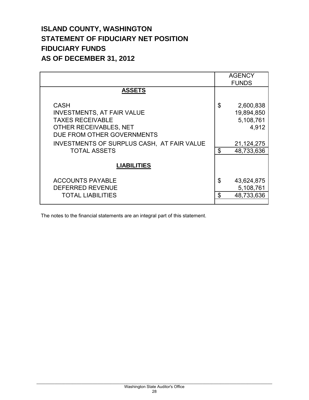# **ISLAND COUNTY, WASHINGTON STATEMENT OF FIDUCIARY NET POSITION FIDUCIARY FUNDS AS OF DECEMBER 31, 2012**

|                                                                                                                                                                                                                 | <b>AGENCY</b><br><b>FUNDS</b> |                                                                           |
|-----------------------------------------------------------------------------------------------------------------------------------------------------------------------------------------------------------------|-------------------------------|---------------------------------------------------------------------------|
| <b>ASSETS</b>                                                                                                                                                                                                   |                               |                                                                           |
| <b>CASH</b><br><b>INVESTMENTS, AT FAIR VALUE</b><br><b>TAXES RECEIVABLE</b><br>OTHER RECEIVABLES, NET<br>DUE FROM OTHER GOVERNMENTS<br><b>INVESTMENTS OF SURPLUS CASH, AT FAIR VALUE</b><br><b>TOTAL ASSETS</b> | \$<br>\$                      | 2,600,838<br>19,894,850<br>5,108,761<br>4,912<br>21,124,275<br>48,733,636 |
| <b>LIABILITIES</b>                                                                                                                                                                                              |                               |                                                                           |
| <b>ACCOUNTS PAYABLE</b><br><b>DEFERRED REVENUE</b>                                                                                                                                                              | \$                            | 43,624,875<br>5,108,761                                                   |
| <b>TOTAL LIABILITIES</b>                                                                                                                                                                                        | \$                            | 48,733,636                                                                |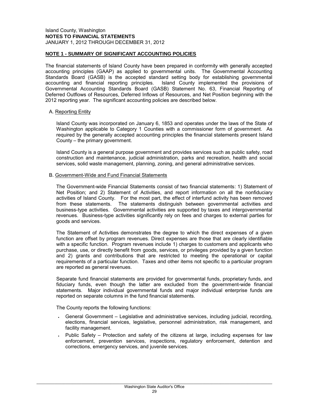#### Island County, Washington **NOTES TO FINANCIAL STATEMENTS**  JANUARY 1, 2012 THROUGH DECEMBER 31, 2012

#### **NOTE 1 - SUMMARY OF SIGNIFICANT ACCOUNTING POLICIES**

The financial statements of Island County have been prepared in conformity with generally accepted accounting principles (GAAP) as applied to governmental units. The Governmental Accounting Standards Board (GASB) is the accepted standard setting body for establishing governmental accounting and financial reporting principles. Island County implemented the provisions of Governmental Accounting Standards Board (GASB) Statement No. 63, Financial Reporting of Deferred Outflows of Resources, Deferred Inflows of Resources, and Net Position beginning with the 2012 reporting year. The significant accounting policies are described below.

#### A. Reporting Entity

Island County was incorporated on January 6, 1853 and operates under the laws of the State of Washington applicable to Category 1 Counties with a commissioner form of government. As required by the generally accepted accounting principles the financial statements present Island County – the primary government.

Island County is a general purpose government and provides services such as public safety, road construction and maintenance, judicial administration, parks and recreation, health and social services, solid waste management, planning, zoning, and general administrative services.

#### B. Government-Wide and Fund Financial Statements

The Government-wide Financial Statements consist of two financial statements: 1) Statement of Net Position; and 2) Statement of Activities, and report information on all the nonfiduciary activities of Island County. For the most part, the effect of interfund activity has been removed from these statements. The statements distinguish between governmental activities and business-type activities. Governmental activities are supported by taxes and intergovernmental revenues. Business-type activities significantly rely on fees and charges to external parties for goods and services.

The Statement of Activities demonstrates the degree to which the direct expenses of a given function are offset by program revenues. Direct expenses are those that are clearly identifiable with a specific function. Program revenues include 1) charges to customers and applicants who purchase, use, or directly benefit from goods, services, or privileges provided by a given function and 2) grants and contributions that are restricted to meeting the operational or capital requirements of a particular function. Taxes and other items not specific to a particular program are reported as general revenues.

Separate fund financial statements are provided for governmental funds, proprietary funds, and fiduciary funds, even though the latter are excluded from the government-wide financial statements. Major individual governmental funds and major individual enterprise funds are reported on separate columns in the fund financial statements.

The County reports the following functions:

- General Government Legislative and administrative services, including judicial, recording, elections, financial services, legislative, personnel administration, risk management, and facility management.
- Public Safety Protection and safety of the citizens at large, including expenses for law enforcement, prevention services, inspections, regulatory enforcement, detention and corrections, emergency services, and juvenile services.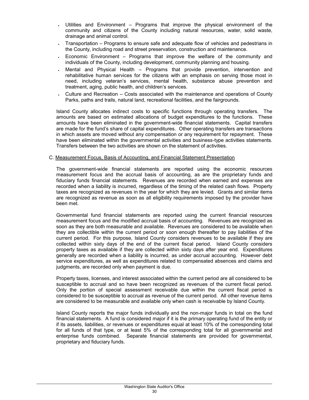- Utilities and Environment Programs that improve the physical environment of the community and citizens of the County including natural resources, water, solid waste, drainage and animal control.
- Transportation Programs to ensure safe and adequate flow of vehicles and pedestrians in the County, including road and street preservation, construction and maintenance.
- Economic Environment Programs that improve the welfare of the community and individuals of the County, including development, community planning and housing.
- Mental and Physical Health Programs that provide prevention, intervention and rehabilitative human services for the citizens with an emphasis on serving those most in need, including veteran's services, mental health, substance abuse prevention and treatment, aging, public health, and children's services.
- Culture and Recreation Costs associated with the maintenance and operations of County Parks, paths and trails, natural land, recreational facilities, and the fairgrounds.

Island County allocates indirect costs to specific functions through operating transfers. The amounts are based on estimated allocations of budget expenditures to the functions. These amounts have been eliminated in the government-wide financial statements. Capital transfers are made for the fund's share of capital expenditures. Other operating transfers are transactions in which assets are moved without any compensation or any requirement for repayment. These have been eliminated within the governmental activities and business-type activities statements. Transfers between the two activities are shown on the statement of activities.

#### C. Measurement Focus, Basis of Accounting, and Financial Statement Presentation

The government-wide financial statements are reported using the economic resources measurement focus and the accrual basis of accounting, as are the proprietary funds and fiduciary funds financial statements. Revenues are recorded when earned and expenses are recorded when a liability is incurred, regardless of the timing of the related cash flows. Property taxes are recognized as revenues in the year for which they are levied. Grants and similar items are recognized as revenue as soon as all eligibility requirements imposed by the provider have been met.

Governmental fund financial statements are reported using the current financial resources measurement focus and the modified accrual basis of accounting. Revenues are recognized as soon as they are both measurable and available. Revenues are considered to be available when they are collectible within the current period or soon enough thereafter to pay liabilities of the current period. For this purpose, Island County considers revenues to be available if they are collected within sixty days of the end of the current fiscal period. Island County considers property taxes as available if they are collected within sixty days after year end. Expenditures generally are recorded when a liability is incurred, as under accrual accounting. However debt service expenditures, as well as expenditures related to compensated absences and claims and judgments, are recorded only when payment is due.

Property taxes, licenses, and interest associated within the current period are all considered to be susceptible to accrual and so have been recognized as revenues of the current fiscal period. Only the portion of special assessment receivable due within the current fiscal period is considered to be susceptible to accrual as revenue of the current period. All other revenue items are considered to be measurable and available only when cash is receivable by Island County.

Island County reports the major funds individually and the non-major funds in total on the fund financial statements. A fund is considered major if it is the primary operating fund of the entity or if its assets, liabilities, or revenues or expenditures equal at least 10% of the corresponding total for all funds of that type, or at least 5% of the corresponding total for all governmental and enterprise funds combined. Separate financial statements are provided for governmental, proprietary and fiduciary funds.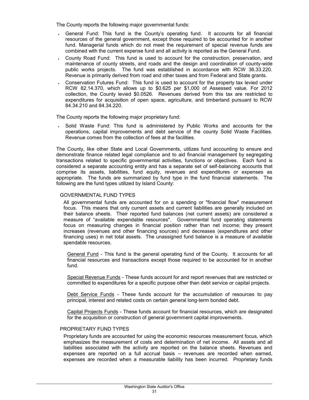The County reports the following major governmental funds:

- General Fund: This fund is the County's operating fund. It accounts for all financial resources of the general government, except those required to be accounted for in another fund. Managerial funds which do not meet the requirement of special revenue funds are combined with the current expense fund and all activity is reported as the General Fund.
- County Road Fund: This fund is used to account for the construction, preservation, and maintenance of county streets, and roads and the design and coordination of county-wide public works projects. The fund was established in accordance with RCW 36.33.220. Revenue is primarily derived from road and other taxes and from Federal and State grants.
- Conservation Futures Fund: This fund is used to account for the property tax levied under RCW 82.14.370, which allows up to \$0.625 per \$1,000 of Assessed value. For 2012 collection, the County levied \$0.0526. Revenues derived from this tax are restricted to expenditures for acquisition of open space, agriculture, and timberland pursuant to RCW 84.34.210 and 84.34.220.

The County reports the following major proprietary fund:

 Solid Waste Fund: This fund is administered by Public Works and accounts for the operations, capital improvements and debt service of the county Solid Waste Facilities. Revenue comes from the collection of fees at the facilities.

The County, like other State and Local Governments, utilizes fund accounting to ensure and demonstrate finance related legal compliance and to aid financial management by segregating transactions related to specific governmental activities, functions or objectives. Each fund is considered a separate accounting entity and has a separate set of self-balancing accounts that comprise its assets, liabilities, fund equity, revenues and expenditures or expenses as appropriate. The funds are summarized by fund type in the fund financial statements. The following are the fund types utilized by Island County:

#### GOVERNMENTAL FUND TYPES

All governmental funds are accounted for on a spending or "financial flow" measurement focus. This means that only current assets and current liabilities are generally included on their balance sheets. Their reported fund balances (net current assets) are considered a measure of "available expendable resources". Governmental fund operating statements focus on measuring changes in financial position rather than net income; they present increases (revenues and other financing sources) and decreases (expenditures and other financing uses) in net total assets. The unassigned fund balance is a measure of available spendable resources.

General Fund - This fund is the general operating fund of the County. It accounts for all financial resources and transactions except those required to be accounted for in another fund.

Special Revenue Funds - These funds account for and report revenues that are restricted or committed to expenditures for a specific purpose other than debt service or capital projects.

Debt Service Funds - These funds account for the accumulation of resources to pay principal, interest and related costs on certain general long-term bonded debt.

Capital Projects Funds - These funds account for financial resources, which are designated for the acquisition or construction of general government capital improvements.

#### PROPRIETARY FUND TYPES

Proprietary funds are accounted for using the economic resources measurement focus, which emphasizes the measurement of costs and determination of net income. All assets and all liabilities associated with the activity are reported on the balance sheets. Revenues and expenses are reported on a full accrual basis – revenues are recorded when earned, expenses are recorded when a measurable liability has been incurred. Proprietary funds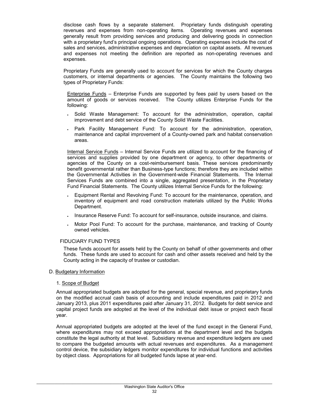disclose cash flows by a separate statement. Proprietary funds distinguish operating revenues and expenses from non-operating items. Operating revenues and expenses generally result from providing services and producing and delivering goods in connection with a proprietary fund's principal ongoing operations. Operating expenses include the cost of sales and services, administrative expenses and depreciation on capital assets. All revenues and expenses not meeting the definition are reported as non-operating revenues and expenses.

Proprietary Funds are generally used to account for services for which the County charges customers, or internal departments or agencies. The County maintains the following two types of Proprietary Funds:

Enterprise Funds – Enterprise Funds are supported by fees paid by users based on the amount of goods or services received. The County utilizes Enterprise Funds for the following:

- . Solid Waste Management: To account for the administration, operation, capital improvement and debt service of the County Solid Waste Facilities.
- . Park Facility Management Fund: To account for the administration, operation, maintenance and capital improvement of a County-owned park and habitat conservation areas.

Internal Service Funds – Internal Service Funds are utilized to account for the financing of services and supplies provided by one department or agency, to other departments or agencies of the County on a cost-reimbursement basis. These services predominantly benefit governmental rather than Business-type functions; therefore they are included within the Governmental Activities in the Government-wide Financial Statements. The Internal Services Funds are combined into a single, aggregated presentation, in the Proprietary Fund Financial Statements. The County utilizes Internal Service Funds for the following:

- Equipment Rental and Revolving Fund: To account for the maintenance, operation, and inventory of equipment and road construction materials utilized by the Public Works Department.
- Insurance Reserve Fund: To account for self-insurance, outside insurance, and claims.
- Motor Pool Fund: To account for the purchase, maintenance, and tracking of County owned vehicles.

#### FIDUCIARY FUND TYPES

These funds account for assets held by the County on behalf of other governments and other funds. These funds are used to account for cash and other assets received and held by the County acting in the capacity of trustee or custodian.

#### D. Budgetary Information

#### 1. Scope of Budget

Annual appropriated budgets are adopted for the general, special revenue, and proprietary funds on the modified accrual cash basis of accounting and include expenditures paid in 2012 and January 2013, plus 2011 expenditures paid after January 31, 2012. Budgets for debt service and capital project funds are adopted at the level of the individual debt issue or project each fiscal year.

Annual appropriated budgets are adopted at the level of the fund except in the General Fund, where expenditures may not exceed appropriations at the department level and the budgets constitute the legal authority at that level. Subsidiary revenue and expenditure ledgers are used to compare the budgeted amounts with actual revenues and expenditures. As a management control device, the subsidiary ledgers monitor expenditures for individual functions and activities by object class. Appropriations for all budgeted funds lapse at year-end.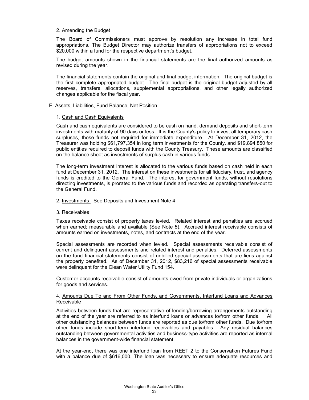#### 2. Amending the Budget

The Board of Commissioners must approve by resolution any increase in total fund appropriations. The Budget Director may authorize transfers of appropriations not to exceed \$20,000 within a fund for the respective department's budget.

The budget amounts shown in the financial statements are the final authorized amounts as revised during the year.

The financial statements contain the original and final budget information. The original budget is the first complete appropriated budget. The final budget is the original budget adjusted by all reserves, transfers, allocations, supplemental appropriations, and other legally authorized changes applicable for the fiscal year.

#### E. Assets, Liabilities, Fund Balance, Net Position

#### 1. Cash and Cash Equivalents

Cash and cash equivalents are considered to be cash on hand, demand deposits and short-term investments with maturity of 90 days or less. It is the County's policy to invest all temporary cash surpluses, those funds not required for immediate expenditure. At December 31, 2012, the Treasurer was holding \$61,797,354 in long term investments for the County, and \$19,894,850 for public entities required to deposit funds with the County Treasury. These amounts are classified on the balance sheet as investments of surplus cash in various funds.

The long-term investment interest is allocated to the various funds based on cash held in each fund at December 31, 2012. The interest on these investments for all fiduciary, trust, and agency funds is credited to the General Fund. The interest for government funds, without resolutions directing investments, is prorated to the various funds and recorded as operating transfers-out to the General Fund.

#### 2. Investments - See Deposits and Investment Note 4

#### 3. Receivables

Taxes receivable consist of property taxes levied. Related interest and penalties are accrued when earned; measurable and available (See Note 5). Accrued interest receivable consists of amounts earned on investments, notes, and contracts at the end of the year.

Special assessments are recorded when levied. Special assessments receivable consist of current and delinquent assessments and related interest and penalties. Deferred assessments on the fund financial statements consist of unbilled special assessments that are liens against the property benefited. As of December 31, 2012, \$83,216 of special assessments receivable were delinquent for the Clean Water Utility Fund 154.

Customer accounts receivable consist of amounts owed from private individuals or organizations for goods and services.

#### 4. Amounts Due To and From Other Funds, and Governments, Interfund Loans and Advances Receivable

Activities between funds that are representative of lending/borrowing arrangements outstanding at the end of the year are referred to as interfund loans or advances to/from other funds. All other outstanding balances between funds are reported as due to/from other funds. Due to/from other funds include short-term interfund receivables and payables. Any residual balances outstanding between governmental activities and business-type activities are reported as internal balances in the government-wide financial statement.

At the year-end, there was one interfund loan from REET 2 to the Conservation Futures Fund with a balance due of \$616,000. The loan was necessary to ensure adequate resources and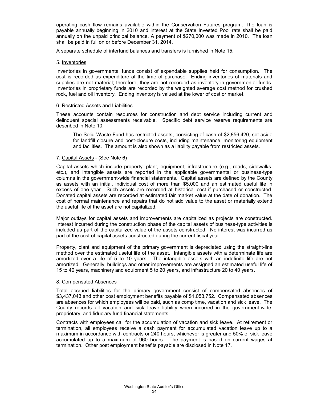operating cash flow remains available within the Conservation Futures program. The loan is payable annually beginning in 2010 and interest at the State Invested Pool rate shall be paid annually on the unpaid principal balance. A payment of \$270,000 was made in 2010. The loan shall be paid in full on or before December 31, 2014.

A separate schedule of interfund balances and transfers is furnished in Note 15.

### 5. Inventories

Inventories in governmental funds consist of expendable supplies held for consumption. The cost is recorded as expenditure at the time of purchase. Ending inventories of materials and supplies are not material; therefore, they are not recorded as inventory in governmental funds. Inventories in proprietary funds are recorded by the weighted average cost method for crushed rock, fuel and oil inventory. Ending inventory is valued at the lower of cost or market.

#### 6. Restricted Assets and Liabilities

These accounts contain resources for construction and debt service including current and delinquent special assessments receivable. Specific debt service reserve requirements are described in Note 10.

The Solid Waste Fund has restricted assets, consisting of cash of \$2,856,420, set aside for landfill closure and post-closure costs, including maintenance, monitoring equipment and facilities. The amount is also shown as a liability payable from restricted assets.

## 7. Capital Assets - (See Note 6)

Capital assets which include property, plant, equipment, infrastructure (e.g., roads, sidewalks, etc.), and intangible assets are reported in the applicable governmental or business-type columns in the government-wide financial statements. Capital assets are defined by the County as assets with an initial, individual cost of more than \$5,000 and an estimated useful life in excess of one year. Such assets are recorded at historical cost if purchased or constructed. Donated capital assets are recorded at estimated fair market value at the date of donation. The cost of normal maintenance and repairs that do not add value to the asset or materially extend the useful life of the asset are not capitalized.

Major outlays for capital assets and improvements are capitalized as projects are constructed. Interest incurred during the construction phase of the capital assets of business-type activities is included as part of the capitalized value of the assets constructed. No interest was incurred as part of the cost of capital assets constructed during the current fiscal year.

Property, plant and equipment of the primary government is depreciated using the straight-line method over the estimated useful life of the asset. Intangible assets with a determinate life are amortized over a life of 5 to 10 years. The intangible assets with an indefinite life are not amortized. Generally, buildings and other improvements are assigned an estimated useful life of 15 to 40 years, machinery and equipment 5 to 20 years, and infrastructure 20 to 40 years.

#### 8. Compensated Absences

Total accrued liabilities for the primary government consist of compensated absences of \$3,437,043 and other post employment benefits payable of \$1,053,752. Compensated absences are absences for which employees will be paid, such as comp time, vacation and sick leave. The County records all vacation and sick leave liability when incurred in the government-wide, proprietary, and fiduciary fund financial statements.

Contracts with employees call for the accumulation of vacation and sick leave. At retirement or termination, all employees receive a cash payment for accumulated vacation leave up to a maximum in accordance with contracts or 240 hours, whichever is greater and 50% of sick leave accumulated up to a maximum of 960 hours. The payment is based on current wages at termination. Other post employment benefits payable are disclosed in Note 17.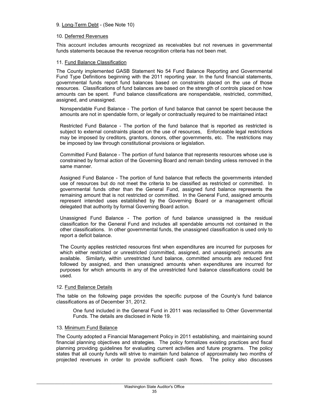### 9. Long-Term Debt - (See Note 10)

### 10. Deferred Revenues

This account includes amounts recognized as receivables but not revenues in governmental funds statements because the revenue recognition criteria has not been met.

### 11. Fund Balance Classification

The County implemented GASB Statement No 54 Fund Balance Reporting and Governmental Fund Type Definitions beginning with the 2011 reporting year. In the fund financial statements, governmental funds report fund balances based on constraints placed on the use of those resources. Classifications of fund balances are based on the strength of controls placed on how amounts can be spent. Fund balance classifications are nonspendable, restricted, committed, assigned, and unassigned.

Nonspendable Fund Balance - The portion of fund balance that cannot be spent because the amounts are not in spendable form, or legally or contractually required to be maintained intact

Restricted Fund Balance - The portion of the fund balance that is reported as restricted is subject to external constraints placed on the use of resources, Enforceable legal restrictions may be imposed by creditors, grantors, donors, other governments, etc. The restrictions may be imposed by law through constitutional provisions or legislation.

Committed Fund Balance - The portion of fund balance that represents resources whose use is constrained by formal action of the Governing Board and remain binding unless removed in the same manner.

Assigned Fund Balance - The portion of fund balance that reflects the governments intended use of resources but do not meet the criteria to be classified as restricted or committed. In governmental funds other than the General Fund, assigned fund balance represents the remaining amount that is not restricted or committed. In the General Fund, assigned amounts represent intended uses established by the Governing Board or a management official delegated that authority by formal Governing Board action.

Unassigned Fund Balance - The portion of fund balance unassigned is the residual classification for the General Fund and includes all spendable amounts not contained in the other classifications. In other governmental funds, the unassigned classification is used only to report a deficit balance.

The County applies restricted resources first when expenditures are incurred for purposes for which either restricted or unrestricted (committed, assigned, and unassigned) amounts are available. Similarly, within unrestricted fund balance, committed amounts are reduced first followed by assigned, and then unassigned amounts when expenditures are incurred for purposes for which amounts in any of the unrestricted fund balance classifications could be used.

#### 12. Fund Balance Details

The table on the following page provides the specific purpose of the County's fund balance classifications as of December 31, 2012.

One fund included in the General Fund in 2011 was reclassified to Other Governmental Funds. The details are disclosed in Note 19.

## 13. Minimum Fund Balance

The County adopted a Financial Management Policy in 2011 establishing, and maintaining sound financial planning objectives and strategies. The policy formalizes existing practices and fiscal planning providing guidelines for evaluating current activities and future programs. The policy states that all county funds will strive to maintain fund balance of approximately two months of projected revenues in order to provide sufficient cash flows. The policy also discusses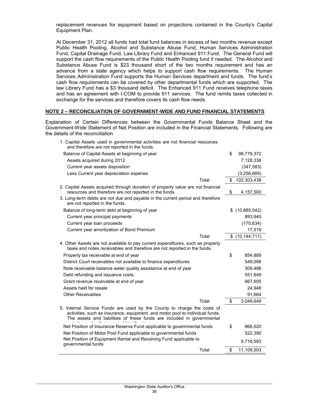replacement revenues for equipment based on projections contained in the County's Capital Equipment Plan.

At December 31, 2012 all funds had total fund balances in excess of two months revenue except Public Health Pooling, Alcohol and Substance Abuse Fund, Human Services Administration Fund, Capital Drainage Fund, Law Library Fund and Enhanced 911 Fund. The General Fund will support the cash flow requirements of the Public Health Pooling fund if needed. The Alcohol and Substance Abuse Fund is \$23 thousand short of the two months requirement and has an advance from a state agency which helps to support cash flow requirements. The Human Services Administration Fund supports the Human Services department and funds. The fund's cash flow requirements can be covered by other departmental funds which are supported. The law Library Fund has a \$3 thousand deficit. The Enhanced 911 Fund receives telephone taxes and has an agreement with I-COM to provide 911 services. The fund remits taxes collected in exchange for the services and therefore covers its cash flow needs.

#### **NOTE 2 – RECONCILIATION OF GOVERNMENT-WIDE AND FUND FINANCIAL STATEMENTS**

Explanation of Certain Differences between the Governmental Funds Balance Sheet and the Government-Wide Statement of Net Position are included in the Financial Statements. Following are the details of the reconciliation.

| 1. Capital Assets used in governmental activities are not financial resources<br>and therefore are not reported in the funds.                                                                                                      |                   |
|------------------------------------------------------------------------------------------------------------------------------------------------------------------------------------------------------------------------------------|-------------------|
| Balance of Capital Assets at beginning of year                                                                                                                                                                                     | \$<br>98,779,372  |
| Assets acquired during 2012                                                                                                                                                                                                        | 7,128,338         |
| Current year assets disposition                                                                                                                                                                                                    | (347, 583)        |
| Less Current year depreciation expense                                                                                                                                                                                             | (3,256,689)       |
| Total                                                                                                                                                                                                                              | \$<br>102,303,438 |
| 2. Capital Assets acquired through donation of property value are not financial<br>resources and therefore are not reported in the funds.                                                                                          | \$<br>4,157,500   |
| 3. Long-term debts are not due and payable in the current period and therefore<br>are not reported in the funds.                                                                                                                   |                   |
| Balance of long-term debt at beginning of year                                                                                                                                                                                     | \$(10,885,542)    |
| Current year principal payments                                                                                                                                                                                                    | 893,940           |
| Current year loan proceeds                                                                                                                                                                                                         | (170, 634)        |
| Current year amortization of Bond Premium                                                                                                                                                                                          | 17,519            |
| Total                                                                                                                                                                                                                              | \$(10, 144, 717)  |
| 4. Other Assets are not available to pay current expenditures, such as property<br>taxes and notes receivables and therefore are not reported in the funds.                                                                        |                   |
| Property tax receivable at end of year                                                                                                                                                                                             | \$<br>854,889     |
| District Court receivables not available to finance expenditures                                                                                                                                                                   | 549,098           |
| Note receivable balance water quality assistance at end of year                                                                                                                                                                    | 309,496           |
| Debt refunding and issuance costs                                                                                                                                                                                                  | 551,949           |
| Grant revenue receivable at end of year                                                                                                                                                                                            | 667,605           |
| Assets held for resale                                                                                                                                                                                                             | 24,948            |
| <b>Other Receivables</b>                                                                                                                                                                                                           | 91,664            |
| Total                                                                                                                                                                                                                              | \$<br>3,049,649   |
| 5. Internal Service Funds are used by the County to charge the costs of<br>activities, such as insurance, equipment, and motor pool to individual funds.<br>The assets and liabilities of these funds are included in governmental |                   |
| Net Position of Insurance Reserve Fund applicable to governmental funds                                                                                                                                                            | \$<br>868,520     |
| Net Position of Motor Pool Fund applicable to governmental funds                                                                                                                                                                   | 522,390           |
| Net Position of Equipment Rental and Revolving Fund applicable to<br>governmental funds                                                                                                                                            | 9,718,593         |
| Total                                                                                                                                                                                                                              | \$<br>11,109,503  |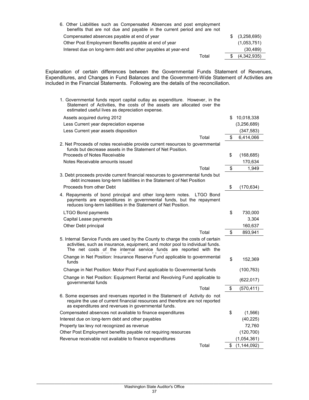| 6. Other Liabilities such as Compensated Absences and post employment<br>benefits that are not due and payable in the current period and are not |    |             |
|--------------------------------------------------------------------------------------------------------------------------------------------------|----|-------------|
| Compensated absences payable at end of year                                                                                                      | S. | (3,258,695) |
| Other Post Employment Benefits payable at end of year                                                                                            |    | (1,053,751) |
| Interest due on long-term debt and other payables at year-end                                                                                    |    | (30, 489)   |
| Total                                                                                                                                            |    | (4,342,935) |

Explanation of certain differences between the Governmental Funds Statement of Revenues, Expenditures, and Changes in Fund Balances and the Government-Wide Statement of Activities are included in the Financial Statements. Following are the details of the reconciliation.

| 1. Governmental funds report capital outlay as expenditure. However, in the<br>Statement of Activities, the costs of the assets are allocated over the<br>estimated useful lives as depreciation expense.                             |    |               |
|---------------------------------------------------------------------------------------------------------------------------------------------------------------------------------------------------------------------------------------|----|---------------|
| Assets acquired during 2012                                                                                                                                                                                                           | S  | 10,018,338    |
| Less Current year depreciation expense                                                                                                                                                                                                |    | (3,256,689)   |
| Less Current year assets disposition                                                                                                                                                                                                  |    | (347, 583)    |
| Total                                                                                                                                                                                                                                 | \$ | 6,414,066     |
| 2. Net Proceeds of notes receivable provide current resources to governmental<br>funds but decrease assets in the Statement of Net Position.                                                                                          |    |               |
| Proceeds of Notes Receivable                                                                                                                                                                                                          | \$ | (168, 685)    |
| Notes Receivable amounts issued                                                                                                                                                                                                       |    | 170,634       |
| Total                                                                                                                                                                                                                                 | \$ | 1,949         |
| 3. Debt proceeds provide current financial resources to governmental funds but<br>debt increases long-term liabilities in the Statement of Net Position                                                                               |    |               |
| Proceeds from other Debt                                                                                                                                                                                                              | \$ | (170,634)     |
| 4. Repayments of bond principal and other long-term notes.<br>LTGO Bond<br>payments are expenditures in governmental funds, but the repayment<br>reduces long-term liabilities in the Statement of Net Position.                      |    |               |
| <b>LTGO Bond payments</b>                                                                                                                                                                                                             | \$ | 730,000       |
| Capital Lease payments                                                                                                                                                                                                                |    | 3,304         |
| Other Debt principal                                                                                                                                                                                                                  |    | 160,637       |
| Total                                                                                                                                                                                                                                 | \$ | 893,941       |
| 5. Internal Service Funds are used by the County to charge the costs of certain<br>activities, such as insurance, equipment, and motor pool to individual funds.<br>The net costs of the internal service funds are reported with the |    |               |
| Change in Net Position: Insurance Reserve Fund applicable to governmental<br>funds                                                                                                                                                    | \$ | 152,369       |
| Change in Net Position: Motor Pool Fund applicable to Governmental funds                                                                                                                                                              |    | (100, 763)    |
| Change in Net Position: Equipment Rental and Revolving Fund applicable to<br>governmental funds                                                                                                                                       |    | (622, 017)    |
| Total                                                                                                                                                                                                                                 | \$ | (570, 411)    |
| 6. Some expenses and revenues reported in the Statement of Activity do not<br>require the use of current financial resources and therefore are not reported<br>as expenditures and revenues in governmental funds.                    |    |               |
| Compensated absences not available to finance expenditures                                                                                                                                                                            | \$ | (1,566)       |
| Interest due on long-term debt and other payables                                                                                                                                                                                     |    | (40, 225)     |
| Property tax levy not recognized as revenue                                                                                                                                                                                           |    | 72,760        |
| Other Post Employment benefits payable not requiring resources                                                                                                                                                                        |    | (120, 700)    |
| Revenue receivable not available to finance expenditures                                                                                                                                                                              |    | (1,054,361)   |
| Total                                                                                                                                                                                                                                 | \$ | (1, 144, 092) |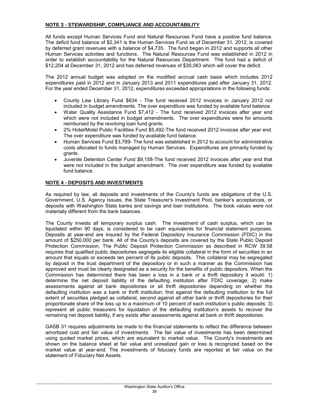# **NOTE 3 - STEWARDSHIP, COMPLIANCE AND ACCOUNTABILITY**

All funds except Human Services Fund and Natural Resources Fund have a positive fund balance. The deficit fund balance of \$2,341 is the Human Services Fund as of December 31, 2012, is covered by deferred grant revenues with a balance of \$4,735. The fund began in 2012 and supports all other Human Services activities and functions. The Natural Resources Fund was established in 2012 in order to establish accountability for the Natural Resources Department. The fund had a deficit of \$12,204 at December 31, 2012 and has deferred revenues of \$30,063 which will cover the deficit.

The 2012 annual budget was adopted on the modified accrual cash basis which includes 2012 expenditures paid in 2012 and in January 2013 and 2011 expenditures paid after January 31, 2012. For the year ended December 31, 2012, expenditures exceeded appropriations in the following funds:

- County Law Library Fund \$634 The fund received 2012 invoices in January 2012 not included in budget amendments. The over expenditure was funded by available fund balance.
- Water Quality Assistance Fund \$7,412 The fund received 2012 invoices after year end which were not included in budget amendments. The over expenditures were for amounts reimbursed by the revolving loan fund grants.
- 2% Hotel/Motel Public Facilities Fund \$5,492-The fund received 2012 invoices after year end. The over expenditure was funded by available fund balance.
- Human Services Fund \$3,789- The fund was established in 2012 to account for administrative costs allocated to funds managed by Human Services. Expenditures are primarily funded by grants.
- Juvenile Detention Center Fund \$9,158-The fund received 2012 invoices after year end that were not included in the budget amendment. The over expenditure was funded by available fund balance.

### **NOTE 4 - DEPOSITS AND INVESTMENTS**

As required by law, all deposits and investments of the County's funds are obligations of the U.S. Government, U.S. Agency Issues, the State Treasurer's Investment Pool, banker's acceptances, or deposits with Washington State banks and savings and loan institutions. The book values were not materially different from the bank balances.

The County invests all temporary surplus cash. The investment of cash surplus, which can be liquidated within 90 days, is considered to be cash equivalents for financial statement purposes. Deposits at year-end are insured by the Federal Depository Insurance Commission (FDIC) in the amount of \$250,000 per bank. All of the County's deposits are covered by the State Public Deposit Protection Commission. The Public Deposit Protection Commission as described in RCW 39.58 requires that qualified public depositories segregate its eligible collateral in the form of securities in an amount that equals or exceeds ten percent of its public deposits. This collateral may be segregated by deposit in the trust department of the depository or in such a manner as the Commission has approved and must be clearly designated as a security for the benefits of public depositors. When the Commission has determined there has been a loss in a bank or a thrift depository it would: 1) determine the net deposit liability of the defaulting institution after FDIC coverage; 2) make assessments against all bank depositories or all thrift depositories depending on whether the defaulting institution was a bank or thrift institution; first against the defaulting institution to the full extent of securities pledged as collateral, second against all other bank or thrift depositories for their proportionate share of the loss up to a maximum of 10 percent of each institution's public deposits; 3) represent all public treasurers for liquidation of the defaulting institution's assets to recover the remaining net deposit liability, if any exists after assessments against all bank or thrift depositories.

GASB 31 requires adjustments be made to the financial statements to reflect the difference between amortized cost and fair value of investments. The fair value of investments has been determined using quoted market prices, which are equivalent to market value. The County's investments are shown on the balance sheet at fair value and unrealized gain or loss is recognized based on the market value at year-end. The investments of fiduciary funds are reported at fair value on the statement of Fiduciary Net Assets.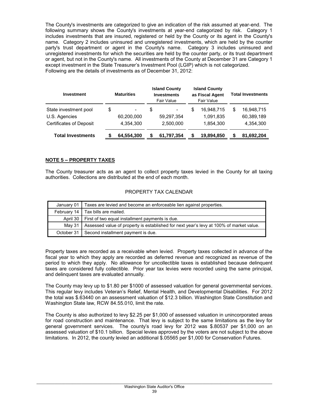The County's investments are categorized to give an indication of the risk assumed at year-end. The following summary shows the County's investments at year-end categorized by risk. Category 1 includes investments that are insured, registered or held by the County or its agent in the County's name. Category 2 includes uninsured and unregistered investments, which are held by the counter party's trust department or agent in the County's name. Category 3 includes uninsured and unregistered investments for which the securities are held by the counter party, or its trust department or agent, but not in the County's name. All investments of the County at December 31 are Category 1 except investment in the State Treasurer's Investment Pool (LGIP) which is not categorized. Following are the details of investments as of December 31, 2012:

| Following are the details of investments as of December 31, 2012: |                   |                                                                 |                                                              |   |                          |
|-------------------------------------------------------------------|-------------------|-----------------------------------------------------------------|--------------------------------------------------------------|---|--------------------------|
| <b>Investment</b>                                                 | <b>Maturities</b> | <b>Island County</b><br><b>Investments</b><br><b>Fair Value</b> | <b>Island County</b><br>as Fiscal Agent<br><b>Fair Value</b> |   | <b>Total Investments</b> |
| State investment pool                                             | \$                | \$                                                              | \$<br>16,948,715                                             | S | 16,948,715               |
| U.S. Agencies                                                     | 60,200,000        | 59,297,354                                                      | 1,091,835                                                    |   | 60,389,189               |
| <b>Certificates of Deposit</b>                                    | 4,354,300         | 2,500,000                                                       | 1,854,300                                                    |   | 4,354,300                |
| <b>Total Investments</b>                                          | 64,554,300        | 61,797,354                                                      | 19,894,850                                                   |   | 81,692,204               |

## **NOTE 5 – PROPERTY TAXES**

The County treasurer acts as an agent to collect property taxes levied in the County for all taxing authorities. Collections are distributed at the end of each month.

## PROPERTY TAX CALENDAR

| January 01 | Taxes are levied and become an enforceable lien against properties.                     |
|------------|-----------------------------------------------------------------------------------------|
|            | February 14   Tax bills are mailed.                                                     |
|            | April 30   First of two equal installment payments is due.                              |
| Mav 31     | Assessed value of property is established for next year's levy at 100% of market value. |
|            | October 31   Second installment payment is due.                                         |

Property taxes are recorded as a receivable when levied. Property taxes collected in advance of the fiscal year to which they apply are recorded as deferred revenue and recognized as revenue of the period to which they apply. No allowance for uncollectible taxes is established because delinquent taxes are considered fully collectible. Prior year tax levies were recorded using the same principal, and delinquent taxes are evaluated annually.

The County may levy up to \$1.80 per \$1000 of assessed valuation for general governmental services. This regular levy includes Veteran's Relief, Mental Health, and Developmental Disabilities. For 2012 the total was \$.63440 on an assessment valuation of \$12.3 billion. Washington State Constitution and Washington State law, RCW 84.55.010, limit the rate.

The County is also authorized to levy \$2.25 per \$1,000 of assessed valuation in unincorporated areas for road construction and maintenance. That levy is subject to the same limitations as the levy for general government services. The county's road levy for 2012 was \$.80537 per \$1,000 on an assessed valuation of \$10.1 billion. Special levies approved by the voters are not subject to the above limitations. In 2012, the county levied an additional \$.05565 per \$1,000 for Conservation Futures.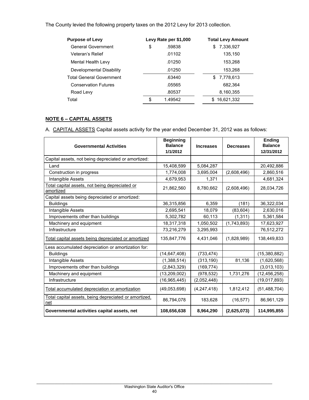The County levied the following property taxes on the 2012 Levy for 2013 collection.

| <b>Purpose of Levy</b>          | Levy Rate per \$1,000 |         | <b>Total Levy Amount</b> |
|---------------------------------|-----------------------|---------|--------------------------|
| General Government              | \$                    | .59838  | 7,336,927<br>\$          |
| Veteran's Relief                |                       | .01102  | 135,150                  |
| Mental Health Levy              |                       | .01250  | 153,268                  |
| Developmental Disability        |                       | .01250  | 153,268                  |
| <b>Total General Government</b> |                       | .63440  | \$7,778,613              |
| <b>Conservation Futures</b>     |                       | .05565  | 682,364                  |
| Road Levy                       |                       | .80537  | 8,160,355                |
| Total                           | \$                    | 1.49542 | 16,621,332<br>S          |

# **NOTE 6 – CAPITAL ASSETS**

A. CAPITAL ASSETS Capital assets activity for the year ended December 31, 2012 was as follows:

| <b>Governmental Activities</b>                               | <b>Beginning</b><br><b>Balance</b><br>1/1/2012 | <b>Increases</b> | <b>Decreases</b> | <b>Ending</b><br><b>Balance</b><br>12/31/2012 |
|--------------------------------------------------------------|------------------------------------------------|------------------|------------------|-----------------------------------------------|
| Capital assets, not being depreciated or amortized:          |                                                |                  |                  |                                               |
| Land                                                         | 15,408,599                                     | 5,084,287        |                  | 20,492,886                                    |
| Construction in progress                                     | 1,774,008                                      | 3,695,004        | (2,608,496)      | 2,860,516                                     |
| Intangible Assets                                            | 4,679,953                                      | 1,371            |                  | 4,681,324                                     |
| Total capital assets, not being depreciated or<br>amortized  | 21,862,560                                     | 8,780,662        | (2,608,496)      | 28,034,726                                    |
| Capital assets being depreciated or amortized:               |                                                |                  |                  |                                               |
| <b>Buildings</b>                                             | 36,315,856                                     | 6,359            | (181)            | 36,322,034                                    |
| Intangible Assets                                            | 2,695,541                                      | 18,079           | (83, 604)        | 2,630,016                                     |
| Improvements other than buildings                            | 5,302,782                                      | 60,113           | (1, 311)         | 5,361,584                                     |
| Machinery and equipment                                      | 18,317,318                                     | 1,050,502        | (1,743,893)      | 17,623,927                                    |
| Infrastructure                                               | 73,216,279                                     | 3,295,993        |                  | 76,512,272                                    |
| Total capital assets being depreciated or amortized          | 135,847,776                                    | 4,431,046        | (1,828,989)      | 138,449,833                                   |
| Less accumulated depreciation or amortization for:           |                                                |                  |                  |                                               |
| <b>Buildings</b>                                             | (14, 647, 408)                                 | (733, 474)       |                  | (15,380,882)                                  |
| Intangible Assets                                            | (1,388,514)                                    | (313, 190)       | 81,136           | (1,620,568)                                   |
| Improvements other than buildings                            | (2,843,329)                                    | (169, 774)       |                  | (3,013,103)                                   |
| Machinery and equipment                                      | (13,209,002)                                   | (978, 532)       | 1,731,276        | (12, 456, 258)                                |
| Infrastructure                                               | (16,965,445)                                   | (2,052,448)      |                  | (19,017,893)                                  |
| Total accumulated depreciation or amortization               | (49,053,698)                                   | (4,247,418)      | 1,812,412        | (51, 488, 704)                                |
| Total capital assets, being depreciated or amortized,<br>net | 86,794,078                                     | 183,628          | (16, 577)        | 86,961,129                                    |
| Governmental activities capital assets, net                  | 108,656,638                                    | 8,964,290        | (2,625,073)      | 114,995,855                                   |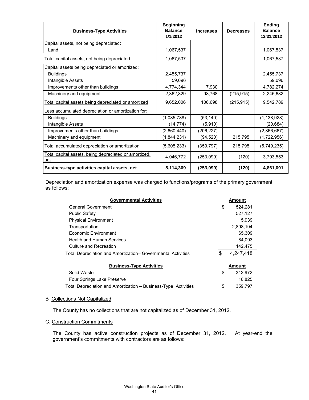| <b>Business-Type Activities</b>                              | <b>Beginning</b><br><b>Balance</b><br>1/1/2012 | <b>Increases</b> | <b>Decreases</b> | <b>Ending</b><br><b>Balance</b><br>12/31/2012 |
|--------------------------------------------------------------|------------------------------------------------|------------------|------------------|-----------------------------------------------|
| Capital assets, not being depreciated:                       |                                                |                  |                  |                                               |
| Land                                                         | 1,067,537                                      |                  |                  | 1,067,537                                     |
| Total capital assets, not being depreciated                  | 1,067,537                                      |                  |                  | 1,067,537                                     |
| Capital assets being depreciated or amortized:               |                                                |                  |                  |                                               |
| <b>Buildings</b>                                             | 2,455,737                                      |                  |                  | 2,455,737                                     |
| Intangible Assets                                            | 59,096                                         |                  |                  | 59,096                                        |
| Improvements other than buildings                            | 4,774,344                                      | 7,930            |                  | 4,782,274                                     |
| Machinery and equipment                                      | 2,362,829                                      | 98,768           | (215, 915)       | 2,245,682                                     |
| Total capital assets being depreciated or amortized          | 9,652,006                                      | 106,698          | (215, 915)       | 9,542,789                                     |
| Less accumulated depreciation or amortization for:           |                                                |                  |                  |                                               |
| <b>Buildings</b>                                             | (1,085,788)                                    | (53, 140)        |                  | (1, 138, 928)                                 |
| Intangible Assets                                            | (14, 774)                                      | (5,910)          |                  | (20, 684)                                     |
| Improvements other than buildings                            | (2,660,440)                                    | (206, 227)       |                  | (2,866,667)                                   |
| Machinery and equipment                                      | (1,844,231)                                    | (94, 520)        | 215,795          | (1,722,956)                                   |
| Total accumulated depreciation or amortization               | (5,605,233)                                    | (359, 797)       | 215,795          | (5,749,235)                                   |
| Total capital assets, being depreciated or amortized,<br>net | 4,046,772                                      | (253,099)        | (120)            | 3,793,553                                     |
| Business-type activities capital assets, net                 | 5,114,309                                      | (253,099)        | (120)            | 4,861,091                                     |

Depreciation and amortization expense was charged to functions/programs of the primary government as follows:

| <b>Governmental Activities</b>                                 |    | <b>Amount</b> |
|----------------------------------------------------------------|----|---------------|
| General Government                                             | \$ | 524,281       |
| <b>Public Safety</b>                                           |    | 527,127       |
| <b>Physical Environment</b>                                    |    | 5,939         |
| Transportation                                                 |    | 2,898,194     |
| Economic Environment                                           |    | 65,309        |
| <b>Health and Human Services</b>                               |    | 84,093        |
| Culture and Recreation                                         |    | 142,475       |
| Total Depreciation and Amortization– Governmental Activities   | \$ | 4,247,418     |
| <b>Business-Type Activities</b>                                |    | <b>Amount</b> |
| Solid Waste                                                    | \$ | 342,972       |
| Four Springs Lake Preserve                                     |    | 16,825        |
| Total Depreciation and Amortization – Business-Type Activities | S  | 359.797       |

## B Collections Not Capitalized

The County has no collections that are not capitalized as of December 31, 2012.

### C. Construction Commitments

The County has active construction projects as of December 31, 2012. At year-end the government's commitments with contractors are as follows: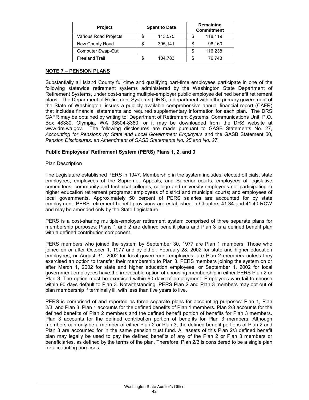| <b>Project</b>        | <b>Spent to Date</b> |         |   | Remaining<br><b>Commitment</b> |
|-----------------------|----------------------|---------|---|--------------------------------|
| Various Road Projects | S                    | 113,575 | S | 118,119                        |
| New County Road       | S                    | 395.141 | S | 98,160                         |
| Computer Swap-Out     |                      |         | S | 116,238                        |
| <b>Freeland Trail</b> | S                    | 104,783 |   | 76,743                         |

## **NOTE 7 – PENSION PLANS**

Substantially all Island County full-time and qualifying part-time employees participate in one of the following statewide retirement systems administered by the Washington State Department of Retirement Systems, under cost-sharing multiple-employer public employee defined benefit retirement plans. The Department of Retirement Systems (DRS), a department within the primary government of the State of Washington, issues a publicly available comprehensive annual financial report (CAFR) that includes financial statements and required supplementary information for each plan. The DRS CAFR may be obtained by writing to: Department of Retirement Systems, Communications Unit, P.O. Box 48380, Olympia, WA 98504-8380; or it may be downloaded from the DRS website at www.drs.wa.gov. The following disclosures are made pursuant to GASB Statements No. 27, *Accounting for Pensions by State and Local Government Employers* and the GASB Statement 50*, Pension Disclosures, an Amendment of GASB Statements No. 25 and No. 27.* 

### **Public Employees' Retirement System (PERS) Plans 1, 2, and 3**

#### Plan Description

The Legislature established PERS in 1947. Membership in the system includes: elected officials; state employees; employees of the Supreme, Appeals, and Superior courts; employees of legislative committees; community and technical colleges, college and university employees not participating in higher education retirement programs; employees of district and municipal courts; and employees of local governments. Approximately 50 percent of PERS salaries are accounted for by state employment. PERS retirement benefit provisions are established in Chapters 41.34 and 41.40 RCW and may be amended only by the State Legislature

PERS is a cost-sharing multiple-employer retirement system comprised of three separate plans for membership purposes: Plans 1 and 2 are defined benefit plans and Plan 3 is a defined benefit plan with a defined contribution component.

PERS members who joined the system by September 30, 1977 are Plan 1 members. Those who joined on or after October 1, 1977 and by either, February 28, 2002 for state and higher education employees, or August 31, 2002 for local government employees, are Plan 2 members unless they exercised an option to transfer their membership to Plan 3. PERS members joining the system on or after March 1, 2002 for state and higher education employees, or September 1, 2002 for local government employees have the irrevocable option of choosing membership in either PERS Plan 2 or Plan 3. The option must be exercised within 90 days of employment. Employees who fail to choose within 90 days default to Plan 3. Notwithstanding, PERS Plan 2 and Plan 3 members may opt out of plan membership if terminally ill, with less than five years to live.

PERS is comprised of and reported as three separate plans for accounting purposes: Plan 1, Plan 2/3, and Plan 3. Plan 1 accounts for the defined benefits of Plan 1 members. Plan 2/3 accounts for the defined benefits of Plan 2 members and the defined benefit portion of benefits for Plan 3 members. Plan 3 accounts for the defined contribution portion of benefits for Plan 3 members. Although members can only be a member of either Plan 2 or Plan 3, the defined benefit portions of Plan 2 and Plan 3 are accounted for in the same pension trust fund. All assets of this Plan 2/3 defined benefit plan may legally be used to pay the defined benefits of any of the Plan 2 or Plan 3 members or beneficiaries, as defined by the terms of the plan. Therefore, Plan 2/3 is considered to be a single plan for accounting purposes.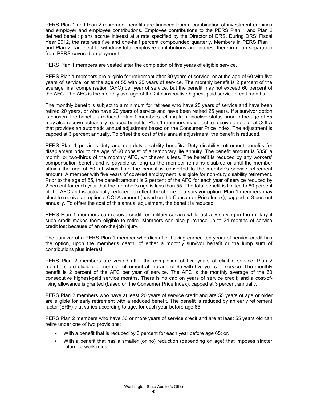PERS Plan 1 and Plan 2 retirement benefits are financed from a combination of investment earnings and employer and employee contributions. Employee contributions to the PERS Plan 1 and Plan 2 defined benefit plans accrue interest at a rate specified by the Director of DRS. During DRS' Fiscal Year 2012, the rate was five and one-half percent compounded quarterly. Members in PERS Plan 1 and Plan 2 can elect to withdraw total employee contributions and interest thereon upon separation from PERS-covered employment.

PERS Plan 1 members are vested after the completion of five years of eligible service.

PERS Plan 1 members are eligible for retirement after 30 years of service, or at the age of 60 with five years of service, or at the age of 55 with 25 years of service. The monthly benefit is 2 percent of the average final compensation (AFC) per year of service, but the benefit may not exceed 60 percent of the AFC. The AFC is the monthly average of the 24 consecutive highest-paid service credit months.

The monthly benefit is subject to a minimum for retirees who have 25 years of service and have been retired 20 years, or who have 20 years of service and have been retired 25 years. If a survivor option is chosen, the benefit is reduced. Plan 1 members retiring from inactive status prior to the age of 65 may also receive actuarially reduced benefits. Plan 1 members may elect to receive an optional COLA that provides an automatic annual adjustment based on the Consumer Price Index. The adjustment is capped at 3 percent annually. To offset the cost of this annual adjustment, the benefit is reduced.

PERS Plan 1 provides duty and non-duty disability benefits. Duty disability retirement benefits for disablement prior to the age of 60 consist of a temporary life annuity. The benefit amount is \$350 a month, or two-thirds of the monthly AFC, whichever is less. The benefit is reduced by any workers' compensation benefit and is payable as long as the member remains disabled or until the member attains the age of 60, at which time the benefit is converted to the member's service retirement amount. A member with five years of covered employment is eligible for non-duty disability retirement. Prior to the age of 55, the benefit amount is 2 percent of the AFC for each year of service reduced by 2 percent for each year that the member's age is less than 55. The total benefit is limited to 60 percent of the AFC and is actuarially reduced to reflect the choice of a survivor option. Plan 1 members may elect to receive an optional COLA amount (based on the Consumer Price Index), capped at 3 percent annually. To offset the cost of this annual adjustment, the benefit is reduced.

PERS Plan 1 members can receive credit for military service while actively serving in the military if such credit makes them eligible to retire. Members can also purchase up to 24 months of service credit lost because of an on-the-job injury.

The survivor of a PERS Plan 1 member who dies after having earned ten years of service credit has the option, upon the member's death, of either a monthly survivor benefit or the lump sum of contributions plus interest.

PERS Plan 2 members are vested after the completion of five years of eligible service. Plan 2 members are eligible for normal retirement at the age of 65 with five years of service. The monthly benefit is 2 percent of the AFC per year of service. The AFC is the monthly average of the 60 consecutive highest-paid service months. There is no cap on years of service credit; and a cost-ofliving allowance is granted (based on the Consumer Price Index), capped at 3 percent annually.

PERS Plan 2 members who have at least 20 years of service credit and are 55 years of age or older are eligible for early retirement with a reduced benefit. The benefit is reduced by an early retirement factor (ERF) that varies according to age, for each year before age 65.

PERS Plan 2 members who have 30 or more years of service credit and are at least 55 years old can retire under one of two provisions:

- With a benefit that is reduced by 3 percent for each year before age 65; or.
- With a benefit that has a smaller (or no) reduction (depending on age) that imposes stricter return-to-work rules.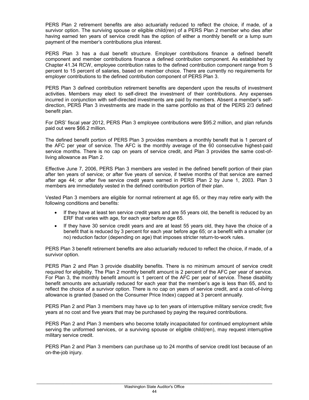PERS Plan 2 retirement benefits are also actuarially reduced to reflect the choice, if made, of a survivor option. The surviving spouse or eligible child(ren) of a PERS Plan 2 member who dies after having earned ten years of service credit has the option of either a monthly benefit or a lump sum payment of the member's contributions plus interest.

PERS Plan 3 has a dual benefit structure. Employer contributions finance a defined benefit component and member contributions finance a defined contribution component. As established by Chapter 41.34 RCW, employee contribution rates to the defined contribution component range from 5 percent to 15 percent of salaries, based on member choice. There are currently no requirements for employer contributions to the defined contribution component of PERS Plan 3.

PERS Plan 3 defined contribution retirement benefits are dependent upon the results of investment activities. Members may elect to self-direct the investment of their contributions. Any expenses incurred in conjunction with self-directed investments are paid by members. Absent a member's selfdirection, PERS Plan 3 investments are made in the same portfolio as that of the PERS 2/3 defined benefit plan.

For DRS' fiscal year 2012, PERS Plan 3 employee contributions were \$95.2 million, and plan refunds paid out were \$66.2 million.

The defined benefit portion of PERS Plan 3 provides members a monthly benefit that is 1 percent of the AFC per year of service. The AFC is the monthly average of the 60 consecutive highest-paid service months. There is no cap on years of service credit, and Plan 3 provides the same cost-ofliving allowance as Plan 2.

Effective June 7, 2006, PERS Plan 3 members are vested in the defined benefit portion of their plan after ten years of service; or after five years of service, if twelve months of that service are earned after age 44; or after five service credit years earned in PERS Plan 2 by June 1, 2003. Plan 3 members are immediately vested in the defined contribution portion of their plan.

Vested Plan 3 members are eligible for normal retirement at age 65, or they may retire early with the following conditions and benefits:

- If they have at least ten service credit years and are 55 years old, the benefit is reduced by an ERF that varies with age, for each year before age 65.
- If they have 30 service credit years and are at least 55 years old, they have the choice of a benefit that is reduced by 3 percent for each year before age 65; or a benefit with a smaller (or no) reduction factor (depending on age) that imposes stricter return-to-work rules.

PERS Plan 3 benefit retirement benefits are also actuarially reduced to reflect the choice, if made, of a survivor option.

PERS Plan 2 and Plan 3 provide disability benefits. There is no minimum amount of service credit required for eligibility. The Plan 2 monthly benefit amount is 2 percent of the AFC per year of service. For Plan 3, the monthly benefit amount is 1 percent of the AFC per year of service. These disability benefit amounts are actuarially reduced for each year that the member's age is less than 65, and to reflect the choice of a survivor option. There is no cap on years of service credit, and a cost-of-living allowance is granted (based on the Consumer Price Index) capped at 3 percent annually.

PERS Plan 2 and Plan 3 members may have up to ten years of interruptive military service credit; five years at no cost and five years that may be purchased by paying the required contributions.

PERS Plan 2 and Plan 3 members who become totally incapacitated for continued employment while serving the uniformed services, or a surviving spouse or eligible child(ren), may request interruptive military service credit.

PERS Plan 2 and Plan 3 members can purchase up to 24 months of service credit lost because of an on-the-job injury.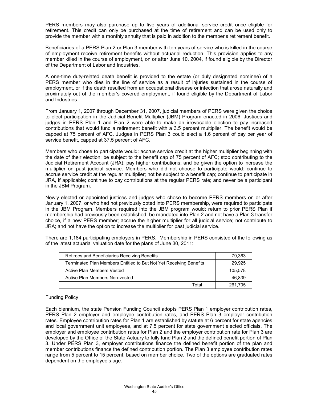PERS members may also purchase up to five years of additional service credit once eligible for retirement. This credit can only be purchased at the time of retirement and can be used only to provide the member with a monthly annuity that is paid in addition to the member's retirement benefit.

Beneficiaries of a PERS Plan 2 or Plan 3 member with ten years of service who is killed in the course of employment receive retirement benefits without actuarial reduction. This provision applies to any member killed in the course of employment, on or after June 10, 2004, if found eligible by the Director of the Department of Labor and Industries.

A one-time duty-related death benefit is provided to the estate (or duly designated nominee) of a PERS member who dies in the line of service as a result of injuries sustained in the course of employment, or if the death resulted from an occupational disease or infection that arose naturally and proximately out of the member's covered employment, if found eligible by the Department of Labor and Industries.

From January 1, 2007 through December 31, 2007, judicial members of PERS were given the choice to elect participation in the Judicial Benefit Multiplier (JBM) Program enacted in 2006. Justices and judges in PERS Plan 1 and Plan 2 were able to make an irrevocable election to pay increased contributions that would fund a retirement benefit with a 3.5 percent multiplier. The benefit would be capped at 75 percent of AFC. Judges in PERS Plan 3 could elect a 1.6 percent of pay per year of service benefit, capped at 37.5 percent of AFC.

Members who chose to participate would: accrue service credit at the higher multiplier beginning with the date of their election; be subject to the benefit cap of 75 percent of AFC; stop contributing to the Judicial Retirement Account (JRA); pay higher contributions; and be given the option to increase the multiplier on past judicial service. Members who did not choose to participate would: continue to accrue service credit at the regular multiplier; not be subject to a benefit cap; continue to participate in JRA, if applicable; continue to pay contributions at the regular PERS rate; and never be a participant in the JBM Program.

Newly elected or appointed justices and judges who chose to become PERS members on or after January 1, 2007, or who had not previously opted into PERS membership, were required to participate in the JBM Program. Members required into the JBM program would: return to prior PERS Plan if membership had previously been established; be mandated into Plan 2 and not have a Plan 3 transfer choice, if a new PERS member; accrue the higher multiplier for all judicial service; not contribute to JRA; and not have the option to increase the multiplier for past judicial service.

There are 1,184 participating employers in PERS. Membership in PERS consisted of the following as of the latest actuarial valuation date for the plans of June 30, 2011:

| Retirees and Beneficiaries Receiving Benefits                      | 79.363  |
|--------------------------------------------------------------------|---------|
| Terminated Plan Members Entitled to But Not Yet Receiving Benefits | 29.925  |
| Active Plan Members Vested                                         | 105.578 |
| Active Plan Members Non-vested                                     | 46.839  |
| Total                                                              | 261.705 |

## Funding Policy

Each biennium, the state Pension Funding Council adopts PERS Plan 1 employer contribution rates, PERS Plan 2 employer and employee contribution rates, and PERS Plan 3 employer contribution rates. Employee contribution rates for Plan 1 are established by statute at 6 percent for state agencies and local government unit employees, and at 7.5 percent for state government elected officials. The employer and employee contribution rates for Plan 2 and the employer contribution rate for Plan 3 are developed by the Office of the State Actuary to fully fund Plan 2 and the defined benefit portion of Plan 3. Under PERS Plan 3, employer contributions finance the defined benefit portion of the plan and member contributions finance the defined contribution portion. The Plan 3 employee contribution rates range from 5 percent to 15 percent, based on member choice. Two of the options are graduated rates dependent on the employee's age.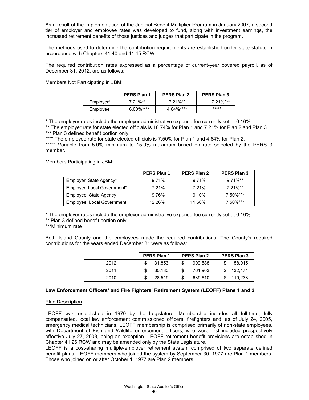As a result of the implementation of the Judicial Benefit Multiplier Program in January 2007, a second tier of employer and employee rates was developed to fund, along with investment earnings, the increased retirement benefits of those justices and judges that participate in the program.

The methods used to determine the contribution requirements are established under state statute in accordance with Chapters 41.40 and 41.45 RCW.

The required contribution rates expressed as a percentage of current-year covered payroll, as of December 31, 2012, are as follows:

Members Not Participating in JBM:

|           | <b>PERS Plan 1</b> | <b>PERS Plan 2</b> | <b>PERS Plan 3</b> |
|-----------|--------------------|--------------------|--------------------|
| Employer* | $7.21\%**$         | $7.21\%**$         | $7.21\%***$        |
| Employee  | $6.00\%***$        | $4.64\%$ ****      | *****              |

\* The employer rates include the employer administrative expense fee currently set at 0.16%. \*\* The employer rate for state elected officials is 10.74% for Plan 1 and 7.21% for Plan 2 and Plan 3. \*\*\* Plan 3 defined benefit portion only.

\*\*\*\* The employee rate for state elected officials is 7.50% for Plan 1 and 4.64% for Plan 2. \*\*\*\*\* Variable from 5.0% minimum to 15.0% maximum based on rate selected by the PERS 3 member.

Members Participating in JBM:

|                             | <b>PERS Plan 1</b> | PERS Plan 2 | <b>PERS Plan 3</b> |
|-----------------------------|--------------------|-------------|--------------------|
| Employer: State Agency*     | 9.71%              | 9.71%       | $9.71\%$ **        |
| Employer: Local Government* | 7.21%              | 7.21%       | $7.21\%**$         |
| Employee: State Agency      | 9.76%              | 9.10%       | 7.50%***           |
| Employee: Local Government  | 12.26%             | 11.60%      | $7.50\%***$        |

\* The employer rates include the employer administrative expense fee currently set at 0.16%.

\*\* Plan 3 defined benefit portion only.

\*\*\*Minimum rate

Both Island County and the employees made the required contributions. The County's required contributions for the years ended December 31 were as follows:

|      | <b>PERS Plan 1</b> | <b>PERS Plan 2</b> | <b>PERS Plan 3</b> |
|------|--------------------|--------------------|--------------------|
| 2012 | 31.853             | 909.588            | 158,015            |
| 2011 | 35.180             | 761,903            | 132.474            |
| 2010 | 28.519             | 639,610            | 119.238            |

## **Law Enforcement Officers' and Fire Fighters' Retirement System (LEOFF) Plans 1 and 2**

#### Plan Description

LEOFF was established in 1970 by the Legislature. Membership includes all full-time, fully compensated, local law enforcement commissioned officers, firefighters and, as of July 24, 2005, emergency medical technicians. LEOFF membership is comprised primarily of non-state employees, with Department of Fish and Wildlife enforcement officers, who were first included prospectively effective July 27, 2003, being an exception. LEOFF retirement benefit provisions are established in Chapter 41.26 RCW and may be amended only by the State Legislature.

LEOFF is a cost-sharing multiple-employer retirement system comprised of two separate defined benefit plans. LEOFF members who joined the system by September 30, 1977 are Plan 1 members. Those who joined on or after October 1, 1977 are Plan 2 members.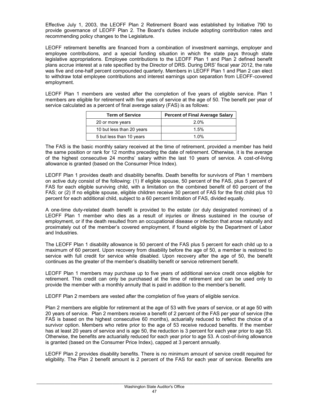Effective July 1, 2003, the LEOFF Plan 2 Retirement Board was established by Initiative 790 to provide governance of LEOFF Plan 2. The Board's duties include adopting contribution rates and recommending policy changes to the Legislature.

LEOFF retirement benefits are financed from a combination of investment earnings, employer and employee contributions, and a special funding situation in which the state pays through state legislative appropriations. Employee contributions to the LEOFF Plan 1 and Plan 2 defined benefit plans accrue interest at a rate specified by the Director of DRS. During DRS' fiscal year 2012, the rate was five and one-half percent compounded quarterly. Members in LEOFF Plan 1 and Plan 2 can elect to withdraw total employee contributions and interest earnings upon separation from LEOFF-covered employment.

LEOFF Plan 1 members are vested after the completion of five years of eligible service. Plan 1 members are eligible for retirement with five years of service at the age of 50. The benefit per year of service calculated as a percent of final average salary (FAS) is as follows:

| <b>Term of Service</b>    | <b>Percent of Final Average Salary</b> |
|---------------------------|----------------------------------------|
| 20 or more years          | $2.0\%$                                |
| 10 but less than 20 years | 1.5%                                   |
| 5 but less than 10 years  | 1 በ%                                   |

The FAS is the basic monthly salary received at the time of retirement, provided a member has held the same position or rank for 12 months preceding the date of retirement. Otherwise, it is the average of the highest consecutive 24 months' salary within the last 10 years of service. A cost-of-living allowance is granted (based on the Consumer Price Index).

LEOFF Plan 1 provides death and disability benefits. Death benefits for survivors of Plan 1 members on active duty consist of the following: (1) If eligible spouse, 50 percent of the FAS, plus 5 percent of FAS for each eligible surviving child, with a limitation on the combined benefit of 60 percent of the FAS; or (2) If no eligible spouse, eligible children receive 30 percent of FAS for the first child plus 10 percent for each additional child, subject to a 60 percent limitation of FAS, divided equally.

A one-time duty-related death benefit is provided to the estate (or duly designated nominee) of a LEOFF Plan 1 member who dies as a result of injuries or illness sustained in the course of employment, or if the death resulted from an occupational disease or infection that arose naturally and proximately out of the member's covered employment, if found eligible by the Department of Labor and Industries.

The LEOFF Plan 1 disability allowance is 50 percent of the FAS plus 5 percent for each child up to a maximum of 60 percent. Upon recovery from disability before the age of 50, a member is restored to service with full credit for service while disabled. Upon recovery after the age of 50, the benefit continues as the greater of the member's disability benefit or service retirement benefit.

LEOFF Plan 1 members may purchase up to five years of additional service credit once eligible for retirement. This credit can only be purchased at the time of retirement and can be used only to provide the member with a monthly annuity that is paid in addition to the member's benefit.

LEOFF Plan 2 members are vested after the completion of five years of eligible service.

Plan 2 members are eligible for retirement at the age of 53 with five years of service, or at age 50 with 20 years of service. Plan 2 members receive a benefit of 2 percent of the FAS per year of service (the FAS is based on the highest consecutive 60 months), actuarially reduced to reflect the choice of a survivor option. Members who retire prior to the age of 53 receive reduced benefits. If the member has at least 20 years of service and is age 50, the reduction is 3 percent for each year prior to age 53. Otherwise, the benefits are actuarially reduced for each year prior to age 53. A cost-of-living allowance is granted (based on the Consumer Price Index), capped at 3 percent annually.

LEOFF Plan 2 provides disability benefits. There is no minimum amount of service credit required for eligibility. The Plan 2 benefit amount is 2 percent of the FAS for each year of service. Benefits are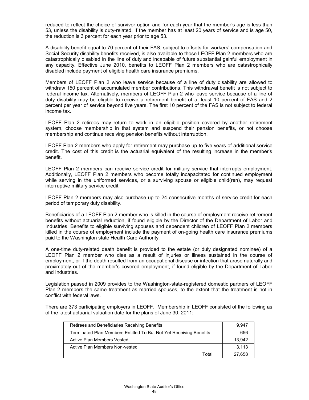reduced to reflect the choice of survivor option and for each year that the member's age is less than 53, unless the disability is duty-related. If the member has at least 20 years of service and is age 50, the reduction is 3 percent for each year prior to age 53.

A disability benefit equal to 70 percent of their FAS, subject to offsets for workers' compensation and Social Security disability benefits received, is also available to those LEOFF Plan 2 members who are catastrophically disabled in the line of duty and incapable of future substantial gainful employment in any capacity. Effective June 2010, benefits to LEOFF Plan 2 members who are catastrophically disabled include payment of eligible health care insurance premiums.

Members of LEOFF Plan 2 who leave service because of a line of duty disability are allowed to withdraw 150 percent of accumulated member contributions. This withdrawal benefit is not subject to federal income tax. Alternatively, members of LEOFF Plan 2 who leave service because of a line of duty disability may be eligible to receive a retirement benefit of at least 10 percent of FAS and 2 percent per year of service beyond five years. The first 10 percent of the FAS is not subject to federal income tax.

LEOFF Plan 2 retirees may return to work in an eligible position covered by another retirement system, choose membership in that system and suspend their pension benefits, or not choose membership and continue receiving pension benefits without interruption.

LEOFF Plan 2 members who apply for retirement may purchase up to five years of additional service credit. The cost of this credit is the actuarial equivalent of the resulting increase in the member's benefit.

LEOFF Plan 2 members can receive service credit for military service that interrupts employment. Additionally, LEOFF Plan 2 members who become totally incapacitated for continued employment while serving in the uniformed services, or a surviving spouse or eligible child(ren), may request interruptive military service credit.

LEOFF Plan 2 members may also purchase up to 24 consecutive months of service credit for each period of temporary duty disability.

Beneficiaries of a LEOFF Plan 2 member who is killed in the course of employment receive retirement benefits without actuarial reduction, if found eligible by the Director of the Department of Labor and Industries. Benefits to eligible surviving spouses and dependent children of LEOFF Plan 2 members killed in the course of employment include the payment of on-going health care insurance premiums paid to the Washington state Health Care Authority.

A one-time duty-related death benefit is provided to the estate (or duly designated nominee) of a LEOFF Plan 2 member who dies as a result of injuries or illness sustained in the course of employment, or if the death resulted from an occupational disease or infection that arose naturally and proximately out of the member's covered employment, if found eligible by the Department of Labor and Industries.

Legislation passed in 2009 provides to the Washington-state-registered domestic partners of LEOFF Plan 2 members the same treatment as married spouses, to the extent that the treatment is not in conflict with federal laws.

There are 373 participating employers in LEOFF. Membership in LEOFF consisted of the following as of the latest actuarial valuation date for the plans of June 30, 2011:

| Retirees and Beneficiaries Receiving Benefits                      | 9.947  |
|--------------------------------------------------------------------|--------|
| Terminated Plan Members Entitled To But Not Yet Receiving Benefits | 656    |
| Active Plan Members Vested                                         | 13.942 |
| Active Plan Members Non-vested                                     | 3.113  |
| Total                                                              | 27.658 |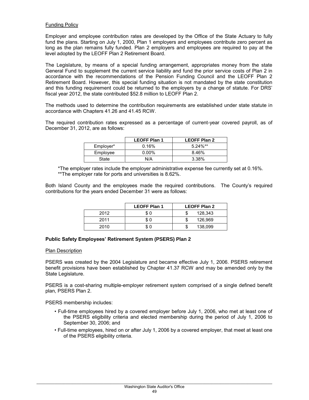### Funding Policy

Employer and employee contribution rates are developed by the Office of the State Actuary to fully fund the plans. Starting on July 1, 2000, Plan 1 employers and employees contribute zero percent as long as the plan remains fully funded. Plan 2 employers and employees are required to pay at the level adopted by the LEOFF Plan 2 Retirement Board.

The Legislature, by means of a special funding arrangement, appropriates money from the state General Fund to supplement the current service liability and fund the prior service costs of Plan 2 in accordance with the recommendations of the Pension Funding Council and the LEOFF Plan 2 Retirement Board. However, this special funding situation is not mandated by the state constitution and this funding requirement could be returned to the employers by a change of statute. For DRS' fiscal year 2012, the state contributed \$52.8 million to LEOFF Plan 2.

The methods used to determine the contribution requirements are established under state statute in accordance with Chapters 41.26 and 41.45 RCW.

The required contribution rates expressed as a percentage of current-year covered payroll, as of December 31, 2012, are as follows:

|           | <b>LEOFF Plan 1</b> | <b>LEOFF Plan 2</b> |
|-----------|---------------------|---------------------|
| Employer* | 0.16%               | $5.24\%**$          |
| Employee  | $0.00\%$            | 8.46%               |
| State     | N/A                 | 3.38%               |

 \*The employer rates include the employer administrative expense fee currently set at 0.16%. \*\*The employer rate for ports and universities is 8.62%.

Both Island County and the employees made the required contributions. The County's required contributions for the years ended December 31 were as follows:

|      | <b>LEOFF Plan 1</b> | <b>LEOFF Plan 2</b> |  |
|------|---------------------|---------------------|--|
| 2012 | \$0                 | 128,343             |  |
| 2011 | \$0                 | 126,969             |  |
| 2010 | \$0                 | 138,099             |  |

#### **Public Safety Employees' Retirement System (PSERS) Plan 2**

#### Plan Description

PSERS was created by the 2004 Legislature and became effective July 1, 2006. PSERS retirement benefit provisions have been established by Chapter 41.37 RCW and may be amended only by the State Legislature.

PSERS is a cost-sharing multiple-employer retirement system comprised of a single defined benefit plan, PSERS Plan 2.

PSERS membership includes:

- Full-time employees hired by a covered employer before July 1, 2006, who met at least one of the PSERS eligibility criteria and elected membership during the period of July 1, 2006 to September 30, 2006; and
- Full-time employees, hired on or after July 1, 2006 by a covered employer, that meet at least one of the PSERS eligibility criteria.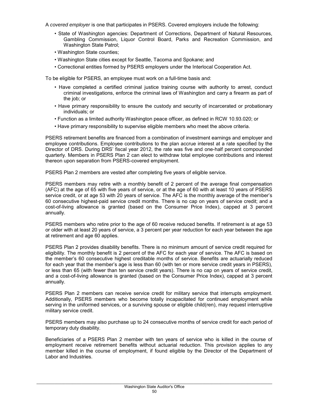- A *covered employer* is one that participates in PSERS. Covered employers include the following:
	- State of Washington agencies: Department of Corrections, Department of Natural Resources, Gambling Commission, Liquor Control Board, Parks and Recreation Commission, and Washington State Patrol;
	- Washington State counties;
	- Washington State cities except for Seattle, Tacoma and Spokane; and
	- Correctional entities formed by PSERS employers under the Interlocal Cooperation Act.

To be eligible for PSERS, an employee must work on a full-time basis and:

- Have completed a certified criminal justice training course with authority to arrest, conduct criminal investigations, enforce the criminal laws of Washington and carry a firearm as part of the job; or
- Have primary responsibility to ensure the custody and security of incarcerated or probationary individuals; or
- Function as a limited authority Washington peace officer, as defined in RCW 10.93.020; or
- Have primary responsibility to supervise eligible members who meet the above criteria.

PSERS retirement benefits are financed from a combination of investment earnings and employer and employee contributions. Employee contributions to the plan accrue interest at a rate specified by the Director of DRS. During DRS' fiscal year 2012, the rate was five and one-half percent compounded quarterly. Members in PSERS Plan 2 can elect to withdraw total employee contributions and interest thereon upon separation from PSERS-covered employment.

PSERS Plan 2 members are vested after completing five years of eligible service.

PSERS members may retire with a monthly benefit of 2 percent of the average final compensation (AFC) at the age of 65 with five years of service, or at the age of 60 with at least 10 years of PSERS service credit, or at age 53 with 20 years of service. The AFC is the monthly average of the member's 60 consecutive highest-paid service credit months. There is no cap on years of service credit; and a cost-of-living allowance is granted (based on the Consumer Price Index), capped at 3 percent annually.

PSERS members who retire prior to the age of 60 receive reduced benefits. If retirement is at age 53 or older with at least 20 years of service, a 3 percent per year reduction for each year between the age at retirement and age 60 applies.

PSERS Plan 2 provides disability benefits. There is no minimum amount of service credit required for eligibility. The monthly benefit is 2 percent of the AFC for each year of service. The AFC is based on the member's 60 consecutive highest creditable months of service. Benefits are actuarially reduced for each year that the member's age is less than 60 (with ten or more service credit years in PSERS), or less than 65 (with fewer than ten service credit years). There is no cap on years of service credit, and a cost-of-living allowance is granted (based on the Consumer Price Index), capped at 3 percent annually.

PSERS Plan 2 members can receive service credit for military service that interrupts employment. Additionally, PSERS members who become totally incapacitated for continued employment while serving in the uniformed services, or a surviving spouse or eligible child(ren), may request interruptive military service credit.

PSERS members may also purchase up to 24 consecutive months of service credit for each period of temporary duty disability.

Beneficiaries of a PSERS Plan 2 member with ten years of service who is killed in the course of employment receive retirement benefits without actuarial reduction. This provision applies to any member killed in the course of employment, if found eligible by the Director of the Department of Labor and Industries.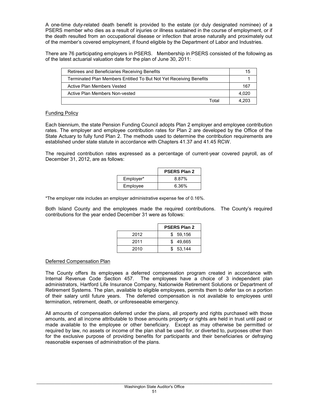A one-time duty-related death benefit is provided to the estate (or duly designated nominee) of a PSERS member who dies as a result of injuries or illness sustained in the course of employment, or if the death resulted from an occupational disease or infection that arose naturally and proximately out of the member's covered employment, if found eligible by the Department of Labor and Industries.

There are 76 participating employers in PSERS. Membership in PSERS consisted of the following as of the latest actuarial valuation date for the plan of June 30, 2011:

| Retirees and Beneficiaries Receiving Benefits                      |       |
|--------------------------------------------------------------------|-------|
| Terminated Plan Members Entitled To But Not Yet Receiving Benefits |       |
| Active Plan Members Vested                                         | 167   |
| Active Plan Members Non-vested                                     |       |
| Total                                                              | 4.203 |

### Funding Policy

Each biennium, the state Pension Funding Council adopts Plan 2 employer and employee contribution rates. The employer and employee contribution rates for Plan 2 are developed by the Office of the State Actuary to fully fund Plan 2. The methods used to determine the contribution requirements are established under state statute in accordance with Chapters 41.37 and 41.45 RCW.

The required contribution rates expressed as a percentage of current-year covered payroll, as of December 31, 2012, are as follows:

|           | <b>PSERS Plan 2</b> |
|-----------|---------------------|
| Employer* | 8.87%               |
| Employee  | 6.36%               |

\*The employer rate includes an employer administrative expense fee of 0.16%.

Both Island County and the employees made the required contributions. The County's required contributions for the year ended December 31 were as follows:

|      | <b>PSERS Plan 2</b> |
|------|---------------------|
| 2012 | \$ 59,156           |
| 2011 | \$49,665            |
| 2010 | \$53,144            |

## Deferred Compensation Plan

The County offers its employees a deferred compensation program created in accordance with Internal Revenue Code Section 457. The employees have a choice of 3 independent plan administrators, Hartford Life Insurance Company, Nationwide Retirement Solutions or Department of Retirement Systems. The plan, available to eligible employees, permits them to defer tax on a portion of their salary until future years. The deferred compensation is not available to employees until termination, retirement, death, or unforeseeable emergency.

All amounts of compensation deferred under the plans, all property and rights purchased with those amounts, and all income attributable to those amounts property or rights are held in trust until paid or made available to the employee or other beneficiary. Except as may otherwise be permitted or required by law, no assets or income of the plan shall be used for, or diverted to, purposes other than for the exclusive purpose of providing benefits for participants and their beneficiaries or defraying reasonable expenses of administration of the plans.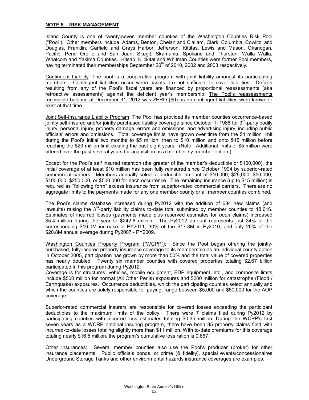## **NOTE 8 – RISK MANAGEMENT**

Island County is one of twenty-seven member counties of the Washington Counties Risk Pool ("Pool"). Other members include: Adams, Benton, Chelan and Clallam, Clark, Columbia, Cowlitz, and Douglas, Franklin, Garfield and Grays Harbor, Jefferson, Kittitas, Lewis and Mason, Okanogan, Pacific, Pend Oreille and San Juan, Skagit, Skamania, Spokane and Thurston, Walla Walla, Whatcom and Yakima Counties. Kitsap, Klickitat and Whitman Counties were former Pool members, having terminated their memberships September 20<sup>th</sup> of 2010, 2002 and 2003 respectively.

Contingent Liability: The pool is a cooperative program with joint liability amongst its participating members. Contingent liabilities occur when assets are not sufficient to cover liabilities. Deficits resulting from any of the Pool's fiscal years are financed by proportional reassessments (aka retroactive assessments) against the deficient year's membership. The Pool's reassessments receivable balance at December 31, 2012 was ZERO (\$0) as no contingent liabilities were known to exist at that time.

Joint Self-Insurance Liability Program: The Pool has provided its member counties occurrence-based iointly self-insured and/or jointly purchased liability coverage since October 1, 1988 for 3<sup>rd</sup>-party bodily injury, personal injury, property damage, errors and omissions, and advertising injury, including public officials' errors and omissions. Total coverage limits have grown over time from the \$1 million limit during the Pool's initial two months to \$5 million, then to \$10 million and onto \$15 million before reaching the \$20 million limit existing the past eight years. (Note: Additional limits of \$5 million were offered over the past several years for acquisition as a member-by-member option.)

Except for the Pool's self insured retention (the greater of the member's deductible or \$100,000), the initial coverage of at least \$10 million has been fully reinsured since October 1994 by superior-rated commercial carriers. Members annually select a deductible amount of \$10,000, \$25,000, \$50,000, \$100,000, \$250,000, or \$500,000 for each occurrence. The remaining insurance (up to \$15 million) is required as "following form" excess insurance from superior-rated commercial carriers. There are no aggregate limits to the payments made for any one member county or all member counties combined.

The Pool's claims database increased during Py2012 with the addition of 634 new claims (and lawsuits) raising the  $3<sup>rd</sup>$ -party liability claims to-date total submitted by member counties to 18,616. Estimates of incurred losses (payments made plus reserved estimates for *open* claims) increased \$5.4 million during the year to \$242.8 million. The Py2012 amount represents just 34% of the corresponding \$16.0M increase in PY2011, 30% of the \$17.8M in Py2010, and only 26% of the \$20.8M annual average during Py2007 - PY2009.

Washington Counties Property Program ("WCPP"): Since the Pool began offering the jointlypurchased, fully-insured property insurance coverage to its membership as an individual county option in October 2005, participation has grown by more than 50% and the total value of covered properties has nearly doubled. Twenty six member counties with covered properties totaling \$2.67 billion participated in this program during Py2012.

Coverage is for structures, vehicles, mobile equipment, EDP equipment, etc., and composite limits include \$500 million for normal (All Other Perils) exposures and \$200 million for catastrophe (Flood / Earthquake) exposures. Occurrence deductibles, which the participating counties select annually and which the counties are solely responsible for paying, range between \$5,000 and \$50,000 for the AOP coverage.

Superior-rated commercial insurers are responsible for covered losses exceeding the participant deductibles to the maximum limits of the policy. There were 7 claims filed during Py2012 by participating counties with incurred loss estimates totaling \$0.35 million. During the WCPP's first seven years as a WCRP optional insuring program, there have been 85 property claims filed with incurred-to-date losses totaling slightly more than \$11 million. With to-date premiums for this coverage totaling nearly \$16.5 million, the program's cumulative loss ration is 0.667.

Other Insurances: Several member counties also use the Pool's producer (broker) for other insurance placements. Public officials bonds, or crime (& fidelity), special events/concessionaires Underground Storage Tanks and other environmental hazards insurance coverages are examples.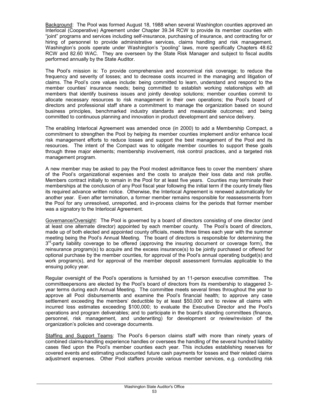Background: The Pool was formed August 18, 1988 when several Washington counties approved an Interlocal (Cooperative) Agreement under Chapter 39.34 RCW to provide its member counties with "joint" programs and services including self-insurance, purchasing of insurance, and contracting for or hiring of personnel to provide administrative services, claims handling and risk management. Washington's pools operate under Washington's "pooling" laws, more specifically Chapters 48.62 RCW and 82.60 WAC. They are overseen by the State Risk Manager and subject to fiscal audits performed annually by the State Auditor.

The Pool's mission is: To provide comprehensive and economical risk coverage; to reduce the frequency and severity of losses; and to decrease costs incurred in the managing and litigation of claims. The Pool's core values include: being committed to learn, understand and respond to the member counties' insurance needs; being committed to establish working relationships with all members that identify business issues and jointly develop solutions; member counties commit to allocate necessary resources to risk management in their own operations; the Pool's board of directors and professional staff share a commitment to manage the organization based on sound business principles, benchmarked industry standards and measurable outcomes; and being committed to continuous planning and innovation in product development and service delivery.

The enabling Interlocal Agreement was amended once (in 2000) to add a Membership Compact, a commitment to strengthen the Pool by helping its member counties implement and/or enhance local risk management efforts to reduce losses and support the best management of the Pool and its resources. The intent of the Compact was to obligate member counties to support these goals through three major elements; membership involvement, risk control practices, and a targeted risk management program.

A new member may be asked to pay the Pool modest admittance fees to cover the members' share of the Pool's organizational expenses and the costs to analyze their loss data and risk profile. Members contract initially to remain in the Pool for at least five years. Counties may terminate their memberships at the conclusion of any Pool fiscal year following the initial term if the county timely files its required advance written notice. Otherwise, the Interlocal Agreement is renewed automatically for another year. Even after termination, a former member remains responsible for reassessments from the Pool for any unresolved, unreported, and in-process claims for the periods that former member was a signatory to the Interlocal Agreement.

Governance/Oversight: The Pool is governed by a board of directors consisting of one director (and at least one alternate director) appointed by each member county. The Pool's board of directors, made up of both elected and appointed county officials, meets three times each year with the summer meeting being the Pool's Annual Meeting. The board of directors is responsible for determining the 3<sup>rd</sup>-party liability coverage to be offered (approving the insuring document or coverage form), the reinsurance program(s) to acquire and the excess insurance(s) to be jointly purchased or offered for optional purchase by the member counties, for approval of the Pool's annual operating budget(s) and work program(s), and for approval of the member deposit assessment formulas applicable to the ensuing policy year.

Regular oversight of the Pool's operations is furnished by an 11-person executive committee. The committeepersons are elected by the Pool's board of directors from its membership to staggered 3 year terms during each Annual Meeting. The committee meets several times throughout the year to approve all Pool disbursements and examine the Pool's financial health; to approve any case settlement exceeding the members' deductible by at least \$50,000 and to review all claims with incurred loss estimates exceeding \$100,000; to evaluate the Executive Director and the Pool's operations and program deliverables; and to participate in the board's standing committees (finance, personnel, risk management, and underwriting) for development or review/revision of the organization's policies and coverage documents.

Staffing and Support Teams: The Pool's 6-person claims staff with more than ninety years of combined claims-handling experience handles or oversees the handling of the several hundred liability cases filed upon the Pool's member counties each year. This includes establishing reserves for covered events and estimating undiscounted future cash payments for losses and their related claims adjustment expenses. Other Pool staffers provide various member services, e.g. conducting risk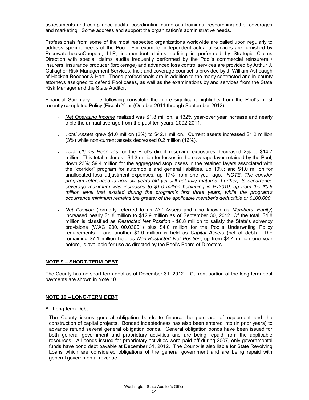assessments and compliance audits, coordinating numerous trainings, researching other coverages and marketing. Some address and support the organization's administrative needs.

Professionals from some of the most respected organizations worldwide are called upon regularly to address specific needs of the Pool. For example, independent actuarial services are furnished by PricewaterhouseCoopers, LLP; independent claims auditing is performed by Strategic Claims Direction with special claims audits frequently performed by the Pool's commercial reinsurers / insurers; insurance producer (brokerage) and advanced loss control services are provided by Arthur J. Gallagher Risk Management Services, Inc.; and coverage counsel is provided by J. William Ashbaugh of Hackett Beecher & Hart. These professionals are in addition to the many contracted and in-county attorneys assigned to defend Pool cases, as well as the examinations by and services from the State Risk Manager and the State Auditor.

Financial Summary: The following constitute the more significant highlights from the Pool's most recently completed Policy (Fiscal) Year (October 2011 through September 2012):

- *Net Operating Income* realized was \$1.8 million, a 132% year-over year increase and nearly triple the annual average from the past ten years, 2002-2011.
- *Total Assets* grew \$1.0 million (2%) to \$42.1 million. Current assets increased \$1.2 million (3%) while non-current assets decreased 0.2 million (16%).
- *Total Claims Reserves* for the Pool's direct reserving exposures decreased 2% to \$14.7 million. This total includes: \$4.3 million for losses in the coverage layer retained by the Pool, down 23%; \$9.4 million for the aggregated stop losses in the retained layers associated with the "corridor" program for automobile and general liabilities, up 10%; and \$1.0 million for unallocated loss adjustment expenses, up 17% from one year ago. *NOTE: The corridor program referenced is now six years old yet still not fully matured. Further, its occurrence coverage maximum was increased to \$1.0 million beginning in Py2010, up from the \$0.5 million level that existed during the program's first three years, while the program's occurrence minimum remains the greater of the applicable member's deductible or \$100,000.*
- *Net Position* (formerly referred to as *Net Assets* and also known as *Members' Equity*) increased nearly \$1.8 million to \$12.9 million as of September 30, 2012. Of the total, \$4.8 million is classified as *Restricted Net Position* - \$0.8 million to satisfy the State's solvency provisions (WAC 200.100.03001) plus \$4.0 million for the Pool's Underwriting Policy requirements – and another \$1.0 million is held as *Capital Assets* (net of debt). The remaining \$7.1 million held as *Non-Restricted Net Position*, up from \$4.4 million one year before, is available for use as directed by the Pool's Board of Directors.

#### **NOTE 9 – SHORT-TERM DEBT**

The County has no short-term debt as of December 31, 2012. Current portion of the long-term debt payments are shown in Note 10.

#### **NOTE 10 – LONG-TERM DEBT**

#### A. Long-term Debt

The County issues general obligation bonds to finance the purchase of equipment and the construction of capital projects. Bonded indebtedness has also been entered into (in prior years) to advance refund several general obligation bonds. General obligation bonds have been issued for both general government and proprietary activities and are being repaid from the applicable resources. All bonds issued for proprietary activities were paid off during 2007, only governmental funds have bond debt payable at December 31, 2012. The County is also liable for State Revolving Loans which are considered obligations of the general government and are being repaid with general governmental revenue.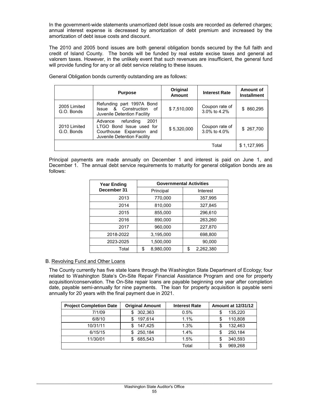In the government-wide statements unamortized debt issue costs are recorded as deferred charges; annual interest expense is decreased by amortization of debt premium and increased by the amortization of debt issue costs and discount.

The 2010 and 2005 bond issues are both general obligation bonds secured by the full faith and credit of Island County. The bonds will be funded by real estate excise taxes and general ad valorem taxes. However, in the unlikely event that such revenues are insufficient, the general fund will provide funding for any or all debt service relating to these issues.

|                            | <b>Purpose</b>                                                                                                      | Original<br><b>Amount</b> | <b>Interest Rate</b>           | Amount of<br><b>Installment</b> |
|----------------------------|---------------------------------------------------------------------------------------------------------------------|---------------------------|--------------------------------|---------------------------------|
| 2005 Limited<br>G.O. Bonds | Refunding part 1997A Bond<br>Issue & Construction of<br>Juvenile Detention Facility                                 | \$7,510,000               | Coupon rate of<br>3.0% to 4.2% | \$ 860,295                      |
| 2010 Limited<br>G.O. Bonds | 2001<br>refunding<br>Advance<br>LTGO Bond Issue used for<br>Courthouse Expansion and<br>Juvenile Detention Facility | \$5,320,000               | Coupon rate of<br>3.0% to 4.0% | \$ 267,700                      |
|                            |                                                                                                                     |                           | Total                          | \$1,127,995                     |

General Obligation bonds currently outstanding are as follows:

Principal payments are made annually on December 1 and interest is paid on June 1, and December 1. The annual debt service requirements to maturity for general obligation bonds are as follows:

| <b>Year Ending</b> | <b>Governmental Activities</b> |                 |  |
|--------------------|--------------------------------|-----------------|--|
| December 31        | Principal                      | Interest        |  |
| 2013               | 770,000                        | 357,995         |  |
| 2014               | 810,000                        | 327,845         |  |
| 2015               | 855,000                        | 296,610         |  |
| 2016               | 890,000                        | 263,260         |  |
| 2017               | 960,000                        | 227,870         |  |
| 2018-2022          | 3,195,000                      | 698,800         |  |
| 2023-2025          | 1,500,000                      | 90,000          |  |
| Total              | 8,980,000<br>\$                | 2,262,380<br>\$ |  |

## B. Revolving Fund and Other Loans

The County currently has five state loans through the Washington State Department of Ecology; four related to Washington State's On-Site Repair Financial Assistance Program and one for property acquisition/conservation. The On-Site repair loans are payable beginning one year after completion date, payable semi-annually for nine payments. The loan for property acquisition is payable semi annually for 20 years with the final payment due in 2021.

| <b>Project Completion Date</b> | <b>Original Amount</b> | <b>Interest Rate</b> | <b>Amount at 12/31/12</b> |
|--------------------------------|------------------------|----------------------|---------------------------|
| 7/1/09                         | 302,363<br>S           | 0.5%                 | 135.220<br>S              |
| 6/8/10                         | 197.614                | 1.1%                 | 110.808                   |
| 10/31/11                       | 147,425                | 1.3%                 | 132.463<br>S              |
| 6/15/15                        | 250,184                | 1.4%                 | 250,184                   |
| 11/30/01                       | 685.543                | 1.5%                 | 340.593                   |
|                                |                        | Total                | 969,268<br>S.             |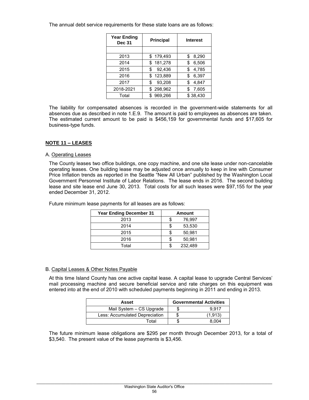| <b>Year Ending</b><br><b>Dec 31</b> | <b>Principal</b> | <b>Interest</b> |
|-------------------------------------|------------------|-----------------|
|                                     |                  |                 |
| 2013                                | \$179,493        | 8,290<br>\$     |
| 2014                                | 181,278<br>S     | 6,506<br>\$     |
| 2015                                | 92,436<br>\$     | 4.785<br>\$     |
| 2016                                | 123,889<br>S     | 6,397<br>\$     |
| 2017                                | 93,208<br>\$     | 4,847<br>\$     |
| 2018-2021                           | \$298,962        | 7,605<br>S      |
| Total                               | 969.266          | \$38,430        |

The annual debt service requirements for these state loans are as follows:

The liability for compensated absences is recorded in the government-wide statements for all absences due as described in note 1.E.9. The amount is paid to employees as absences are taken. The estimated current amount to be paid is \$456,159 for governmental funds and \$17,605 for business-type funds.

## **NOTE 11 – LEASES**

#### A. Operating Leases

The County leases two office buildings, one copy machine, and one site lease under non-cancelable operating leases. One building lease may be adjusted once annually to keep in line with Consumer Price Inflation trends as reported in the Seattle "New All Urban" published by the Washington Local Government Personnel Institute of Labor Relations. The lease ends in 2016. The second building lease and site lease end June 30, 2013. Total costs for all such leases were \$97,155 for the year ended December 31, 2012.

Future minimum lease payments for all leases are as follows:

| <b>Year Ending December 31</b> | <b>Amount</b> |
|--------------------------------|---------------|
| 2013                           | 76,997        |
| 2014                           | 53,530        |
| 2015                           | 50,981        |
| 2016                           | 50,981        |
| Total                          | 232,489       |

#### B. Capital Leases & Other Notes Payable

At this time Island County has one active capital lease. A capital lease to upgrade Central Services' mail processing machine and secure beneficial service and rate charges on this equipment was entered into at the end of 2010 with scheduled payments beginning in 2011 and ending in 2013.

| Asset                          | <b>Governmental Activities</b> |
|--------------------------------|--------------------------------|
| Mail System - CS Upgrade       | 9.917                          |
| Less: Accumulated Depreciation | (1.913)                        |
| Total                          | 8 N 4                          |

The future minimum lease obligations are \$295 per month through December 2013, for a total of \$3,540. The present value of the lease payments is \$3,456.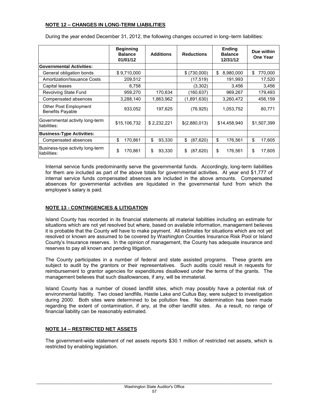## **NOTE 12 – CHANGES IN LONG-TERM LIABILITIES**

|                                                  | <b>Beginning</b><br><b>Balance</b><br>01/01/12 | <b>Additions</b> | <b>Reductions</b> | <b>Ending</b><br><b>Balance</b><br>12/31/12 | Due within<br><b>One Year</b> |
|--------------------------------------------------|------------------------------------------------|------------------|-------------------|---------------------------------------------|-------------------------------|
| <b>Governmental Activities:</b>                  |                                                |                  |                   |                                             |                               |
| General obligation bonds                         | \$9,710,000                                    |                  | \$ (730,000)      | 8,980,000<br>\$                             | 770,000<br>\$                 |
| Amortization/Issuance Costs                      | 209,512                                        |                  | (17, 519)         | 191,993                                     | 17,520                        |
| Capital leases                                   | 6,758                                          |                  | (3,302)           | 3,456                                       | 3,456                         |
| <b>Revolving State Fund</b>                      | 959,270                                        | 170,634          | (160,637)         | 969,267                                     | 179,493                       |
| Compensated absences                             | 3,288,140                                      | 1,863,962        | (1,891,630)       | 3,260,472                                   | 456,159                       |
| Other Post Employment<br><b>Benefits Payable</b> | 933,052                                        | 197,625          | (76, 925)         | 1,053,752                                   | 80,771                        |
| Governmental activity long-term<br>liabilities:  | \$15,106,732                                   | \$2,232,221      | \$(2,880,013)     | \$14,458,940                                | \$1,507,399                   |
| <b>Business-Type Activities:</b>                 |                                                |                  |                   |                                             |                               |
| Compensated absences                             | \$<br>170,861                                  | \$<br>93,330     | \$<br>(87, 620)   | \$<br>176,561                               | \$<br>17,605                  |
| Business-type activity long-term<br>liabilities: | \$<br>170,861                                  | \$<br>93,330     | \$<br>(87, 620)   | \$<br>176,561                               | \$<br>17,605                  |

During the year ended December 31, 2012, the following changes occurred in long–term liabilities:

Internal service funds predominantly serve the governmental funds. Accordingly, long-term liabilities for them are included as part of the above totals for governmental activities. At year end \$1,777 of internal service funds compensated absences are included in the above amounts. Compensated absences for governmental activities are liquidated in the governmental fund from which the employee's salary is paid.

## **NOTE 13 - CONTINGENCIES & LITIGATION**

Island County has recorded in its financial statements all material liabilities including an estimate for situations which are not yet resolved but where, based on available information, management believes it is probable that the County will have to make payment. All estimates for situations which are not yet resolved or known are assumed to be covered by Washington Counties Insurance Risk Pool or Island County's Insurance reserves. In the opinion of management, the County has adequate insurance and reserves to pay all known and pending litigation.

The County participates in a number of federal and state assisted programs. These grants are subject to audit by the grantors or their representatives. Such audits could result in requests for reimbursement to grantor agencies for expenditures disallowed under the terms of the grants. The management believes that such disallowances, if any, will be immaterial.

Island County has a number of closed landfill sites, which may possibly have a potential risk of environmental liability. Two closed landfills, Hastie Lake and Cultus Bay, were subject to investigation during 2000. Both sites were determined to be pollution free. No determination has been made regarding the extent of contamination, if any, at the other landfill sites. As a result, no range of financial liability can be reasonably estimated.

## **NOTE 14 – RESTRICTED NET ASSETS**

The government-wide statement of net assets reports \$30.1 million of restricted net assets, which is restricted by enabling legislation.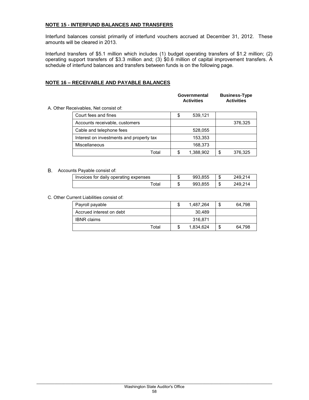## **NOTE 15 - INTERFUND BALANCES AND TRANSFERS**

Interfund balances consist primarily of interfund vouchers accrued at December 31, 2012. These amounts will be cleared in 2013.

Interfund transfers of \$5.1 million which includes (1) budget operating transfers of \$1.2 million; (2) operating support transfers of \$3.3 million and; (3) \$0.6 million of capital improvement transfers. A schedule of interfund balances and transfers between funds is on the following page.

## **NOTE 16 – RECEIVABLE AND PAYABLE BALANCES**

|                                          | Governmental<br><b>Activities</b> | <b>Business-Type</b><br><b>Activities</b> |
|------------------------------------------|-----------------------------------|-------------------------------------------|
| A. Other Receivables, Net consist of:    |                                   |                                           |
| Court fees and fines                     | \$<br>539,121                     |                                           |
| Accounts receivable, customers           |                                   | 376,325                                   |
| Cable and telephone fees                 | 528,055                           |                                           |
| Interest on investments and property tax | 153,353                           |                                           |
| <b>Miscellaneous</b>                     | 168,373                           |                                           |
| Total                                    | 1,388,902                         | \$<br>376,325                             |

#### B. Accounts Payable consist of:

| Invoices for daily operating expenses | 993.855 | Œ | 249.214 |
|---------------------------------------|---------|---|---------|
| ™otal                                 | 993.855 | ъ | 249.214 |

#### C. Other Current Liabilities consist of:

| Payroll payable          | 1.487.264 | 64.798 |
|--------------------------|-----------|--------|
| Accrued interest on debt | 30.489    |        |
| <b>IBNR</b> claims       | 316.871   |        |
| Total                    | 1,834,624 | 64.798 |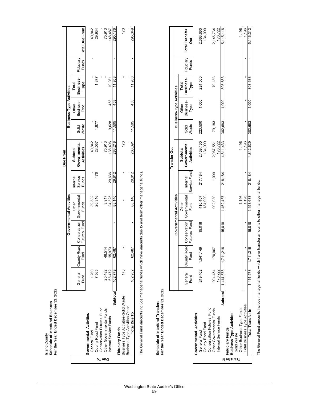|        | For the Year Ended December 31, 2012<br>Schedule of Interfund Balances<br>Island County                      |                    |                     |                                          |                                       |                              |                                        |                |                                 |                            |                           |                            |
|--------|--------------------------------------------------------------------------------------------------------------|--------------------|---------------------|------------------------------------------|---------------------------------------|------------------------------|----------------------------------------|----------------|---------------------------------|----------------------------|---------------------------|----------------------------|
|        |                                                                                                              |                    |                     |                                          |                                       |                              | Due From                               |                |                                 |                            |                           |                            |
|        |                                                                                                              |                    |                     |                                          | Governmental Activities               |                              |                                        |                | <b>Business-Type Activities</b> |                            |                           |                            |
|        |                                                                                                              | General<br>Fund    | County Road<br>Fund | Conservation<br>Futures Fund             | Governmental<br><b>Funds</b><br>Other | Service<br>Internal<br>Funds | Governmental<br>Activities<br>Subtotal | Waste<br>Solid | Business-<br>Other<br>Type      | Business-<br>Type<br>Total | Fiduciary<br><b>Funds</b> | <b>Total Due From</b>      |
|        | Governmental Activities                                                                                      |                    |                     |                                          |                                       |                              |                                        |                |                                 |                            |                           |                            |
|        | General Fund                                                                                                 |                    |                     |                                          |                                       |                              |                                        |                |                                 |                            |                           |                            |
|        | County Road Fund                                                                                             | 1,260<br>7,565     |                     |                                          | 39,582<br>20,316                      | 176                          | 40,842<br>28,057                       | 1,877          |                                 | 1,877                      |                           | 40,842<br>29,934           |
| oT aud | Conservation Futures Fund                                                                                    |                    |                     |                                          |                                       |                              |                                        |                |                                 |                            |                           |                            |
|        | Other Governmental Funds                                                                                     | 25,482             | 46,514              |                                          | 3,917                                 |                              | 75,913                                 |                |                                 |                            |                           | 75,913                     |
|        | Internal Service Funds                                                                                       | 68,472             | 15,973              |                                          | 24,325                                | 29,636                       | 138,406                                | 9,628          | 453                             | 10,081                     |                           | 148,487                    |
|        | Subtotal                                                                                                     | 102,779            | 62,487              |                                          | 88,140                                | 29,812                       | 283,218                                | 11,505         | 453                             | 11,958                     |                           | 295,176                    |
|        | <b>Fiduciary Funds</b>                                                                                       |                    |                     |                                          |                                       |                              |                                        |                |                                 |                            |                           |                            |
|        | Business Type Activities-Solid Waste<br>Business Type Activities-Other                                       | 173                |                     |                                          |                                       |                              | 173                                    |                |                                 |                            |                           | 173                        |
|        |                                                                                                              |                    |                     |                                          |                                       |                              |                                        |                |                                 |                            |                           |                            |
|        | Total Due To                                                                                                 | 102,952            | 62,487              |                                          | 88,140                                | 29,812                       | 283,391                                | 11,505         | 453                             | 11,958                     |                           | 295,349                    |
|        | The General Fund amounts include managerial funds which have amounts due to and from other managerial funds. |                    |                     |                                          |                                       |                              |                                        |                |                                 |                            |                           |                            |
|        | For the Year Ended December 31, 2012<br>Schedule of Interfund Transfers                                      |                    |                     |                                          |                                       |                              |                                        |                |                                 |                            |                           |                            |
|        |                                                                                                              |                    |                     |                                          |                                       |                              | Transfer Out                           |                |                                 |                            |                           |                            |
|        |                                                                                                              |                    |                     |                                          | Governmental Activities               |                              |                                        |                | <b>Business-Type Activities</b> |                            |                           |                            |
|        |                                                                                                              |                    |                     |                                          | Other                                 |                              | Subtotal                               |                | Other                           | Total                      |                           |                            |
|        |                                                                                                              | General<br>Fund    | Fund                | County Road Conservation<br>Futures Fund | Governmental<br>Fund                  | Service Fund<br>Internal     | Governmental<br>Activities             | Waste<br>Solid | Business-<br>Type               | Business-<br>Type          | Fiduciary<br>Funds        | <b>Total Transfer</b><br>ă |
|        | Governmental Activities                                                                                      |                    |                     |                                          |                                       |                              |                                        |                |                                 |                            |                           |                            |
|        | General Fund                                                                                                 | 249,402            | 1,541,149           | 15,018                                   | 416,407                               | 217,184                      | 2,439,160                              | 223,500        | 1,000                           | 224,500                    |                           | 2,663,660                  |
|        | Conservation Futures Fund<br>County Road Fund                                                                |                    |                     |                                          | 134,000                               |                              | 134,000                                |                |                                 |                            |                           | 134,000                    |
|        | Other Governmental Funds                                                                                     | 994,454<br>170,722 | 170,067             |                                          | 902,030                               | 1,000                        | 2,067,551<br>170,722                   | 79,183         |                                 | 79,183                     |                           | 2, 146, 734<br>170, 722    |
|        | Internal Service Funds                                                                                       |                    |                     |                                          |                                       |                              |                                        |                |                                 |                            |                           |                            |

The General Fund amounts include managerial funds which have transfer amounts to other managerial funds. The General Fund amounts include managerial funds which have transfer amounts to other managerial funds.

**Subtotal** 1,414,578 1,711,216 15,018 1,452,437 218,184 4,811,433 302,683 1,000 303,683 5,115,116

 $\frac{8}{4}$ ಸ<br>ಸ

,452,43

 $\frac{5}{2}$ 

Subtotal  $\frac{1}{414,57}$ 

4,811,433

Other Business Type Funds 1,196 1,196 1,196 1,196 1,196 1,196 1,196 1,196 1,196 1,196 1,196 1,19 Total Business Type Activities - - - 1,196 - 1,196 - - - - 1,196 **Total Transfer In** 1,414,578 1,711,216 15,018 1,453,633 218,184 4,812,629 302,683 1,000 303,683 - 5,116,312

1,196

1,196 4,812,629 196

 $\frac{1,196}{5,116,312}$ 

303,683

1,000

302,683

218,184

1,453,633 8

15,018

1,711,216

1,414,578

2, 146, 734<br>170, 722 5,115,116

38.<br>89 303

3<br>3

302

**Fiduciary Funds Business Type Activities** Solid Waste

**E** Fiduciary Funds<br> **b** Business Type Activities<br>
a Business Type Activities<br>
La Othel Musiness Type Activities<br>
Total Business Type Activities<br>
Total Transfer In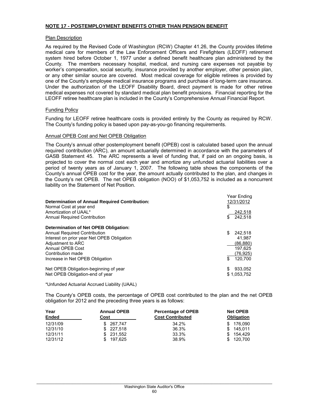### **NOTE 17 - POSTEMPLOYMENT BENEFITS OTHER THAN PENSION BENEFIT**

### Plan Description

As required by the Revised Code of Washington (RCW) Chapter 41.26, the County provides lifetime medical care for members of the Law Enforcement Officers and Firefighters (LEOFF) retirement system hired before October 1, 1977 under a defined benefit healthcare plan administered by the County. The members necessary hospital, medical, and nursing care expenses not payable by worker's compensation, social security, insurance provided by another employer, other pension plan, or any other similar source are covered. Most medical coverage for eligible retirees is provided by one of the County's employee medical insurance programs and purchase of long-term care insurance. Under the authorization of the LEOFF Disability Board, direct payment is made for other retiree medical expenses not covered by standard medical plan benefit provisions. Financial reporting for the LEOFF retiree healthcare plan is included in the County's Comprehensive Annual Financial Report.

### Funding Policy

Funding for LEOFF retiree healthcare costs is provided entirely by the County as required by RCW. The County's funding policy is based upon pay-as-you-go financing requirements.

#### Annual OPEB Cost and Net OPEB Obligation

The County's annual other postemployment benefit (OPEB) cost is calculated based upon the annual required contribution (ARC), an amount actuarially determined in accordance with the parameters of GASB Statement 45. The ARC represents a level of funding that, if paid on an ongoing basis, is projected to cover the normal cost each year and amortize any unfunded actuarial liabilities over a period of twenty years as of January 1, 2007. The following table shows the components of the County's annual OPEB cost for the year, the amount actually contributed to the plan, and changes in the County's net OPEB. The net OPEB obligation (NOO) of \$1,053,752 is included as a noncurrent liability on the Statement of Net Position.

| Determination of Annual Required Contribution:   |    | Year Ending<br>12/31/2012 |
|--------------------------------------------------|----|---------------------------|
| Normal Cost at year end<br>Amortization of UAAL* | \$ | 242,518                   |
| <b>Annual Required Contribution</b>              | S. | 242.518                   |
| Determination of Net OPEB Obligation:            |    |                           |
| <b>Annual Required Contribution</b>              | S. | 242,518                   |
| Interest on prior year Net OPEB Obligation       |    | 41.987                    |
| Adjustment to ARC                                |    | (86, 880)                 |
| Annual OPEB Cost                                 |    | 197,625                   |
| Contribution made                                |    | (76,925)                  |
| Increase in Net OPEB Obligation                  | \$ | 120.700                   |
| Net OPEB Obligation-beginning of year            |    | 933,052                   |
| Net OPEB Obligation-end of year                  |    | \$1,053,752               |

\*Unfunded Actuarial Accrued Liability (UAAL)

The County's OPEB costs, the percentage of OPEB cost contributed to the plan and the net OPEB obligation for 2012 and the preceding three years is as follows:

| Year         | <b>Annual OPEB</b> | <b>Percentage of OPEB</b> | <b>Net OPEB</b>   |
|--------------|--------------------|---------------------------|-------------------|
| <b>Ended</b> | Cost               | <b>Cost Contributed</b>   | <b>Obligation</b> |
| 12/31/09     | \$ 267.747         | 34.2%                     | 176.090<br>SS.    |
| 12/31/10     | \$227.518          | 36.3%                     | 145.011<br>SS.    |
| 12/31/11     | \$ 231.552         | 33.3%                     | 154.429<br>SS.    |
| 12/31/12     | 197.625            | 38.9%                     | 120.700<br>\$.    |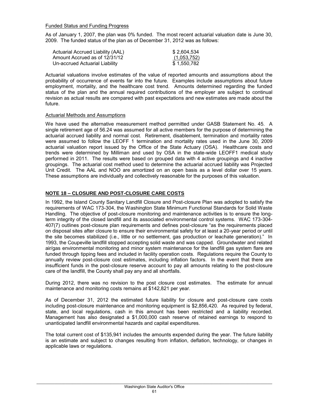Funded Status and Funding Progress

As of January 1, 2007, the plan was 0% funded. The most recent actuarial valuation date is June 30, 2009. The funded status of the plan as of December 31, 2012 was as follows:

| Actuarial Accrued Liability (AAL) | \$2.604.534 |
|-----------------------------------|-------------|
| Amount Accrued as of 12/31/12     | (1,053,752) |
| Un-accrued Actuarial Liability    | \$1.550.782 |

Actuarial valuations involve estimates of the value of reported amounts and assumptions about the probability of occurrence of events far into the future. Examples include assumptions about future employment, mortality, and the healthcare cost trend. Amounts determined regarding the funded status of the plan and the annual required contributions of the employer are subject to continual revision as actual results are compared with past expectations and new estimates are made about the future.

#### Actuarial Methods and Assumptions

We have used the alternative measurement method permitted under GASB Statement No. 45. A single retirement age of 56.24 was assumed for all active members for the purpose of determining the actuarial accrued liability and normal cost. Retirement, disablement, termination and mortality rates were assumed to follow the LEOFF 1 termination and mortality rates used in the June 30, 2009 actuarial valuation report issued by the Office of the State Actuary (OSA). Healthcare costs and trends were determined by Milliman and used by OSA in the state-wide LEOFF1 medical study performed in 2011. The results were based on grouped data with 4 active groupings and 4 inactive groupings. The actuarial cost method used to determine the actuarial accrued liability was Projected Unit Credit. The AAL and NOO are amortized on an open basis as a level dollar over 15 years. These assumptions are individually and collectively reasonable for the purposes of this valuation.

### **NOTE 18 – CLOSURE AND POST-CLOSURE CARE COSTS**

In 1992, the Island County Sanitary Landfill Closure and Post-closure Plan was adopted to satisfy the requirements of WAC 173-304, the Washington State Minimum Functional Standards for Solid Waste Handling. The objective of post-closure monitoring and maintenance activities is to ensure the longterm integrity of the closed landfill and its associated environmental control systems. WAC 173-304- 407(7) outlines post-closure plan requirements and defines post-closure "as the requirements placed on disposal sites after closure to ensure their environmental safety for at least a 20-year period or until the site becomes stabilized (i.e., little or no settlement, gas production or leachate generation)." In 1993, the Coupeville landfill stopped accepting solid waste and was capped. Groundwater and related air/gas environmental monitoring and minor system maintenance for the landfill gas system flare are funded through tipping fees and included in facility operation costs. Regulations require the County to annually review post-closure cost estimates, including inflation factors. In the event that there are insufficient funds in the post-closure reserve account to pay all amounts relating to the post-closure care of the landfill, the County shall pay any and all shortfalls.

During 2012, there was no revision to the post closure cost estimates. The estimate for annual maintenance and monitoring costs remains at \$142,821 per year.

As of December 31, 2012 the estimated future liability for closure and post-closure care costs including post-closure maintenance and monitoring equipment is \$2,856,420. As required by federal, state, and local regulations, cash in this amount has been restricted and a liability recorded. Management has also designated a \$1,000,000 cash reserve of retained earnings to respond to unanticipated landfill environmental hazards and capital expenditures.

The total current cost of \$135,941 includes the amounts expended during the year. The future liability is an estimate and subject to changes resulting from inflation, deflation, technology, or changes in applicable laws or regulations.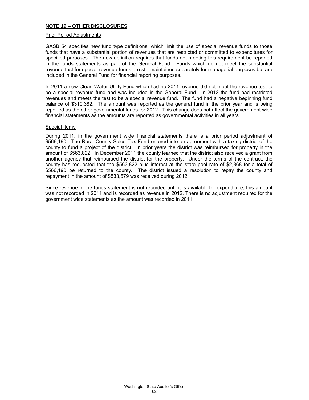### **NOTE 19 – OTHER DISCLOSURES**

#### Prior Period Adjustments

GASB 54 specifies new fund type definitions, which limit the use of special revenue funds to those funds that have a substantial portion of revenues that are restricted or committed to expenditures for specified purposes. The new definition requires that funds not meeting this requirement be reported in the funds statements as part of the General Fund. Funds which do not meet the substantial revenue test for special revenue funds are still maintained separately for managerial purposes but are included in the General Fund for financial reporting purposes.

In 2011 a new Clean Water Utility Fund which had no 2011 revenue did not meet the revenue test to be a special revenue fund and was included in the General Fund. In 2012 the fund had restricted revenues and meets the test to be a special revenue fund. The fund had a negative beginning fund balance of \$310,382. The amount was reported as the general fund in the prior year and is being reported as the other governmental funds for 2012. This change does not affect the government wide financial statements as the amounts are reported as governmental activities in all years.

#### Special Items

During 2011, in the government wide financial statements there is a prior period adjustment of \$566,190. The Rural County Sales Tax Fund entered into an agreement with a taxing district of the county to fund a project of the district. In prior years the district was reimbursed for property in the amount of \$563,822. In December 2011 the county learned that the district also received a grant from another agency that reimbursed the district for the property. Under the terms of the contract, the county has requested that the \$563,822 plus interest at the state pool rate of \$2,368 for a total of \$566,190 be returned to the county. The district issued a resolution to repay the county and repayment in the amount of \$533,679 was received during 2012.

Since revenue in the funds statement is not recorded until it is available for expenditure, this amount was not recorded in 2011 and is recorded as revenue in 2012. There is no adjustment required for the government wide statements as the amount was recorded in 2011.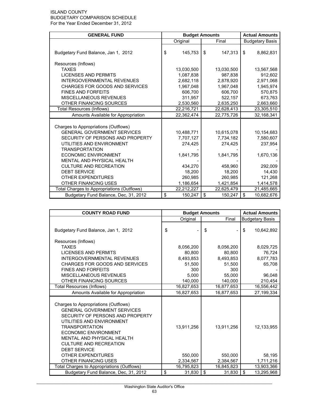#### ISLAND COUNTY BUDGETARY COMPARISON SCHEDULE For the Year Ended December 31, 2012

| <b>GENERAL FUND</b>                                                                                                                                                                                                                                                                                                           | <b>Budget Amounts</b>                                                           |                                                                                 | <b>Actual Amounts</b>   |                                                                                 |  |
|-------------------------------------------------------------------------------------------------------------------------------------------------------------------------------------------------------------------------------------------------------------------------------------------------------------------------------|---------------------------------------------------------------------------------|---------------------------------------------------------------------------------|-------------------------|---------------------------------------------------------------------------------|--|
|                                                                                                                                                                                                                                                                                                                               | Original                                                                        | Final                                                                           |                         | <b>Budgetary Basis</b>                                                          |  |
| Budgetary Fund Balance, Jan 1, 2012                                                                                                                                                                                                                                                                                           | \$<br>145,753                                                                   | \$<br>147,313                                                                   | \$                      | 8,862,831                                                                       |  |
| Resources (Inflows)                                                                                                                                                                                                                                                                                                           |                                                                                 |                                                                                 |                         |                                                                                 |  |
| <b>TAXES</b>                                                                                                                                                                                                                                                                                                                  | 13,030,500                                                                      | 13,030,500                                                                      |                         | 13,567,568                                                                      |  |
| <b>LICENSES AND PERMITS</b>                                                                                                                                                                                                                                                                                                   | 1,087,838                                                                       | 987,838                                                                         |                         | 912,602                                                                         |  |
| <b>INTERGOVERNMENTAL REVENUES</b>                                                                                                                                                                                                                                                                                             | 2,682,118                                                                       | 2,878,920                                                                       |                         | 2,971,068                                                                       |  |
| <b>CHARGES FOR GOODS AND SERVICES</b>                                                                                                                                                                                                                                                                                         | 1,967,048                                                                       | 1,967,048                                                                       |                         | 1,945,974                                                                       |  |
| <b>FINES AND FORFEITS</b>                                                                                                                                                                                                                                                                                                     | 606,700                                                                         | 606,700                                                                         |                         | 570,875                                                                         |  |
| MISCELLANEOUS REVENUES                                                                                                                                                                                                                                                                                                        | 311,957                                                                         | 522,157                                                                         |                         | 673,763                                                                         |  |
| OTHER FINANCING SOURCES                                                                                                                                                                                                                                                                                                       | 2,530,560                                                                       | 2,635,250                                                                       |                         | 2,663,660                                                                       |  |
| <b>Total Resources (Inflows)</b>                                                                                                                                                                                                                                                                                              | 22,216,721                                                                      | 22,628,413                                                                      |                         | 23,305,510                                                                      |  |
| Amounts Available for Appropriation                                                                                                                                                                                                                                                                                           | 22,362,474                                                                      | 22,775,726                                                                      |                         | 32,168,341                                                                      |  |
| Charges to Appropriations (Outflows)<br><b>GENERAL GOVERNMENT SERVICES</b><br>SECURITY OF PERSONS AND PROPERTY<br>UTILITIES AND ENVIRONMENT<br><b>TRANSPORTATION</b><br><b>ECONOMIC ENVIRONMENT</b><br><b>MENTAL AND PHYSICAL HEALTH</b><br><b>CULTURE AND RECREATION</b><br><b>DEBT SERVICE</b><br><b>OTHER EXPENDITURES</b> | 10,488,771<br>7,707,127<br>274,425<br>1,841,795<br>434,270<br>18,200<br>260,985 | 10,615,078<br>7,734,182<br>274,425<br>1,841,795<br>458,960<br>18,200<br>260,985 |                         | 10,154,683<br>7,580,607<br>237,954<br>1,670,136<br>292.009<br>14,430<br>121,268 |  |
| <b>OTHER FINANCING USES</b>                                                                                                                                                                                                                                                                                                   | 1,186,654                                                                       | 1,421,854                                                                       |                         | 1,414,578                                                                       |  |
| Total Charges to Appropriations (Outflows)                                                                                                                                                                                                                                                                                    | 22,212,227                                                                      | 22,625,479                                                                      |                         | 21,485,665                                                                      |  |
| Budgetary Fund Balance, Dec. 31, 2012                                                                                                                                                                                                                                                                                         | \$<br>150,247                                                                   | \$<br>150,247                                                                   | $\sqrt[6]{\frac{1}{2}}$ | 10,682,676                                                                      |  |

| <b>COUNTY ROAD FUND</b>                                                                                                                                                                                                                                                                   |    | <b>Actual Amounts</b>                                                               |                                                                                      |    |                                                                               |
|-------------------------------------------------------------------------------------------------------------------------------------------------------------------------------------------------------------------------------------------------------------------------------------------|----|-------------------------------------------------------------------------------------|--------------------------------------------------------------------------------------|----|-------------------------------------------------------------------------------|
|                                                                                                                                                                                                                                                                                           |    | Original                                                                            | Final                                                                                |    | <b>Budgetary Basis</b>                                                        |
| Budgetary Fund Balance, Jan 1, 2012                                                                                                                                                                                                                                                       | \$ |                                                                                     | \$                                                                                   | \$ | 10,642,892                                                                    |
| Resources (Inflows)<br><b>TAXES</b><br><b>LICENSES AND PERMITS</b><br><b>INTERGOVERNMENTAL REVENUES</b><br><b>CHARGES FOR GOODS AND SERVICES</b><br><b>FINES AND FORFEITS</b><br><b>MISCELLANEOUS REVENUES</b><br>OTHER FINANCING SOURCES<br><b>Total Resources (Inflows)</b>             |    | 8,056,200<br>80,800<br>8,493,853<br>51,500<br>300<br>5.000<br>140,000<br>16,827,653 | 8,056,200<br>80,800<br>8,493,853<br>51,500<br>300<br>55,000<br>140,000<br>16,877,653 |    | 8,029,725<br>76,724<br>8,077,783<br>65,708<br>96,048<br>210,454<br>16,556,442 |
| Amounts Available for Appropriation                                                                                                                                                                                                                                                       |    | 16,827,653                                                                          | 16,877,653                                                                           |    | 27.199.334                                                                    |
| Charges to Appropriations (Outflows)<br><b>GENERAL GOVERNMENT SERVICES</b><br>SECURITY OF PERSONS AND PROPERTY<br>UTILITIES AND ENVIRONMENT<br><b>TRANSPORTATION</b><br><b>ECONOMIC ENVIRONMENT</b><br>MENTAL AND PHYSICAL HEALTH<br><b>CULTURE AND RECREATION</b><br><b>DEBT SERVICE</b> |    | 13,911,256                                                                          | 13,911,256                                                                           |    | 12,133,955                                                                    |
| <b>OTHER EXPENDITURES</b>                                                                                                                                                                                                                                                                 |    | 550,000                                                                             | 550,000                                                                              |    | 58,195                                                                        |
| <b>OTHER FINANCING USES</b>                                                                                                                                                                                                                                                               |    | 2,334,567                                                                           | 2,384,567                                                                            |    | 1,711,216                                                                     |
| Total Charges to Appropriations (Outflows)                                                                                                                                                                                                                                                |    | 16,795,823                                                                          | 16,845,823                                                                           |    | 13,903,366                                                                    |
| Budgetary Fund Balance, Dec, 31, 2012                                                                                                                                                                                                                                                     | \$ | 31,830                                                                              | \$<br>31,830                                                                         | \$ | 13,295,968                                                                    |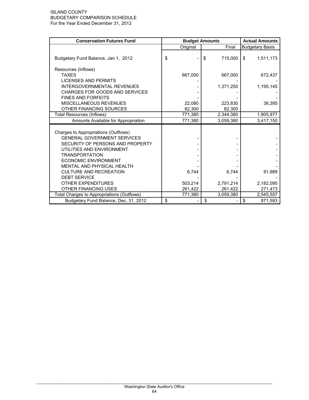| <b>Conservation Futures Fund</b>                                                                                                                                                                                                                                                                                                               | <b>Budget Amounts</b>       | <b>Actual Amounts</b>         |                                |  |
|------------------------------------------------------------------------------------------------------------------------------------------------------------------------------------------------------------------------------------------------------------------------------------------------------------------------------------------------|-----------------------------|-------------------------------|--------------------------------|--|
|                                                                                                                                                                                                                                                                                                                                                | Original                    | Final                         | <b>Budgetary Basis</b>         |  |
| Budgetary Fund Balance, Jan 1, 2012                                                                                                                                                                                                                                                                                                            | \$                          | \$<br>715,000                 | \$<br>1,511,173                |  |
| Resources (Inflows)                                                                                                                                                                                                                                                                                                                            |                             |                               |                                |  |
| <b>TAXES</b>                                                                                                                                                                                                                                                                                                                                   | 667,000                     | 667,000                       | 672,437                        |  |
| <b>LICENSES AND PERMITS</b>                                                                                                                                                                                                                                                                                                                    |                             |                               |                                |  |
| <b>INTERGOVERNMENTAL REVENUES</b>                                                                                                                                                                                                                                                                                                              |                             | 1,371,250                     | 1,195,145                      |  |
| <b>CHARGES FOR GOODS AND SERVICES</b>                                                                                                                                                                                                                                                                                                          |                             |                               |                                |  |
| <b>FINES AND FORFEITS</b>                                                                                                                                                                                                                                                                                                                      |                             |                               |                                |  |
| <b>MISCELLANEOUS REVENUES</b>                                                                                                                                                                                                                                                                                                                  | 22,080                      | 223,830                       | 38,395                         |  |
| OTHER FINANCING SOURCES                                                                                                                                                                                                                                                                                                                        | 82,300                      | 82,300                        |                                |  |
| <b>Total Resources (Inflows)</b>                                                                                                                                                                                                                                                                                                               | 771,380                     | 2,344,380                     | 1,905,977                      |  |
| Amounts Available for Appropriation                                                                                                                                                                                                                                                                                                            | 771,380                     | 3,059,380                     | 3,417,150                      |  |
| Charges to Appropriations (Outflows)<br><b>GENERAL GOVERNMENT SERVICES</b><br>SECURITY OF PERSONS AND PROPERTY<br>UTILITIES AND ENVIRONMENT<br><b>TRANSPORTATION</b><br><b>ECONOMIC ENVIRONMENT</b><br>MENTAL AND PHYSICAL HEALTH<br><b>CULTURE AND RECREATION</b><br><b>DEBT SERVICE</b><br>OTHER EXPENDITURES<br><b>OTHER FINANCING USES</b> | 6,744<br>503,214<br>261,422 | 6,744<br>2,791,214<br>261,422 | 91,989<br>2,182,095<br>271,473 |  |
| Total Charges to Appropriations (Outflows)                                                                                                                                                                                                                                                                                                     | 771,380                     | 3,059,380                     | 2,545,557                      |  |
| Budgetary Fund Balance, Dec, 31, 2012                                                                                                                                                                                                                                                                                                          | \$                          | \$                            | \$<br>871,593                  |  |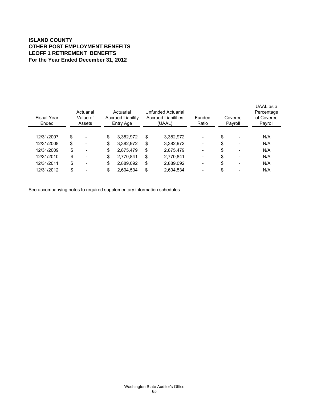# **ISLAND COUNTY OTHER POST EMPLOYMENT BENEFITS LEOFF 1 RETIREMENT BENEFITS For the Year Ended December 31, 2012**

| <b>Fiscal Year</b><br>Ended | Actuarial<br>Value of<br>Assets | Actuarial<br><b>Accrued Liability</b><br>Entry Age |    | Unfunded Actuarial<br><b>Accrued Liabilities</b><br>(UAAL) | Funded<br>Ratio | Covered<br>Payroll             | UAAL as a<br>Percentage<br>of Covered<br>Payroll |
|-----------------------------|---------------------------------|----------------------------------------------------|----|------------------------------------------------------------|-----------------|--------------------------------|--------------------------------------------------|
|                             |                                 |                                                    |    |                                                            |                 |                                |                                                  |
| 12/31/2007                  | \$                              | \$<br>3,382,972                                    | S  | 3,382,972                                                  |                 | \$                             | N/A                                              |
| 12/31/2008                  | \$                              | \$<br>3,382,972                                    | \$ | 3,382,972                                                  |                 | \$<br>$\overline{\phantom{a}}$ | N/A                                              |
| 12/31/2009                  | \$                              | \$<br>2.875.479                                    | \$ | 2,875,479                                                  |                 | \$<br>$\overline{\phantom{a}}$ | N/A                                              |
| 12/31/2010                  | \$                              | \$<br>2.770.841                                    | \$ | 2.770.841                                                  |                 | \$<br>$\overline{\phantom{a}}$ | N/A                                              |
| 12/31/2011                  | \$<br>$\overline{\phantom{0}}$  | \$<br>2.889.092                                    | \$ | 2,889,092                                                  |                 | \$<br>$\overline{\phantom{a}}$ | N/A                                              |
| 12/31/2012                  | \$                              | \$<br>2,604,534                                    | \$ | 2,604,534                                                  |                 | \$                             | N/A                                              |
|                             |                                 |                                                    |    |                                                            |                 |                                |                                                  |

See accompanying notes to required supplementary information schedules.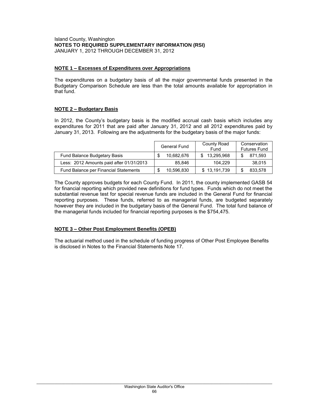#### Island County, Washington **NOTES TO REQUIRED SUPPLEMENTARY INFORMATION (RSI)**  JANUARY 1, 2012 THROUGH DECEMBER 31, 2012

## **NOTE 1 – Excesses of Expenditures over Appropriations**

The expenditures on a budgetary basis of all the major governmental funds presented in the Budgetary Comparison Schedule are less than the total amounts available for appropriation in that fund.

## **NOTE 2 – Budgetary Basis**

In 2012, the County's budgetary basis is the modified accrual cash basis which includes any expenditures for 2011 that are paid after January 31, 2012 and all 2012 expenditures paid by January 31, 2013. Following are the adjustments for the budgetary basis of the major funds:

|                                          | <b>General Fund</b> | County Road<br>Fund | Conservation<br><b>Futures Fund</b> |  |  |
|------------------------------------------|---------------------|---------------------|-------------------------------------|--|--|
| Fund Balance Budgetary Basis             | 10.682.676          | 13.295.968          | 871.593                             |  |  |
| Less: 2012 Amounts paid after 01/31/2013 | 85.846              | 104.229             | 38.015                              |  |  |
| Fund Balance per Financial Statements    | 10,596,830          | \$13.191.739        | 833.578                             |  |  |

The County approves budgets for each County Fund. In 2011, the county implemented GASB 54 for financial reporting which provided new definitions for fund types. Funds which do not meet the substantial revenue test for special revenue funds are included in the General Fund for financial reporting purposes. These funds, referred to as managerial funds, are budgeted separately however they are included in the budgetary basis of the General Fund. The total fund balance of the managerial funds included for financial reporting purposes is the \$754,475.

# **NOTE 3 – Other Post Employment Benefits (OPEB)**

The actuarial method used in the schedule of funding progress of Other Post Employee Benefits is disclosed in Notes to the Financial Statements Note 17.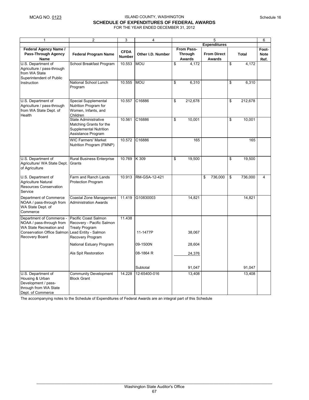#### MCAG NO. 0123 **ISLAND COUNTY, WASHINGTON SCHEDULE OF EXPENDITURES OF FEDERAL AWARDS** FOR THE YEAR ENDED DECEMBER 31, 2012

| 1                                                                                                                                      | $\overline{2}$                                                                                                         | 3                            | 4                 | 5  |                                               |                              |    | 6       |                              |
|----------------------------------------------------------------------------------------------------------------------------------------|------------------------------------------------------------------------------------------------------------------------|------------------------------|-------------------|----|-----------------------------------------------|------------------------------|----|---------|------------------------------|
|                                                                                                                                        |                                                                                                                        |                              |                   |    |                                               | <b>Expenditures</b>          |    |         |                              |
| Federal Agency Name /<br>Pass-Through Agency<br><b>Name</b>                                                                            | <b>Federal Program Name</b>                                                                                            | <b>CFDA</b><br><b>Number</b> | Other I.D. Number |    | <b>From Pass-</b><br><b>Through</b><br>Awards | <b>From Direct</b><br>Awards |    | Total   | Foot-<br><b>Note</b><br>Ref. |
| U.S. Department of<br>Agriculture / pass-through<br>from WA State<br>Superintendent of Public                                          | School Breakfast Program                                                                                               | 10.553                       | <b>MOU</b>        | \$ | 4,172                                         |                              | \$ | 4,172   |                              |
| Instruction                                                                                                                            | National School Lunch<br>Program                                                                                       | 10.555                       | <b>MOU</b>        | \$ | 6,310                                         |                              | \$ | 6,310   |                              |
| U.S. Department of<br>Agriculture / pass-through<br>from WA State Dept. of<br>Health                                                   | Special Supplemental<br>Nutrition Program for<br>Women, Infants, and<br>Children                                       | 10.557                       | C16886            | \$ | 212,678                                       |                              | \$ | 212,678 |                              |
|                                                                                                                                        | State Administrative<br>Matching Grants for the<br>Supplemental Nutrition<br>Assistance Program                        | 10.561                       | C16886            | \$ | 10,001                                        |                              | \$ | 10,001  |                              |
|                                                                                                                                        | <b>WIC Farmers' Market</b><br>Nutrition Program (FMNP)                                                                 | 10.572                       | C16886            |    | 165                                           |                              |    | 165     |                              |
| U.S. Department of<br>Agriculture/ WA State Dept.<br>of Agriculture                                                                    | Rural Business Enterprise<br>Grants                                                                                    | 10.769                       | K 309             | \$ | 19,500                                        |                              | \$ | 19,500  |                              |
| U.S. Department of<br><b>Agriculture Natural</b><br>Resources Conservation<br>Service                                                  | Farm and Ranch Lands<br>Protection Program                                                                             | 10.913                       | RM-GSA-12-421     |    |                                               | 736,000<br>\$                | \$ | 736,000 | 4                            |
| Department of Commerce<br>NOAA / pass-through from<br>WA State Dept. of<br>Commerce                                                    | Coastal Zone Management<br><b>Administration Awards</b>                                                                | 11.419                       | G10830003         |    | 14,821                                        |                              |    | 14,821  |                              |
| Department of Commerce -<br>NOAA / pass-through from<br>WA State Recreation and<br><b>Conservation Office Salmon</b><br>Recovery Board | Pacific Coast Salmon<br>Recovery - Pacific Salmon<br><b>Treaty Program</b><br>Lead Entity - Salmon<br>Recovery Program | 11.438                       | 11-1477P          |    | 38,067                                        |                              |    |         |                              |
|                                                                                                                                        | National Estuary Program                                                                                               |                              | 09-1500N          |    | 28,604                                        |                              |    |         |                              |
|                                                                                                                                        | Ala Spit Restoration                                                                                                   |                              | 08-1864 R         |    | 24,376                                        |                              |    |         |                              |
|                                                                                                                                        |                                                                                                                        |                              | Subtotal          |    | 91,047                                        |                              |    | 91,047  |                              |
| U.S. Department of<br>Housing & Urban<br>Development / pass-<br>through from WA State<br>Dept. of Commerce                             | <b>Community Development</b><br><b>Block Grant</b>                                                                     | 14.228                       | 12-65400-016      |    | 13,408                                        |                              |    | 13,408  |                              |

The accompanying notes to the Schedule of Expenditures of Federal Awards are an integral part of this Schedule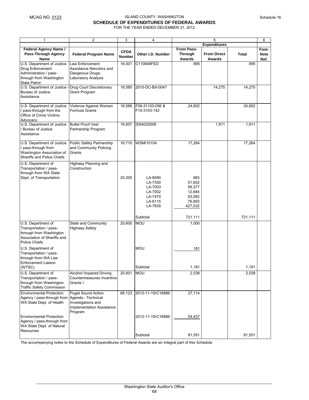#### MCAG NO. 0123 **ISLAND COUNTY, WASHINGTON SCHEDULE OF EXPENDITURES OF FEDERAL AWARDS** FOR THE YEAR ENDED DECEMBER 31, 2012

| 1                                                       | 2                                | 3                            | 4                 | 5              |                     |              |             |  |
|---------------------------------------------------------|----------------------------------|------------------------------|-------------------|----------------|---------------------|--------------|-------------|--|
|                                                         |                                  |                              |                   |                | <b>Expenditures</b> |              | 6           |  |
| Federal Agency Name /                                   |                                  |                              |                   | From Pass-     |                     |              | Foot-       |  |
| Pass-Through Agency                                     | <b>Federal Program Name</b>      | <b>CFDA</b><br><b>Number</b> | Other I.D. Number | <b>Through</b> | <b>From Direct</b>  | <b>Total</b> | <b>Note</b> |  |
| Name                                                    |                                  |                              |                   | Awards         | Awards              |              | Ref.        |  |
| U.S. Department of Justice                              | Law Enforcement                  | 16.001                       | C110849FED        | 895            |                     | 895          |             |  |
| Drug Enforcement                                        | Assistance Narcotics and         |                              |                   |                |                     |              |             |  |
| Administration / pass-                                  | Dangerous Drugs-                 |                              |                   |                |                     |              |             |  |
| through from Washington                                 | <b>Laboratory Analysis</b>       |                              |                   |                |                     |              |             |  |
| <b>State Patrol</b>                                     |                                  |                              |                   |                |                     |              |             |  |
| U.S. Department of Justice                              | Drug Court Discretionary         | 16.585                       | 2010-DC-BX-0047   |                | 14,275              | 14,275       |             |  |
| <b>Bureau of Justice</b>                                | <b>Grant Program</b>             |                              |                   |                |                     |              |             |  |
| Assistance                                              |                                  |                              |                   |                |                     |              |             |  |
| U.S. Department of Justice                              | Violence Against Women           | 16.588                       | F09-31103-056 &   | 24,602         |                     | 24,602       |             |  |
| pass-through from the                                   | Formula Grants                   |                              | F10-3103-142      |                |                     |              |             |  |
| Office of Crime Victims                                 |                                  |                              |                   |                |                     |              |             |  |
| Advocacy                                                |                                  |                              |                   |                |                     |              |             |  |
| U.S. Department of Justice                              | <b>Bullet Proof Vest</b>         | 16.607                       | ID04025006        |                | 1,911               | 1,911        |             |  |
| Bureau of Justice                                       | Partnership Program              |                              |                   |                |                     |              |             |  |
| Assistance                                              |                                  |                              |                   |                |                     |              |             |  |
|                                                         |                                  |                              |                   |                |                     |              |             |  |
| U.S. Department of Justice                              | Public Safety Partnership        | 16.710                       | WSMI10104         | 17,264         |                     | 17,264       |             |  |
| pass-through from                                       | and Community Policing           |                              |                   |                |                     |              |             |  |
| Washington Association of                               | Grants                           |                              |                   |                |                     |              |             |  |
| <b>Sheriffs and Police Chiefs</b>                       |                                  |                              |                   |                |                     |              |             |  |
| U.S. Department of                                      | Highway Planning and             |                              |                   |                |                     |              |             |  |
| Transportation / pass-                                  | Construction                     |                              |                   |                |                     |              |             |  |
| through from WA State                                   |                                  |                              |                   |                |                     |              |             |  |
| Dept. of Transportation                                 |                                  | 20.205                       | LA-6590           | 983            |                     |              |             |  |
|                                                         |                                  |                              | LA-7350           | 51,602         |                     |              |             |  |
|                                                         |                                  |                              | LA-7003           | 58,377         |                     |              |             |  |
|                                                         |                                  |                              | LA-7002           | 12,684         |                     |              |             |  |
|                                                         |                                  |                              | LA-7470           | 93,082         |                     |              |             |  |
|                                                         |                                  |                              | LA-6115           | 76,850         |                     |              |             |  |
|                                                         |                                  |                              | LA-7635           | 427,532        |                     |              |             |  |
|                                                         |                                  |                              |                   |                |                     |              |             |  |
|                                                         |                                  |                              | Subtotal          | 721,111        |                     | 721,111      |             |  |
| U.S. Department of                                      | State and Community              | 20.600                       | <b>MOU</b>        | 1,000          |                     |              |             |  |
| Transportation / pass-                                  | Highway Safety                   |                              |                   |                |                     |              |             |  |
| through from Washington                                 |                                  |                              |                   |                |                     |              |             |  |
| Association of Sheriffs and                             |                                  |                              |                   |                |                     |              |             |  |
| Police Chiefs                                           |                                  |                              |                   |                |                     |              |             |  |
|                                                         |                                  |                              |                   |                |                     |              |             |  |
| U.S. Department of                                      |                                  |                              | <b>MOU</b>        | 181            |                     |              |             |  |
| Transportation / pass-<br>through from WA Law           |                                  |                              |                   |                |                     |              |             |  |
| Enforcement Liaison                                     |                                  |                              |                   |                |                     |              |             |  |
| (WTSC)                                                  |                                  |                              | Subtotal          | 1,181          |                     | 1,181        |             |  |
|                                                         |                                  |                              |                   |                |                     |              |             |  |
| U.S. Department of                                      | <b>Alcohol Impaired Driving</b>  | 20.601                       | <b>MOU</b>        | 2,538          |                     | 2,538        |             |  |
| Transportation / pass-                                  | Countermeasures Incentive        |                              |                   |                |                     |              |             |  |
| through from Washington                                 | Grants I                         |                              |                   |                |                     |              |             |  |
| <b>Traffic Safety Commission</b>                        |                                  |                              |                   |                |                     |              |             |  |
| <b>Environmental Protection</b>                         | <b>Puget Sound Action</b>        | 66.123                       | 2012-11-1S/C16886 | 27,114         |                     |              |             |  |
| Agency / pass-through from                              | Agenda - Technical               |                              |                   |                |                     |              |             |  |
| WA State Dept. of Health                                | Investigations and               |                              |                   |                |                     |              |             |  |
|                                                         | <b>Implementation Assistance</b> |                              |                   |                |                     |              |             |  |
|                                                         | Program                          |                              |                   |                |                     |              |             |  |
| <b>Environmental Protection</b>                         |                                  |                              | 2012-11-1S/C16886 | 54,437         |                     |              |             |  |
| Agency / pass-through from<br>WA State Dept. of Natural |                                  |                              |                   |                |                     |              |             |  |
| Resources                                               |                                  |                              |                   |                |                     |              |             |  |
|                                                         |                                  |                              | Subtotal          | 81,551         |                     | 81,551       |             |  |
|                                                         |                                  |                              |                   |                |                     |              |             |  |

The accompanying notes to the Schedule of Expenditures of Federal Awards are an integral part of this Schedule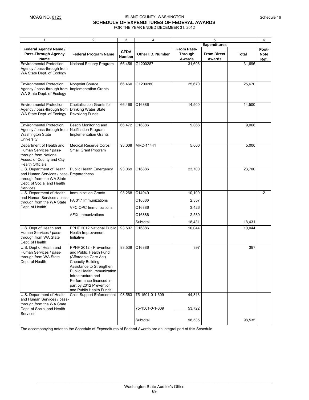#### MCAG NO. 0123 **ISLAND COUNTY, WASHINGTON SCHEDULE OF EXPENDITURES OF FEDERAL AWARDS** FOR THE YEAR ENDED DECEMBER 31, 2012

| 1                                                                                                                                   | 2                                                                                                                                                                                                                                                               | 3             | 4                                  | 5                                   |                                    |                      |  |
|-------------------------------------------------------------------------------------------------------------------------------------|-----------------------------------------------------------------------------------------------------------------------------------------------------------------------------------------------------------------------------------------------------------------|---------------|------------------------------------|-------------------------------------|------------------------------------|----------------------|--|
|                                                                                                                                     |                                                                                                                                                                                                                                                                 |               |                                    |                                     | <b>Expenditures</b>                | 6                    |  |
| Federal Agency Name /<br>Pass-Through Agency                                                                                        | <b>Federal Program Name</b>                                                                                                                                                                                                                                     | <b>CFDA</b>   | Other I.D. Number                  | <b>From Pass-</b><br><b>Through</b> | <b>From Direct</b><br><b>Total</b> | Foot-<br><b>Note</b> |  |
| Name                                                                                                                                |                                                                                                                                                                                                                                                                 | <b>Number</b> |                                    | Awards                              | Awards                             | Ref.                 |  |
| <b>Environmental Protection</b><br>Agency / pass-through from<br>WA State Dept. of Ecology                                          | National Estuary Program                                                                                                                                                                                                                                        | 66.456        | G1200287                           | 31.696                              | 31,696                             |                      |  |
| <b>Environmental Protection</b><br>Agency / pass-through from<br>WA State Dept. of Ecology                                          | Nonpoint Source<br><b>Implementation Grants</b>                                                                                                                                                                                                                 | 66.460        | G1200280                           | 25,670                              | 25,670                             |                      |  |
| <b>Environmental Protection</b><br>Agency / pass-through from<br>WA State Dept. of Ecology                                          | Capitalization Grants for<br><b>Drinking Water State</b><br><b>Revolving Funds</b>                                                                                                                                                                              | 66.468        | C16886                             | 14,500                              | 14,500                             |                      |  |
| <b>Environmental Protection</b><br>Agency / pass-through from<br><b>Washington State</b><br>University                              | Beach Monitoring and<br>Notification Program<br><b>Implementation Grants</b>                                                                                                                                                                                    | 66.472        | C16886                             | 9,066                               | 9,066                              |                      |  |
| Department of Health and<br>Human Services / pass-<br>through from National<br>Assoc. of County and City<br><b>Health Officials</b> | <b>Medical Reserve Corps</b><br>Small Grant Program                                                                                                                                                                                                             | 93.008        | MRC-11441                          | 5.000                               | 5,000                              |                      |  |
| U.S. Department of Health<br>and Human Services / pass-<br>through from the WA State<br>Dept. of Social and Health<br>Services      | <b>Public Health Emergency</b><br>Preparedness                                                                                                                                                                                                                  | 93.069        | C16886                             | 23,700                              | 23,700                             |                      |  |
| U.S. Department of Health                                                                                                           | <b>Immunization Grants</b>                                                                                                                                                                                                                                      | 93.268        | C14949                             | 10,109                              |                                    | $\overline{2}$       |  |
| and Human Services / pass<br>through from the WA State                                                                              | FA 317 Immunizations                                                                                                                                                                                                                                            |               | C16886                             | 2,357                               |                                    |                      |  |
| Dept. of Health                                                                                                                     | <b>VFC OPC Immunizations</b>                                                                                                                                                                                                                                    |               | C16886                             | 3,426                               |                                    |                      |  |
|                                                                                                                                     | AFIX Immunizations                                                                                                                                                                                                                                              |               | C16886                             | 2,539                               |                                    |                      |  |
|                                                                                                                                     |                                                                                                                                                                                                                                                                 |               | Subtotal                           | 18,431                              | 18,431                             |                      |  |
| U.S. Dept of Health and<br>Human Services / pass-<br>through from WA State<br>Dept. of Health                                       | PPHF 2012 National Public<br>Health Improvement<br>Initiative                                                                                                                                                                                                   | 93.507        | C16886                             | 10,044                              | 10,044                             |                      |  |
| U.S. Dept of Health and<br>Human Services / pass-<br>through from WA State<br>Dept. of Health                                       | PPHF 2012 - Prevention<br>and Public Health Fund<br>(Affordable Care Act)<br>Capacity Building<br>Assistance to Strengthen<br>Public Health Immunization<br>Infrastructure and<br>Performance financed in<br>part by 2012 Prevention<br>and Public Health Funds | 93.539        | C16886                             | 397                                 | 397                                |                      |  |
| U.S. Department of Health<br>and Human Services / pass-<br>through from the WA State<br>Dept. of Social and Health                  | <b>Child Support Enforcement</b>                                                                                                                                                                                                                                | 93.563        | 75-1501-0-1-609<br>75-1501-0-1-609 | 44,813<br>53,722                    |                                    |                      |  |
| Services                                                                                                                            |                                                                                                                                                                                                                                                                 |               |                                    |                                     |                                    |                      |  |
|                                                                                                                                     |                                                                                                                                                                                                                                                                 |               | Subtotal                           | 98,535                              | 98,535                             |                      |  |

The accompanying notes to the Schedule of Expenditures of Federal Awards are an integral part of this Schedule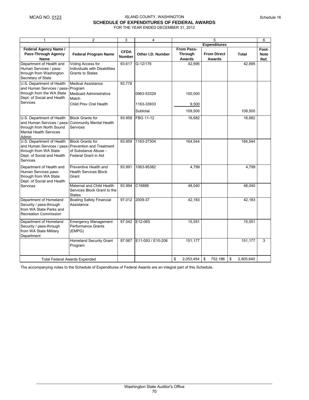#### MCAG NO. 0123 **ISLAND COUNTY, WASHINGTON SCHEDULE OF EXPENDITURES OF FEDERAL AWARDS** FOR THE YEAR ENDED DECEMBER 31, 2012

| $\mathbf{1}$                         | 2                               | 3             | $\overline{4}$           | 5                   |                    |                 | 6           |
|--------------------------------------|---------------------------------|---------------|--------------------------|---------------------|--------------------|-----------------|-------------|
|                                      |                                 |               |                          | <b>Expenditures</b> |                    |                 |             |
| <b>Federal Agency Name /</b>         |                                 |               |                          | <b>From Pass-</b>   |                    |                 | Foot-       |
| Pass-Through Agency                  | <b>Federal Program Name</b>     | <b>CFDA</b>   | Other I.D. Number        | <b>Through</b>      | <b>From Direct</b> | <b>Total</b>    | <b>Note</b> |
| <b>Name</b>                          |                                 | <b>Number</b> |                          | Awards              | Awards             |                 | Ref.        |
| Department of Health and             | Voting Access for               | 93.617        | G-12/176                 | 42,695              |                    | 42,695          |             |
| Human Services / pass-               | Individuals with Disabilities   |               |                          |                     |                    |                 |             |
| through from Washington              | <b>Grants to States</b>         |               |                          |                     |                    |                 |             |
| Secretary of State                   |                                 |               |                          |                     |                    |                 |             |
|                                      |                                 |               |                          |                     |                    |                 |             |
| U.S. Department of Health            | <b>Medical Assistance</b>       | 93.778        |                          |                     |                    |                 |             |
| and Human Services / pass-           | Program                         |               |                          |                     |                    |                 |             |
| through from the WA State            | <b>Medicaid Administrative</b>  |               | 0963-53329               | 100,000             |                    |                 |             |
| Dept. of Social and Health           | Match                           |               |                          |                     |                    |                 |             |
| Services                             | Child Prev Oral Health          |               | 1163-33933               | 9,500               |                    |                 |             |
|                                      |                                 |               | Subtotal                 | 109,500             |                    | 109,500         |             |
|                                      |                                 |               |                          |                     |                    |                 |             |
| U.S. Department of Health            | <b>Block Grants for</b>         | 93.958        | FBG 11-12                | 16,682              |                    | 16,682          |             |
| and Human Services / pass            | <b>Community Mental Health</b>  |               |                          |                     |                    |                 |             |
| through from North Sound             | Services                        |               |                          |                     |                    |                 |             |
| <b>Mental Health Services</b>        |                                 |               |                          |                     |                    |                 |             |
| Admin                                |                                 |               |                          |                     |                    |                 |             |
| U.S. Department of Health            | <b>Block Grants for</b>         | 93.959        | 1163-27304               | 164,544             |                    | 164,544         |             |
| and Human Services / pass-           | <b>Prevention and Treatment</b> |               |                          |                     |                    |                 |             |
| through from WA State                | of Substance Abuse -            |               |                          |                     |                    |                 |             |
| Dept. of Social and Health           | Federal Grant in Aid            |               |                          |                     |                    |                 |             |
| Services                             |                                 |               |                          |                     |                    |                 |             |
|                                      |                                 |               |                          |                     |                    |                 |             |
| Department of Health and             | Preventive Health and           | 93.991        | 1063-95382               | 4,799               |                    | 4,799           |             |
| Human Services pass-                 | <b>Health Services Block</b>    |               |                          |                     |                    |                 |             |
| through from WA State                | Grant                           |               |                          |                     |                    |                 |             |
| Dept. of Social and Health           |                                 |               |                          |                     |                    |                 |             |
| Services                             | Maternal and Child Health       | 93.994        | C16886                   | 48,040              |                    | 48,040          |             |
|                                      | Services Block Grant to the     |               |                          |                     |                    |                 |             |
|                                      | <b>States</b>                   |               |                          |                     |                    |                 |             |
| Department of Homeland               | <b>Boating Safety Financial</b> | 97.012        | 2009-37                  | 42,183              |                    | 42,183          |             |
| Security / pass-through              | Assistance                      |               |                          |                     |                    |                 |             |
| from WA State Parks and              |                                 |               |                          |                     |                    |                 |             |
| <b>Recreation Commission</b>         |                                 |               |                          |                     |                    |                 |             |
|                                      |                                 | 97.042        | E12-065                  |                     |                    |                 |             |
| Department of Homeland               | <b>Emergency Management</b>     |               |                          | 15,551              |                    | 15,551          |             |
| Security / pass-through              | <b>Performance Grants</b>       |               |                          |                     |                    |                 |             |
| from WA State Military               | (EMPG)                          |               |                          |                     |                    |                 |             |
| Department                           |                                 |               |                          |                     |                    |                 |             |
|                                      | <b>Homeland Security Grant</b>  |               | 97.067 E11-093 / E10-206 | 151,177             |                    | 151,177         | 3           |
|                                      | Program                         |               |                          |                     |                    |                 |             |
|                                      |                                 |               |                          |                     |                    |                 |             |
|                                      |                                 |               |                          | \$                  |                    |                 |             |
| <b>Total Federal Awards Expended</b> |                                 |               |                          | 2,053,454           | \$<br>752,186      | \$<br>2,805,640 |             |

The accompanying notes to the Schedule of Expenditures of Federal Awards are an integral part of this Schedule.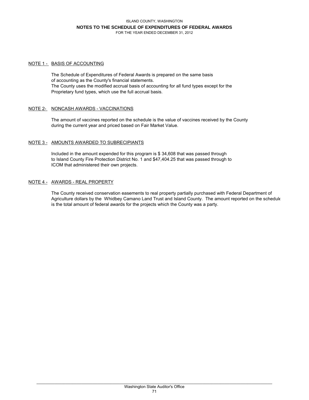#### ISLAND COUNTY, WASHINGTON **NOTES TO THE SCHEDULE OF EXPENDITURES OF FEDERAL AWARDS** FOR THE YEAR ENDED DECEMBER 31, 2012

### NOTE 1 - BASIS OF ACCOUNTING

The Schedule of Expenditures of Federal Awards is prepared on the same basis of accounting as the County's financial statements. The County uses the modified accrual basis of accounting for all fund types except for the Proprietary fund types, which use the full accrual basis.

## NOTE 2- NONCASH AWARDS - VACCINATIONS

The amount of vaccines reported on the schedule is the value of vaccines received by the County during the current year and priced based on Fair Market Value.

## NOTE 3 - AMOUNTS AWARDED TO SUBRECIPIANTS

Included in the amount expended for this program is \$ 34,608 that was passed through to Island County Fire Protection District No. 1 and \$47,404.25 that was passed through to ICOM that administered their own projects.

## NOTE 4 - AWARDS - REAL PROPERTY

The County received conservation easements to real property partially purchased with Federal Department of Agriculture dollars by the Whidbey Camano Land Trust and Island County. The amount reported on the schedule is the total amount of federal awards for the projects which the County was a party.